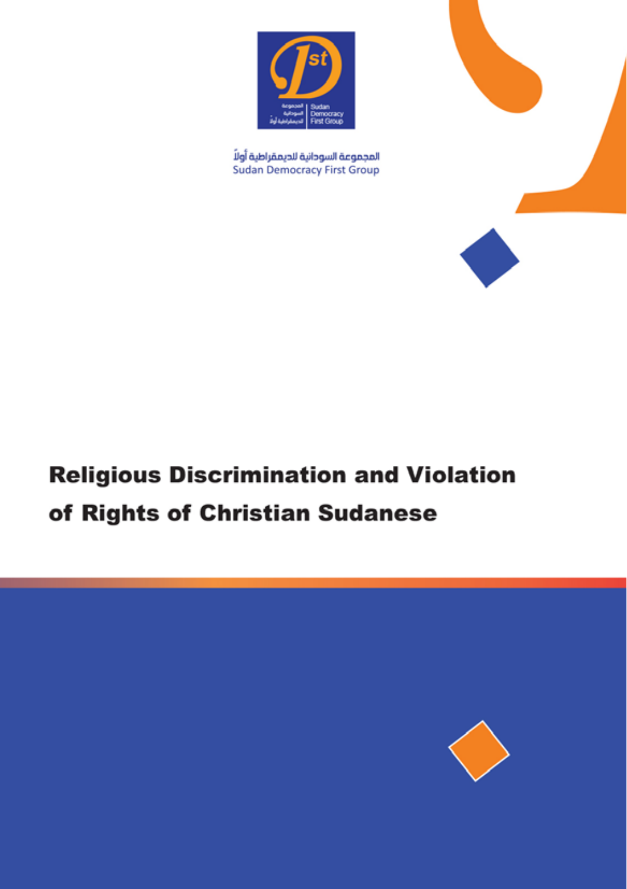

المجموعة السودانية للديمقراطية أولاً **Sudan Democracy First Group** 



# **Religious Discrimination and Violation** of Rights of Christian Sudanese

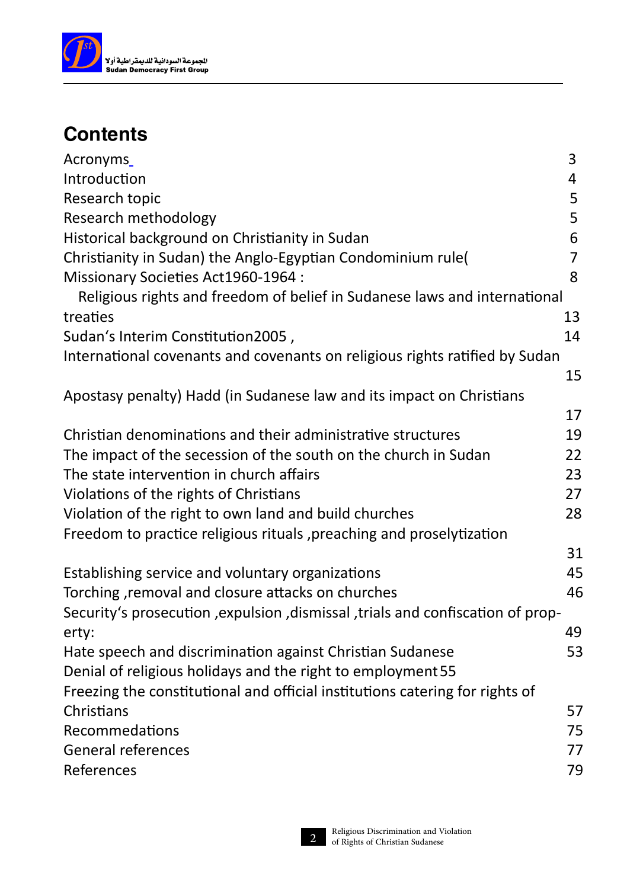

#### **Contents**

| Acronyms                                                                          | 3  |  |  |  |  |  |  |
|-----------------------------------------------------------------------------------|----|--|--|--|--|--|--|
| Introduction                                                                      | 4  |  |  |  |  |  |  |
| Research topic                                                                    | 5  |  |  |  |  |  |  |
| Research methodology                                                              | 5  |  |  |  |  |  |  |
| Historical background on Christianity in Sudan                                    | 6  |  |  |  |  |  |  |
| Christianity in Sudan) the Anglo-Egyptian Condominium rule(                       | 7  |  |  |  |  |  |  |
| Missionary Societies Act1960-1964 :                                               | 8  |  |  |  |  |  |  |
| Religious rights and freedom of belief in Sudanese laws and international         |    |  |  |  |  |  |  |
| treaties                                                                          | 13 |  |  |  |  |  |  |
| Sudan's Interim Constitution2005,                                                 | 14 |  |  |  |  |  |  |
| International covenants and covenants on religious rights ratified by Sudan       |    |  |  |  |  |  |  |
|                                                                                   | 15 |  |  |  |  |  |  |
| Apostasy penalty) Hadd (in Sudanese law and its impact on Christians              |    |  |  |  |  |  |  |
|                                                                                   | 17 |  |  |  |  |  |  |
| Christian denominations and their administrative structures                       | 19 |  |  |  |  |  |  |
| The impact of the secession of the south on the church in Sudan                   | 22 |  |  |  |  |  |  |
| The state intervention in church affairs                                          | 23 |  |  |  |  |  |  |
| Violations of the rights of Christians                                            | 27 |  |  |  |  |  |  |
| Violation of the right to own land and build churches                             | 28 |  |  |  |  |  |  |
| Freedom to practice religious rituals, preaching and proselytization              |    |  |  |  |  |  |  |
|                                                                                   | 31 |  |  |  |  |  |  |
| Establishing service and voluntary organizations                                  | 45 |  |  |  |  |  |  |
| Torching, removal and closure attacks on churches                                 | 46 |  |  |  |  |  |  |
| Security's prosecution , expulsion , dismissal , trials and confiscation of prop- |    |  |  |  |  |  |  |
| erty:                                                                             | 49 |  |  |  |  |  |  |
| Hate speech and discrimination against Christian Sudanese                         | 53 |  |  |  |  |  |  |
| Denial of religious holidays and the right to employment 55                       |    |  |  |  |  |  |  |
| Freezing the constitutional and official institutions catering for rights of      |    |  |  |  |  |  |  |
| Christians                                                                        | 57 |  |  |  |  |  |  |
| Recommedations                                                                    | 75 |  |  |  |  |  |  |
| <b>General references</b>                                                         | 77 |  |  |  |  |  |  |
| References                                                                        | 79 |  |  |  |  |  |  |

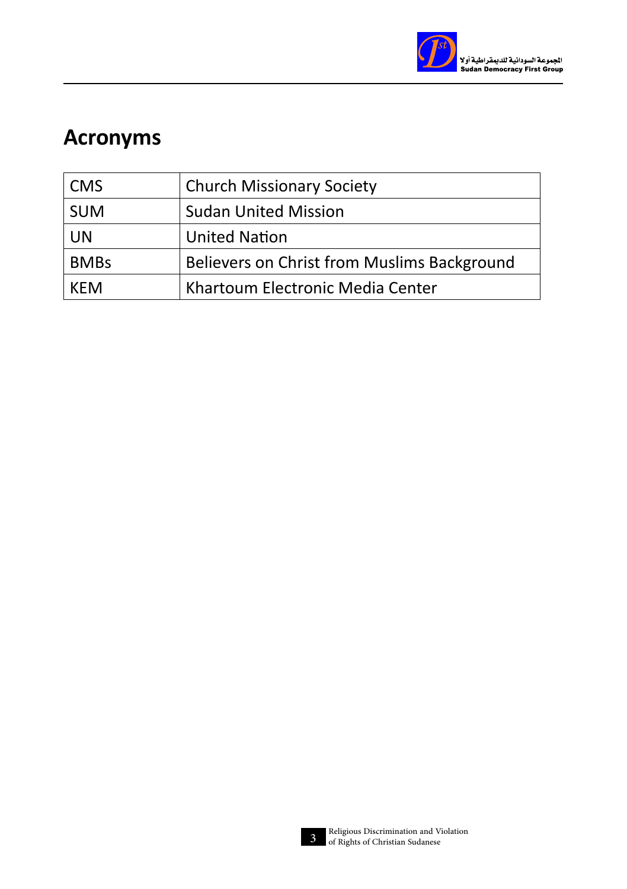

## **Acronyms**

| <b>CMS</b>  | <b>Church Missionary Society</b>            |
|-------------|---------------------------------------------|
| <b>SUM</b>  | <b>Sudan United Mission</b>                 |
| <b>UN</b>   | <b>United Nation</b>                        |
| <b>BMBs</b> | Believers on Christ from Muslims Background |
| KFM         | Khartoum Electronic Media Center            |

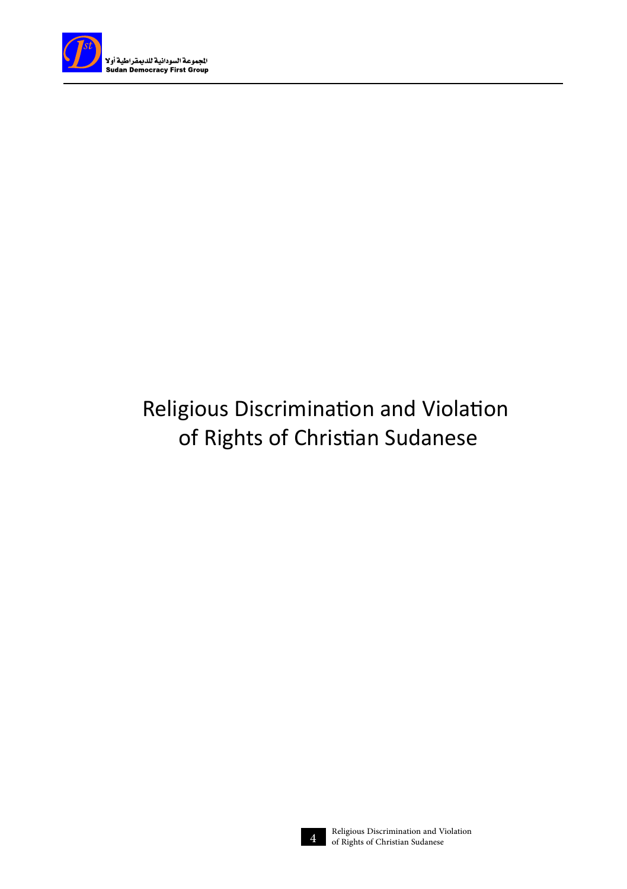

## Religious Discrimination and Violation of Rights of Christian Sudanese

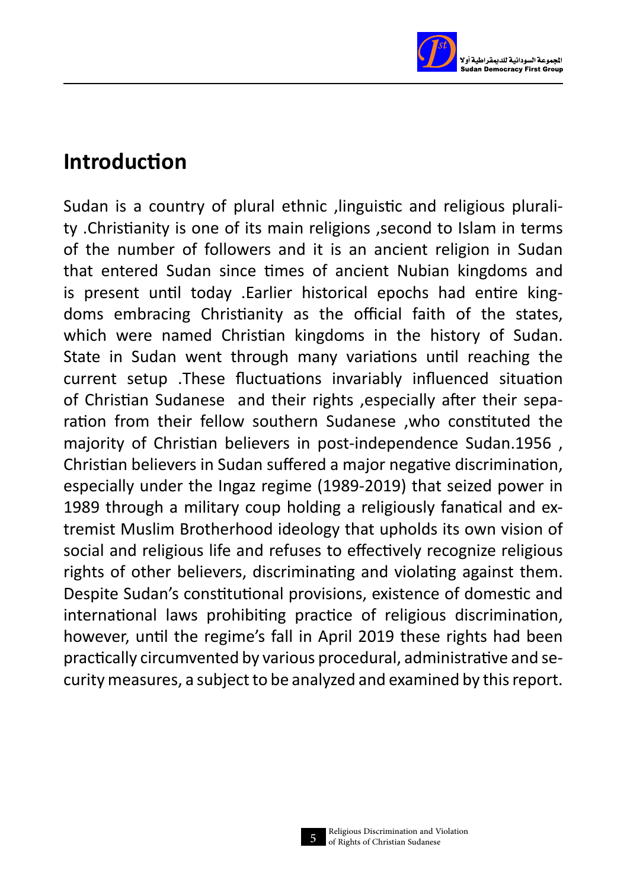

#### **Introduction**

Sudan is a country of plural ethnic .linguistic and religious plurality .Christianity is one of its main religions ,second to Islam in terms of the number of followers and it is an ancient religion in Sudan that entered Sudan since times of ancient Nubian kingdoms and is present until today .Earlier historical epochs had entire kingdoms embracing Christianity as the official faith of the states, which were named Christian kingdoms in the history of Sudan. State in Sudan went through many variations until reaching the current setup .These fluctuations invariably influenced situation of Christian Sudanese and their rights ,especially after their separation from their fellow southern Sudanese ,who constituted the majority of Christian believers in post-independence Sudan.1956 , Christian believers in Sudan suffered a major negative discrimination, especially under the Ingaz regime (1989-2019) that seized power in 1989 through a military coup holding a religiously fanatical and extremist Muslim Brotherhood ideology that upholds its own vision of social and religious life and refuses to effectively recognize religious rights of other believers, discriminating and violating against them. Despite Sudan's constitutional provisions, existence of domestic and international laws prohibiting practice of religious discrimination, however, until the regime's fall in April 2019 these rights had been practically circumvented by various procedural, administrative and security measures, a subject to be analyzed and examined by this report.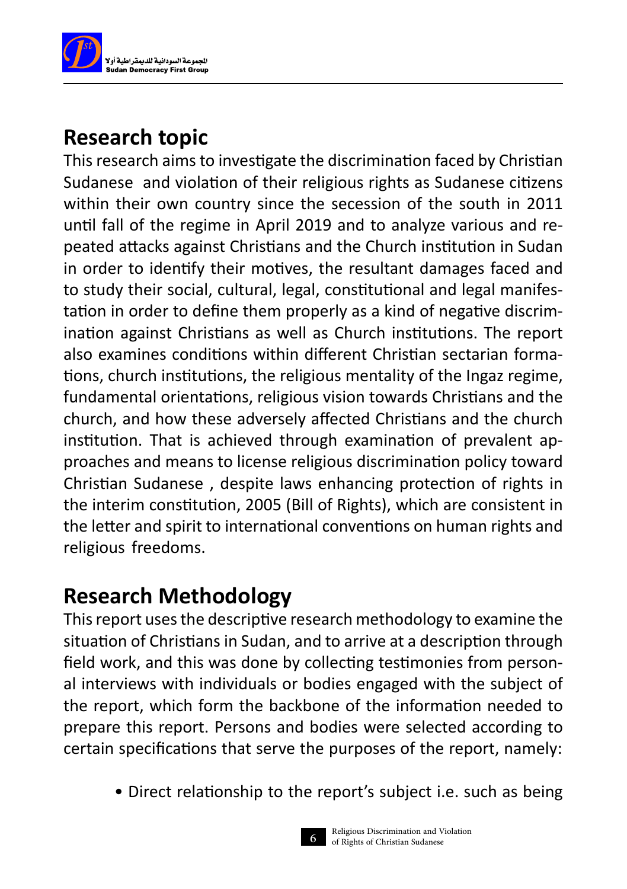

## **Research topic**

This research aims to investigate the discrimination faced by Christian Sudanese and violation of their religious rights as Sudanese citizens within their own country since the secession of the south in 2011 until fall of the regime in April 2019 and to analyze various and repeated attacks against Christians and the Church institution in Sudan in order to identify their motives, the resultant damages faced and to study their social, cultural, legal, constitutional and legal manifestation in order to define them properly as a kind of negative discrimination against Christians as well as Church institutions. The report also examines conditions within different Christian sectarian formations, church institutions, the religious mentality of the Ingaz regime, fundamental orientations, religious vision towards Christians and the church, and how these adversely affected Christians and the church institution. That is achieved through examination of prevalent approaches and means to license religious discrimination policy toward Christian Sudanese , despite laws enhancing protection of rights in the interim constitution, 2005 (Bill of Rights), which are consistent in the letter and spirit to international conventions on human rights and religious freedoms.

#### **Research Methodology**

This report uses the descriptive research methodology to examine the situation of Christians in Sudan, and to arrive at a description through field work, and this was done by collecting testimonies from personal interviews with individuals or bodies engaged with the subject of the report, which form the backbone of the information needed to prepare this report. Persons and bodies were selected according to certain specifications that serve the purposes of the report, namely:

• Direct relationship to the report's subject i.e. such as being

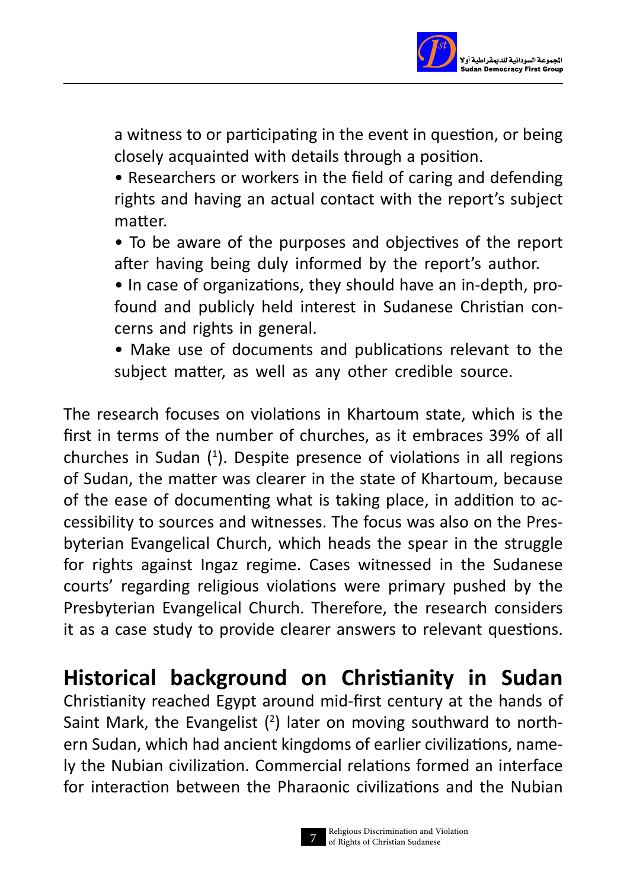

a witness to or participating in the event in question, or being closely acquainted with details through a position.

• Researchers or workers in the field of caring and defending rights and having an actual contact with the report's subject matter.

• To be aware of the purposes and objectives of the report after having being duly informed by the report's author.

• In case of organizations, they should have an in-depth, profound and publicly held interest in Sudanese Christian concerns and rights in general.

• Make use of documents and publications relevant to the subject matter, as well as any other credible source.

The research focuses on violations in Khartoum state, which is the first in terms of the number of churches, as it embraces 39% of all churches in Sudan ( 1 ). Despite presence of violations in all regions of Sudan, the matter was clearer in the state of Khartoum, because of the ease of documenting what is taking place, in addition to accessibility to sources and witnesses. The focus was also on the Presbyterian Evangelical Church, which heads the spear in the struggle for rights against Ingaz regime. Cases witnessed in the Sudanese courts' regarding religious violations were primary pushed by the Presbyterian Evangelical Church. Therefore, the research considers it as a case study to provide clearer answers to relevant questions.

**Historical background on Christianity in Sudan**

Christianity reached Egypt around mid-first century at the hands of Saint Mark, the Evangelist  $(^2)$  later on moving southward to northern Sudan, which had ancient kingdoms of earlier civilizations, namely the Nubian civilization. Commercial relations formed an interface for interaction between the Pharaonic civilizations and the Nubian

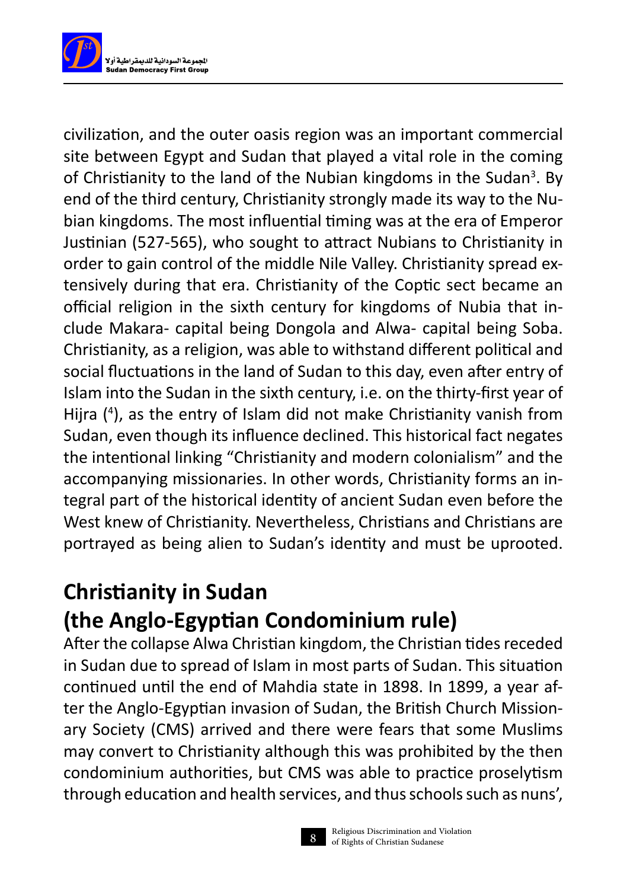

civilization, and the outer oasis region was an important commercial site between Egypt and Sudan that played a vital role in the coming of Christianity to the land of the Nubian kingdoms in the Sudan<sup>3</sup>. By end of the third century, Christianity strongly made its way to the Nubian kingdoms. The most influential timing was at the era of Emperor Justinian (527-565), who sought to attract Nubians to Christianity in order to gain control of the middle Nile Valley. Christianity spread extensively during that era. Christianity of the Coptic sect became an official religion in the sixth century for kingdoms of Nubia that include Makara- capital being Dongola and Alwa- capital being Soba. Christianity, as a religion, was able to withstand different political and social fluctuations in the land of Sudan to this day, even after entry of Islam into the Sudan in the sixth century, i.e. on the thirty-first year of Hijra ( 4 ), as the entry of Islam did not make Christianity vanish from Sudan, even though its influence declined. This historical fact negates the intentional linking "Christianity and modern colonialism" and the accompanying missionaries. In other words, Christianity forms an integral part of the historical identity of ancient Sudan even before the West knew of Christianity. Nevertheless, Christians and Christians are portrayed as being alien to Sudan's identity and must be uprooted.

## **Christianity in Sudan (the Anglo-Egyptian Condominium rule)**

After the collapse Alwa Christian kingdom, the Christian tides receded in Sudan due to spread of Islam in most parts of Sudan. This situation continued until the end of Mahdia state in 1898. In 1899, a year after the Anglo-Egyptian invasion of Sudan, the British Church Missionary Society (CMS) arrived and there were fears that some Muslims may convert to Christianity although this was prohibited by the then condominium authorities, but CMS was able to practice proselytism through education and health services, and thus schools such as nuns',

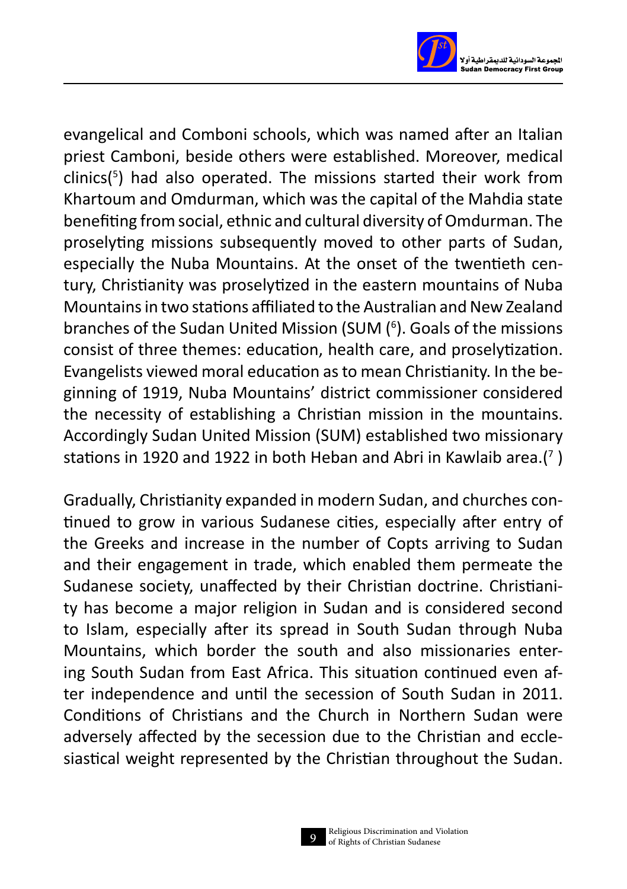

evangelical and Comboni schools, which was named after an Italian priest Camboni, beside others were established. Moreover, medical clinics( 5 ) had also operated. The missions started their work from Khartoum and Omdurman, which was the capital of the Mahdia state benefiting from social, ethnic and cultural diversity of Omdurman. The proselyting missions subsequently moved to other parts of Sudan, especially the Nuba Mountains. At the onset of the twentieth century, Christianity was proselytized in the eastern mountains of Nuba Mountains in two stations affiliated to the Australian and New Zealand branches of the Sudan United Mission (SUM (<sup>6</sup>). Goals of the missions consist of three themes: education, health care, and proselytization. Evangelists viewed moral education as to mean Christianity. In the beginning of 1919, Nuba Mountains' district commissioner considered the necessity of establishing a Christian mission in the mountains. Accordingly Sudan United Mission (SUM) established two missionary stations in 1920 and 1922 in both Heban and Abri in Kawlaib area.(<sup>7</sup> )

Gradually, Christianity expanded in modern Sudan, and churches continued to grow in various Sudanese cities, especially after entry of the Greeks and increase in the number of Copts arriving to Sudan and their engagement in trade, which enabled them permeate the Sudanese society, unaffected by their Christian doctrine. Christianity has become a major religion in Sudan and is considered second to Islam, especially after its spread in South Sudan through Nuba Mountains, which border the south and also missionaries entering South Sudan from East Africa. This situation continued even after independence and until the secession of South Sudan in 2011. Conditions of Christians and the Church in Northern Sudan were adversely affected by the secession due to the Christian and ecclesiastical weight represented by the Christian throughout the Sudan.

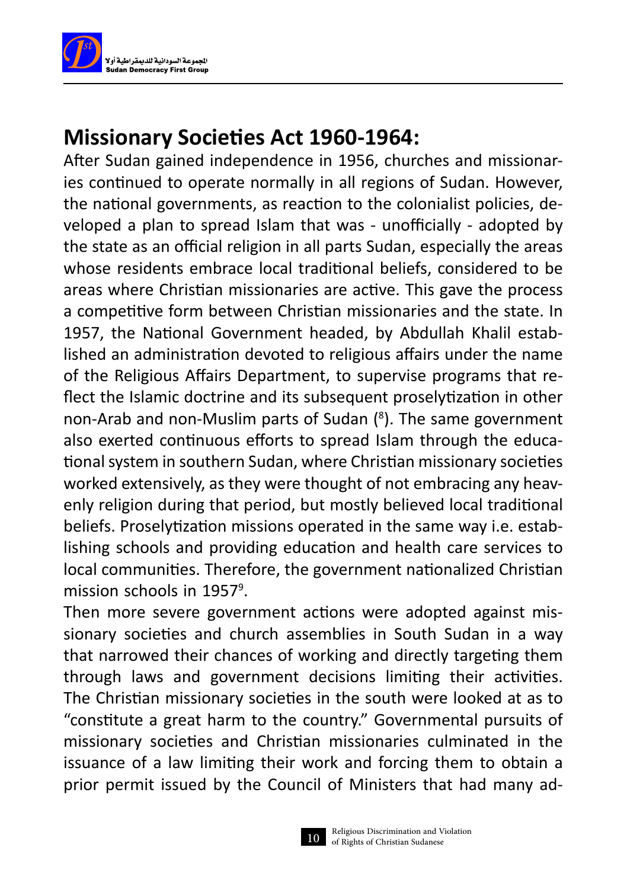

#### **Missionary Societies Act 1960-1964:**

After Sudan gained independence in 1956, churches and missionaries continued to operate normally in all regions of Sudan. However, the national governments, as reaction to the colonialist policies, developed a plan to spread Islam that was - unofficially - adopted by the state as an official religion in all parts Sudan, especially the areas whose residents embrace local traditional beliefs, considered to be areas where Christian missionaries are active. This gave the process a competitive form between Christian missionaries and the state. In 1957, the National Government headed, by Abdullah Khalil established an administration devoted to religious affairs under the name of the Religious Affairs Department, to supervise programs that reflect the Islamic doctrine and its subsequent proselytization in other non-Arab and non-Muslim parts of Sudan ( 8 ). The same government also exerted continuous efforts to spread Islam through the educational system in southern Sudan, where Christian missionary societies worked extensively, as they were thought of not embracing any heavenly religion during that period, but mostly believed local traditional beliefs. Proselytization missions operated in the same way i.e. establishing schools and providing education and health care services to local communities. Therefore, the government nationalized Christian mission schools in 1957<sup>9</sup>.

Then more severe government actions were adopted against missionary societies and church assemblies in South Sudan in a way that narrowed their chances of working and directly targeting them through laws and government decisions limiting their activities. The Christian missionary societies in the south were looked at as to "constitute a great harm to the country." Governmental pursuits of missionary societies and Christian missionaries culminated in the issuance of a law limiting their work and forcing them to obtain a prior permit issued by the Council of Ministers that had many ad-

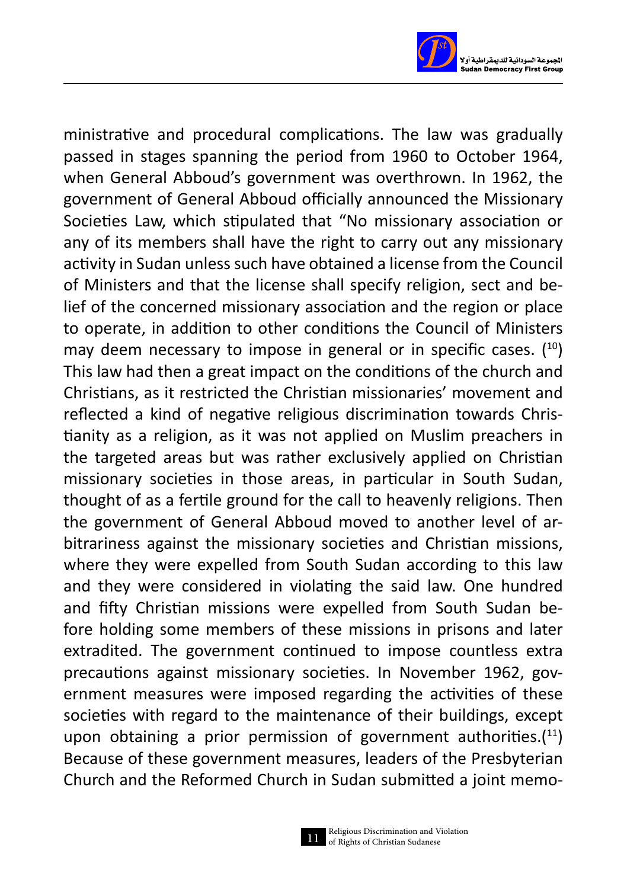

ministrative and procedural complications. The law was gradually passed in stages spanning the period from 1960 to October 1964, when General Abboud's government was overthrown. In 1962, the government of General Abboud officially announced the Missionary Societies Law, which stipulated that "No missionary association or any of its members shall have the right to carry out any missionary activity in Sudan unless such have obtained a license from the Council of Ministers and that the license shall specify religion, sect and belief of the concerned missionary association and the region or place to operate, in addition to other conditions the Council of Ministers may deem necessary to impose in general or in specific cases.  $(10)$ This law had then a great impact on the conditions of the church and Christians, as it restricted the Christian missionaries' movement and reflected a kind of negative religious discrimination towards Christianity as a religion, as it was not applied on Muslim preachers in the targeted areas but was rather exclusively applied on Christian missionary societies in those areas, in particular in South Sudan, thought of as a fertile ground for the call to heavenly religions. Then the government of General Abboud moved to another level of arbitrariness against the missionary societies and Christian missions, where they were expelled from South Sudan according to this law and they were considered in violating the said law. One hundred and fifty Christian missions were expelled from South Sudan before holding some members of these missions in prisons and later extradited. The government continued to impose countless extra precautions against missionary societies. In November 1962, government measures were imposed regarding the activities of these societies with regard to the maintenance of their buildings, except upon obtaining a prior permission of government authorities. $(11)$ Because of these government measures, leaders of the Presbyterian Church and the Reformed Church in Sudan submitted a joint memo-

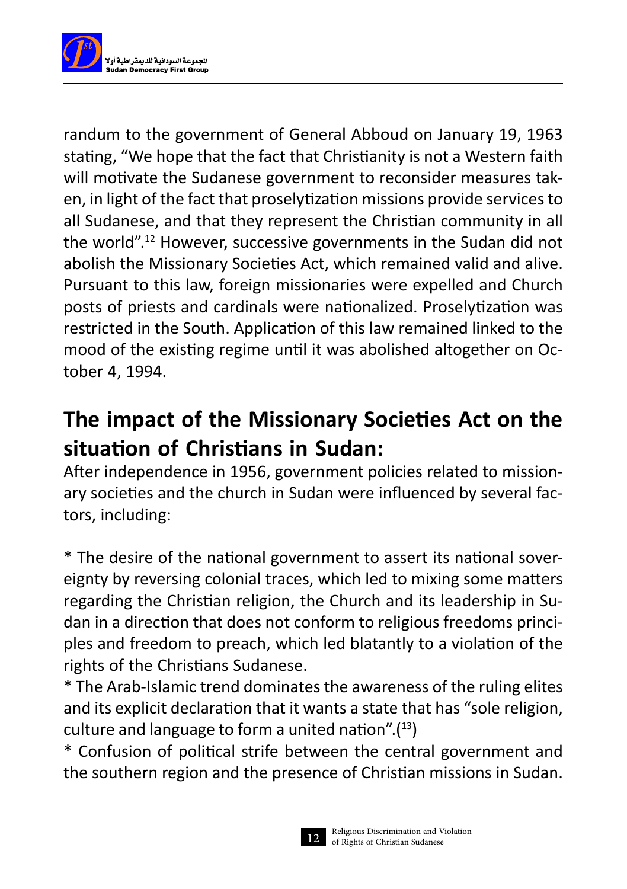

randum to the government of General Abboud on January 19, 1963 stating, "We hope that the fact that Christianity is not a Western faith will motivate the Sudanese government to reconsider measures taken, in light of the fact that proselytization missions provide services to all Sudanese, and that they represent the Christian community in all the world".12 However, successive governments in the Sudan did not abolish the Missionary Societies Act, which remained valid and alive. Pursuant to this law, foreign missionaries were expelled and Church posts of priests and cardinals were nationalized. Proselytization was restricted in the South. Application of this law remained linked to the mood of the existing regime until it was abolished altogether on October 4, 1994.

## **The impact of the Missionary Societies Act on the situation of Christians in Sudan:**

After independence in 1956, government policies related to missionary societies and the church in Sudan were influenced by several factors, including:

\* The desire of the national government to assert its national sovereignty by reversing colonial traces, which led to mixing some matters regarding the Christian religion, the Church and its leadership in Sudan in a direction that does not conform to religious freedoms principles and freedom to preach, which led blatantly to a violation of the rights of the Christians Sudanese.

\* The Arab-Islamic trend dominates the awareness of the ruling elites and its explicit declaration that it wants a state that has "sole religion, culture and language to form a united nation". $(13)$ 

\* Confusion of political strife between the central government and the southern region and the presence of Christian missions in Sudan.

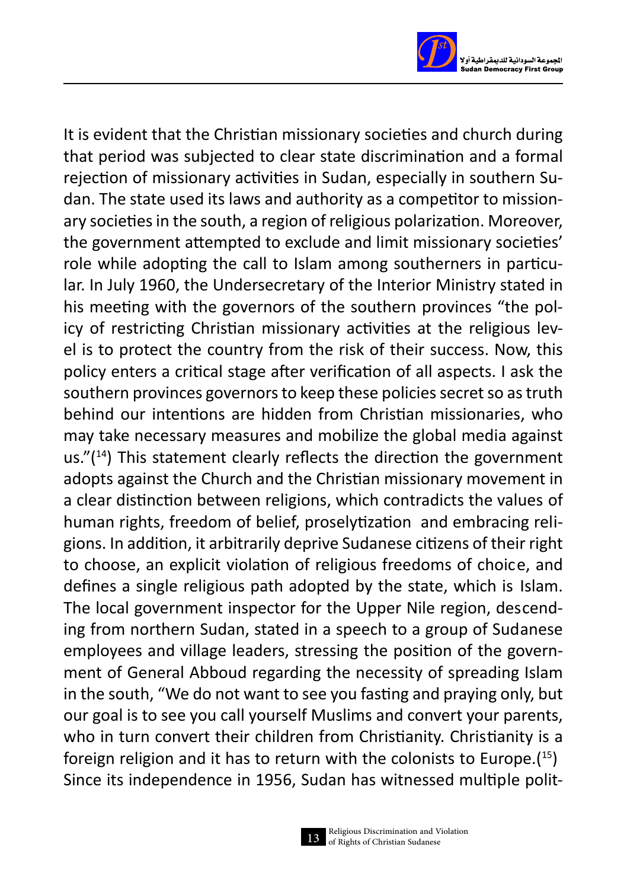

It is evident that the Christian missionary societies and church during that period was subjected to clear state discrimination and a formal rejection of missionary activities in Sudan, especially in southern Sudan. The state used its laws and authority as a competitor to missionary societies in the south, a region of religious polarization. Moreover, the government attempted to exclude and limit missionary societies' role while adopting the call to Islam among southerners in particular. In July 1960, the Undersecretary of the Interior Ministry stated in his meeting with the governors of the southern provinces "the policy of restricting Christian missionary activities at the religious level is to protect the country from the risk of their success. Now, this policy enters a critical stage after verification of all aspects. I ask the southern provinces governors to keep these policies secret so as truth behind our intentions are hidden from Christian missionaries, who may take necessary measures and mobilize the global media against us." $(14)$  This statement clearly reflects the direction the government adopts against the Church and the Christian missionary movement in a clear distinction between religions, which contradicts the values of human rights, freedom of belief, proselytization and embracing religions. In addition, it arbitrarily deprive Sudanese citizens of their right to choose, an explicit violation of religious freedoms of choice, and defines a single religious path adopted by the state, which is Islam. The local government inspector for the Upper Nile region, descending from northern Sudan, stated in a speech to a group of Sudanese employees and village leaders, stressing the position of the government of General Abboud regarding the necessity of spreading Islam in the south, "We do not want to see you fasting and praying only, but our goal is to see you call yourself Muslims and convert your parents, who in turn convert their children from Christianity. Christianity is a foreign religion and it has to return with the colonists to Europe.( 15) Since its independence in 1956, Sudan has witnessed multiple polit-

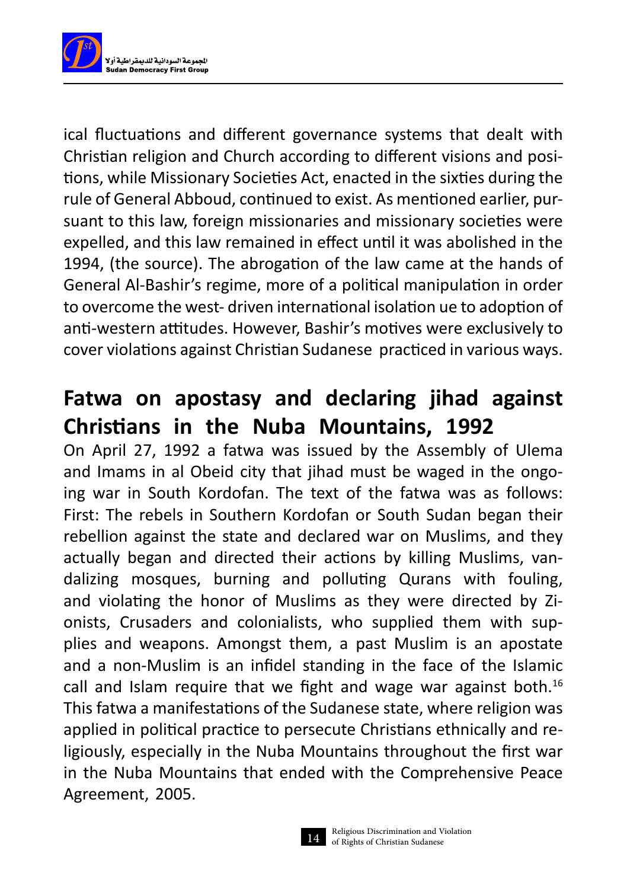

ical fluctuations and different governance systems that dealt with Christian religion and Church according to different visions and positions, while Missionary Societies Act, enacted in the sixties during the rule of General Abboud, continued to exist. As mentioned earlier, pursuant to this law, foreign missionaries and missionary societies were expelled, and this law remained in effect until it was abolished in the 1994, (the source). The abrogation of the law came at the hands of General Al-Bashir's regime, more of a political manipulation in order to overcome the west- driven international isolation ue to adoption of anti-western attitudes. However, Bashir's motives were exclusively to cover violations against Christian Sudanese practiced in various ways.

## **Fatwa on apostasy and declaring jihad against Christians in the Nuba Mountains, 1992**

On April 27, 1992 a fatwa was issued by the Assembly of Ulema and Imams in al Obeid city that jihad must be waged in the ongoing war in South Kordofan. The text of the fatwa was as follows: First: The rebels in Southern Kordofan or South Sudan began their rebellion against the state and declared war on Muslims, and they actually began and directed their actions by killing Muslims, vandalizing mosques, burning and polluting Qurans with fouling, and violating the honor of Muslims as they were directed by Zionists, Crusaders and colonialists, who supplied them with supplies and weapons. Amongst them, a past Muslim is an apostate and a non-Muslim is an infidel standing in the face of the Islamic call and Islam require that we fight and wage war against both.<sup>16</sup> This fatwa a manifestations of the Sudanese state, where religion was applied in political practice to persecute Christians ethnically and religiously, especially in the Nuba Mountains throughout the first war in the Nuba Mountains that ended with the Comprehensive Peace Agreement, 2005.

14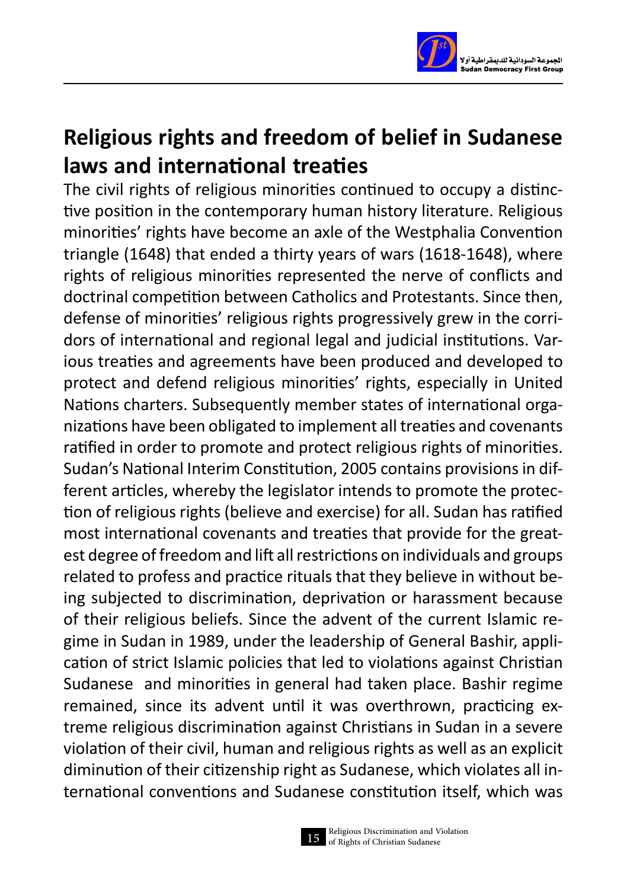

## **Religious rights and freedom of belief in Sudanese laws and international treaties**

The civil rights of religious minorities continued to occupy a distinctive position in the contemporary human history literature. Religious minorities' rights have become an axle of the Westphalia Convention triangle (1648) that ended a thirty years of wars (1618-1648), where rights of religious minorities represented the nerve of conflicts and doctrinal competition between Catholics and Protestants. Since then, defense of minorities' religious rights progressively grew in the corridors of international and regional legal and judicial institutions. Various treaties and agreements have been produced and developed to protect and defend religious minorities' rights, especially in United Nations charters. Subsequently member states of international organizations have been obligated to implement all treaties and covenants ratified in order to promote and protect religious rights of minorities. Sudan's National Interim Constitution, 2005 contains provisions in different articles, whereby the legislator intends to promote the protection of religious rights (believe and exercise) for all. Sudan has ratified most international covenants and treaties that provide for the greatest degree of freedom and lift all restrictions on individuals and groups related to profess and practice rituals that they believe in without being subjected to discrimination, deprivation or harassment because of their religious beliefs. Since the advent of the current Islamic regime in Sudan in 1989, under the leadership of General Bashir, application of strict Islamic policies that led to violations against Christian Sudanese and minorities in general had taken place. Bashir regime remained, since its advent until it was overthrown, practicing extreme religious discrimination against Christians in Sudan in a severe violation of their civil, human and religious rights as well as an explicit diminution of their citizenship right as Sudanese, which violates all international conventions and Sudanese constitution itself, which was

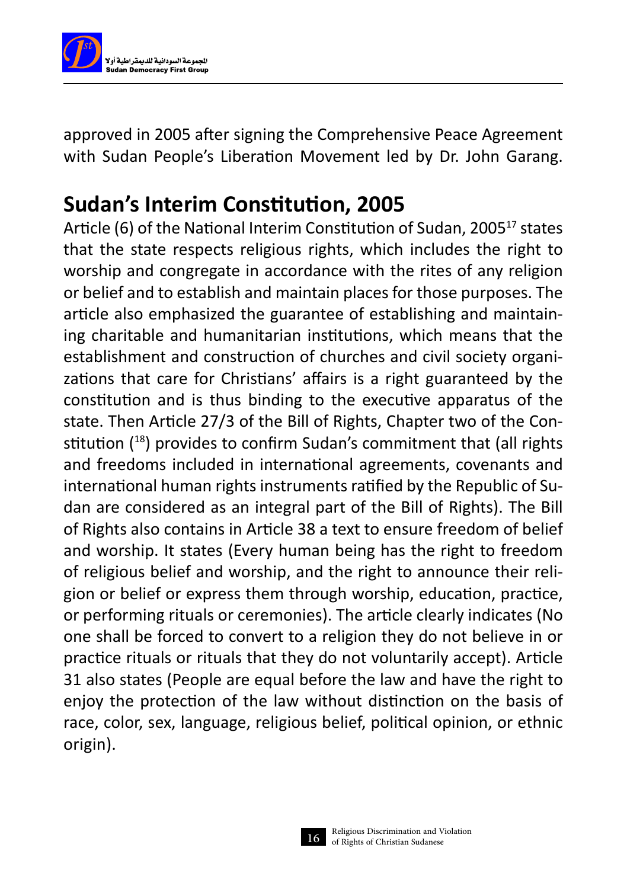

approved in 2005 after signing the Comprehensive Peace Agreement with Sudan People's Liberation Movement led by Dr. John Garang.

## **Sudan's Interim Constitution, 2005**

Article (6) of the National Interim Constitution of Sudan, 2005<sup>17</sup> states that the state respects religious rights, which includes the right to worship and congregate in accordance with the rites of any religion or belief and to establish and maintain places for those purposes. The article also emphasized the guarantee of establishing and maintaining charitable and humanitarian institutions, which means that the establishment and construction of churches and civil society organizations that care for Christians' affairs is a right guaranteed by the constitution and is thus binding to the executive apparatus of the state. Then Article 27/3 of the Bill of Rights, Chapter two of the Constitution (<sup>18</sup>) provides to confirm Sudan's commitment that (all rights and freedoms included in international agreements, covenants and international human rights instruments ratified by the Republic of Sudan are considered as an integral part of the Bill of Rights). The Bill of Rights also contains in Article 38 a text to ensure freedom of belief and worship. It states (Every human being has the right to freedom of religious belief and worship, and the right to announce their religion or belief or express them through worship, education, practice, or performing rituals or ceremonies). The article clearly indicates (No one shall be forced to convert to a religion they do not believe in or practice rituals or rituals that they do not voluntarily accept). Article 31 also states (People are equal before the law and have the right to enjoy the protection of the law without distinction on the basis of race, color, sex, language, religious belief, political opinion, or ethnic origin).

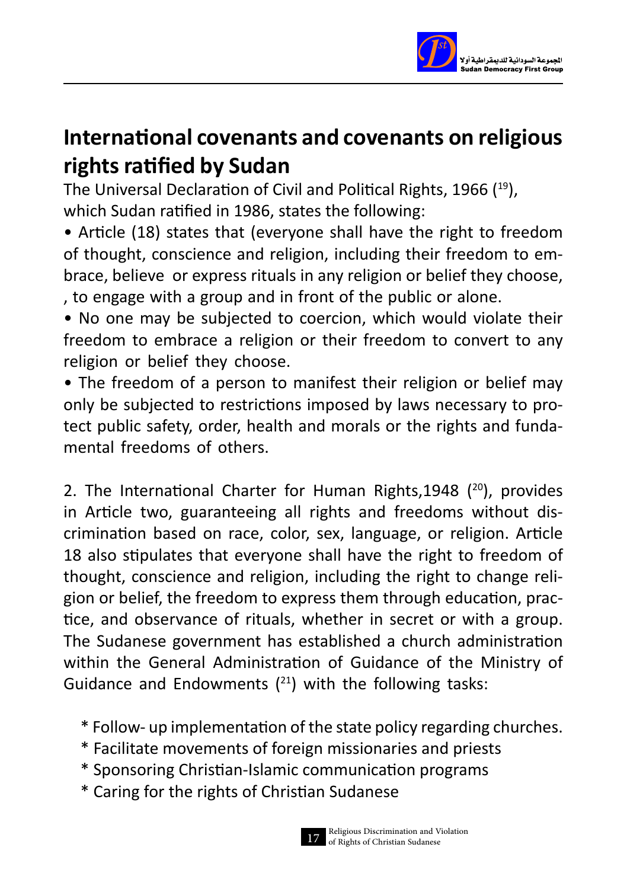

## **International covenants and covenants on religious rights ratified by Sudan**

The Universal Declaration of Civil and Political Rights, 1966 (19), which Sudan ratified in 1986, states the following:

- Article (18) states that (everyone shall have the right to freedom of thought, conscience and religion, including their freedom to embrace, believe or express rituals in any religion or belief they choose, , to engage with a group and in front of the public or alone.
- No one may be subjected to coercion, which would violate their freedom to embrace a religion or their freedom to convert to any religion or belief they choose.
- The freedom of a person to manifest their religion or belief may only be subjected to restrictions imposed by laws necessary to protect public safety, order, health and morals or the rights and fundamental freedoms of others.

2. The International Charter for Human Rights, 1948  $(20)$ , provides in Article two, guaranteeing all rights and freedoms without discrimination based on race, color, sex, language, or religion. Article 18 also stipulates that everyone shall have the right to freedom of thought, conscience and religion, including the right to change religion or belief, the freedom to express them through education, practice, and observance of rituals, whether in secret or with a group. The Sudanese government has established a church administration within the General Administration of Guidance of the Ministry of Guidance and Endowments  $(^{21})$  with the following tasks:

- \* Follow- up implementation of the state policy regarding churches.
- \* Facilitate movements of foreign missionaries and priests
- \* Sponsoring Christian-Islamic communication programs
- \* Caring for the rights of Christian Sudanese

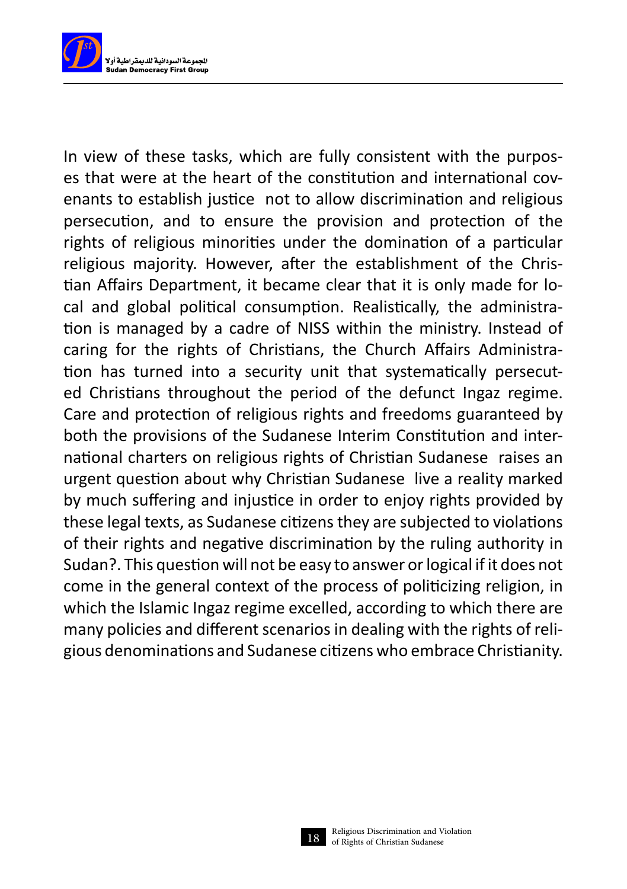

In view of these tasks, which are fully consistent with the purposes that were at the heart of the constitution and international covenants to establish justice not to allow discrimination and religious persecution, and to ensure the provision and protection of the rights of religious minorities under the domination of a particular religious majority. However, after the establishment of the Christian Affairs Department, it became clear that it is only made for local and global political consumption. Realistically, the administration is managed by a cadre of NISS within the ministry. Instead of caring for the rights of Christians, the Church Affairs Administration has turned into a security unit that systematically persecuted Christians throughout the period of the defunct Ingaz regime. Care and protection of religious rights and freedoms guaranteed by both the provisions of the Sudanese Interim Constitution and international charters on religious rights of Christian Sudanese raises an urgent question about why Christian Sudanese live a reality marked by much suffering and injustice in order to enjoy rights provided by these legal texts, as Sudanese citizens they are subjected to violations of their rights and negative discrimination by the ruling authority in Sudan?. This question will not be easy to answer or logical if it does not come in the general context of the process of politicizing religion, in which the Islamic Ingaz regime excelled, according to which there are many policies and different scenarios in dealing with the rights of religious denominations and Sudanese citizens who embrace Christianity.

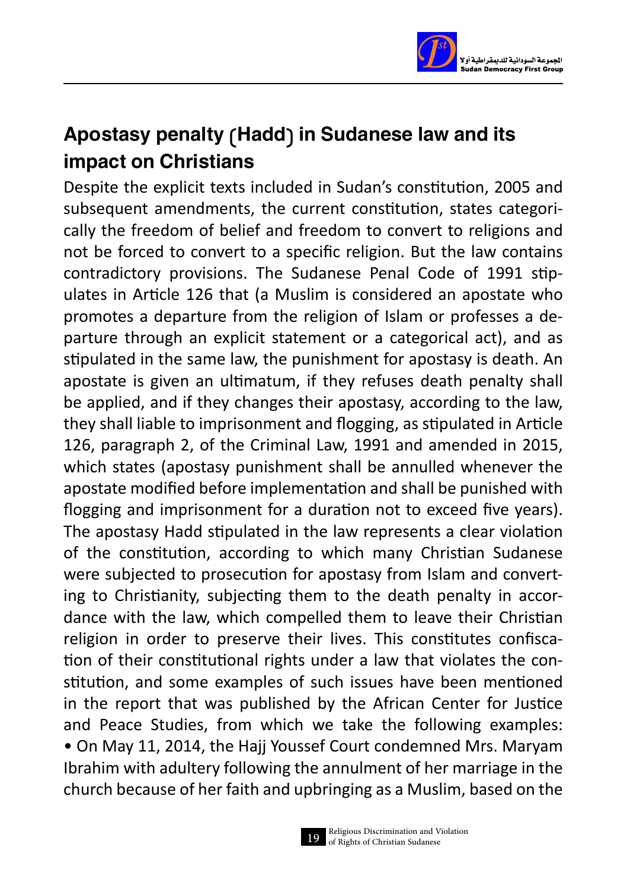

#### Apostasy penalty (Hadd) in Sudanese law and its impact on Christians

Despite the explicit texts included in Sudan's constitution, 2005 and subsequent amendments, the current constitution, states categorically the freedom of belief and freedom to convert to religions and not be forced to convert to a specific religion. But the law contains contradictory provisions. The Sudanese Penal Code of 1991 stipulates in Article 126 that (a Muslim is considered an apostate who promotes a departure from the religion of Islam or professes a departure through an explicit statement or a categorical act), and as stipulated in the same law, the punishment for apostasy is death. An apostate is given an ultimatum, if they refuses death penalty shall be applied, and if they changes their apostasy, according to the law, they shall liable to imprisonment and flogging, as stipulated in Article 126, paragraph 2, of the Criminal Law, 1991 and amended in 2015, which states (apostasy punishment shall be annulled whenever the apostate modified before implementation and shall be punished with flogging and imprisonment for a duration not to exceed five years). The apostasy Hadd stipulated in the law represents a clear violation of the constitution, according to which many Christian Sudanese were subjected to prosecution for apostasy from Islam and converting to Christianity, subjecting them to the death penalty in accordance with the law, which compelled them to leave their Christian religion in order to preserve their lives. This constitutes confiscation of their constitutional rights under a law that violates the constitution, and some examples of such issues have been mentioned in the report that was published by the African Center for Justice and Peace Studies, from which we take the following examples: • On May 11, 2014, the Hajj Youssef Court condemned Mrs. Maryam Ibrahim with adultery following the annulment of her marriage in the church because of her faith and upbringing as a Muslim, based on the

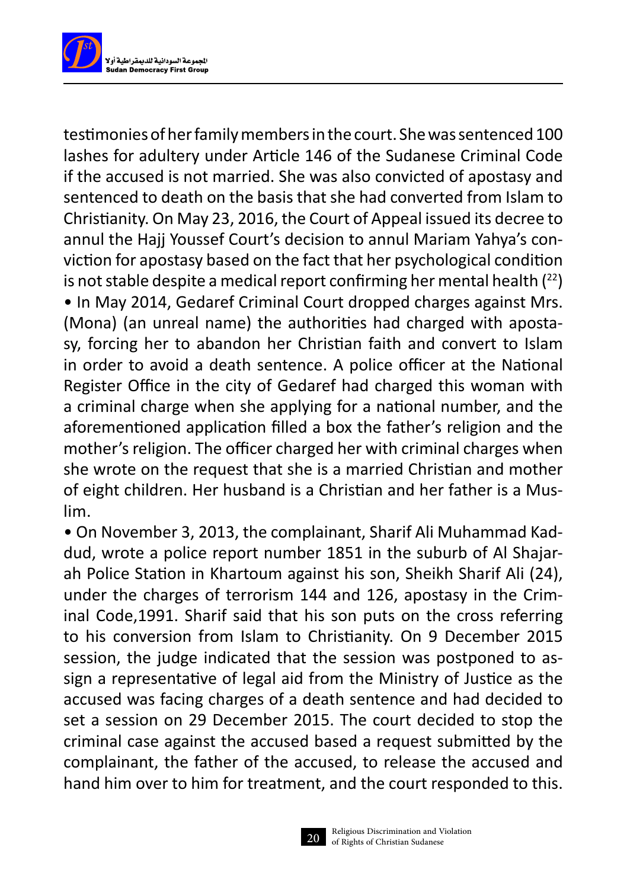

testimonies of her family members in the court. She was sentenced 100 lashes for adultery under Article 146 of the Sudanese Criminal Code if the accused is not married. She was also convicted of apostasy and sentenced to death on the basis that she had converted from Islam to Christianity. On May 23, 2016, the Court of Appeal issued its decree to annul the Hajj Youssef Court's decision to annul Mariam Yahya's conviction for apostasy based on the fact that her psychological condition is not stable despite a medical report confirming her mental health  $(^{22})$ • In May 2014, Gedaref Criminal Court dropped charges against Mrs. (Mona) (an unreal name) the authorities had charged with apostasy, forcing her to abandon her Christian faith and convert to Islam in order to avoid a death sentence. A police officer at the National Register Office in the city of Gedaref had charged this woman with a criminal charge when she applying for a national number, and the aforementioned application filled a box the father's religion and the mother's religion. The officer charged her with criminal charges when she wrote on the request that she is a married Christian and mother of eight children. Her husband is a Christian and her father is a Muslim.

• On November 3, 2013, the complainant, Sharif Ali Muhammad Kaddud, wrote a police report number 1851 in the suburb of Al Shajarah Police Station in Khartoum against his son, Sheikh Sharif Ali (24), under the charges of terrorism 144 and 126, apostasy in the Criminal Code,1991. Sharif said that his son puts on the cross referring to his conversion from Islam to Christianity. On 9 December 2015 session, the judge indicated that the session was postponed to assign a representative of legal aid from the Ministry of Justice as the accused was facing charges of a death sentence and had decided to set a session on 29 December 2015. The court decided to stop the criminal case against the accused based a request submitted by the complainant, the father of the accused, to release the accused and hand him over to him for treatment, and the court responded to this.

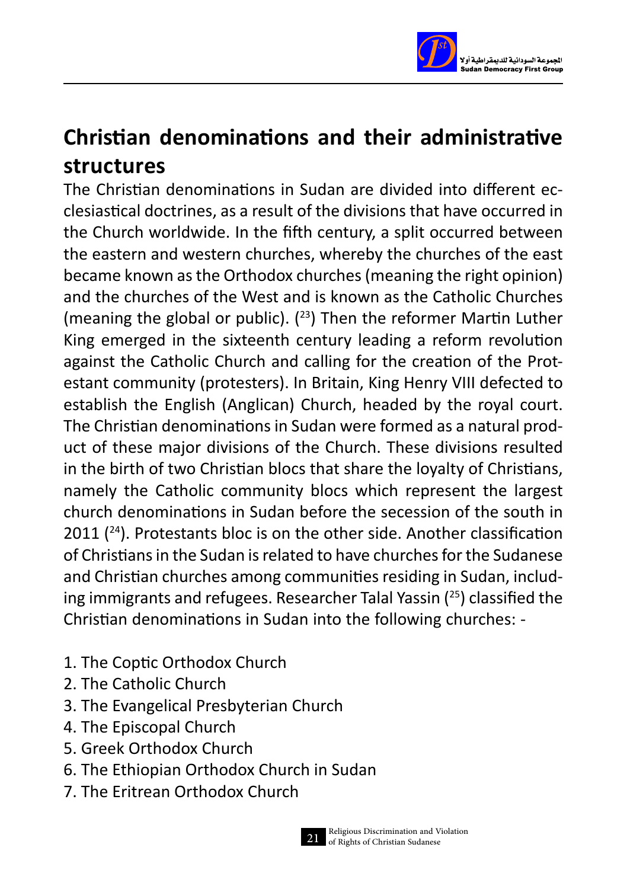

## **Christian denominations and their administrative structures**

The Christian denominations in Sudan are divided into different ecclesiastical doctrines, as a result of the divisions that have occurred in the Church worldwide. In the fifth century, a split occurred between the eastern and western churches, whereby the churches of the east became known as the Orthodox churches (meaning the right opinion) and the churches of the West and is known as the Catholic Churches (meaning the global or public).  $(^{23})$  Then the reformer Martin Luther King emerged in the sixteenth century leading a reform revolution against the Catholic Church and calling for the creation of the Protestant community (protesters). In Britain, King Henry VIII defected to establish the English (Anglican) Church, headed by the royal court. The Christian denominations in Sudan were formed as a natural product of these major divisions of the Church. These divisions resulted in the birth of two Christian blocs that share the loyalty of Christians, namely the Catholic community blocs which represent the largest church denominations in Sudan before the secession of the south in  $2011$  ( $^{24}$ ). Protestants bloc is on the other side. Another classification of Christians in the Sudan is related to have churches for the Sudanese and Christian churches among communities residing in Sudan, including immigrants and refugees. Researcher Talal Yassin ( <sup>25</sup>) classified the Christian denominations in Sudan into the following churches: -

- 1. The Coptic Orthodox Church
- 2. The Catholic Church
- 3. The Evangelical Presbyterian Church
- 4. The Episcopal Church
- 5. Greek Orthodox Church
- 6. The Ethiopian Orthodox Church in Sudan
- 7. The Eritrean Orthodox Church

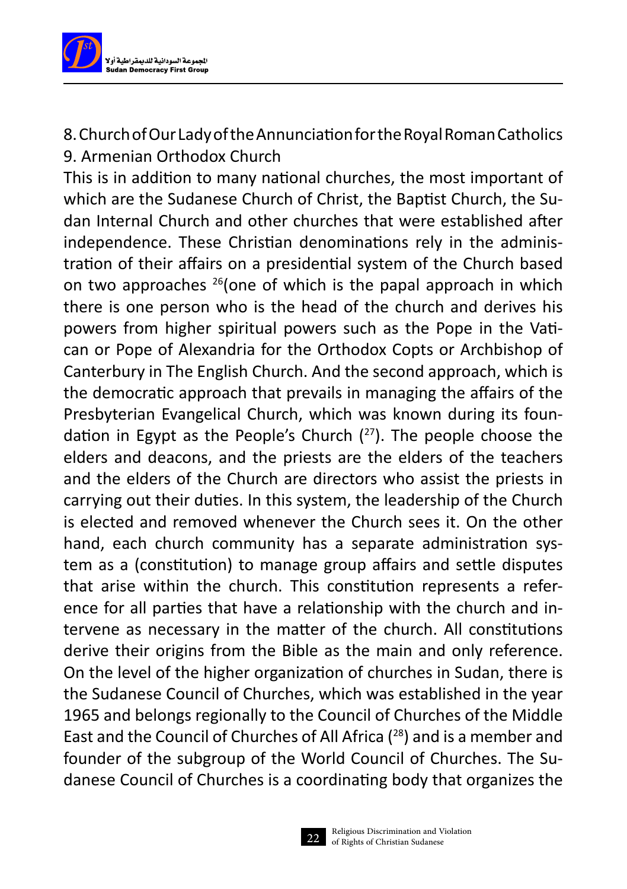

8. Church of Our Lady of the Annunciation for the Royal Roman Catholics 9. Armenian Orthodox Church

This is in addition to many national churches, the most important of which are the Sudanese Church of Christ, the Baptist Church, the Sudan Internal Church and other churches that were established after independence. These Christian denominations rely in the administration of their affairs on a presidential system of the Church based on two approaches 26(one of which is the papal approach in which there is one person who is the head of the church and derives his powers from higher spiritual powers such as the Pope in the Vatican or Pope of Alexandria for the Orthodox Copts or Archbishop of Canterbury in The English Church. And the second approach, which is the democratic approach that prevails in managing the affairs of the Presbyterian Evangelical Church, which was known during its foundation in Egypt as the People's Church  $(^{27})$ . The people choose the elders and deacons, and the priests are the elders of the teachers and the elders of the Church are directors who assist the priests in carrying out their duties. In this system, the leadership of the Church is elected and removed whenever the Church sees it. On the other hand, each church community has a separate administration system as a (constitution) to manage group affairs and settle disputes that arise within the church. This constitution represents a reference for all parties that have a relationship with the church and intervene as necessary in the matter of the church. All constitutions derive their origins from the Bible as the main and only reference. On the level of the higher organization of churches in Sudan, there is the Sudanese Council of Churches, which was established in the year 1965 and belongs regionally to the Council of Churches of the Middle East and the Council of Churches of All Africa ( 28) and is a member and founder of the subgroup of the World Council of Churches. The Sudanese Council of Churches is a coordinating body that organizes the

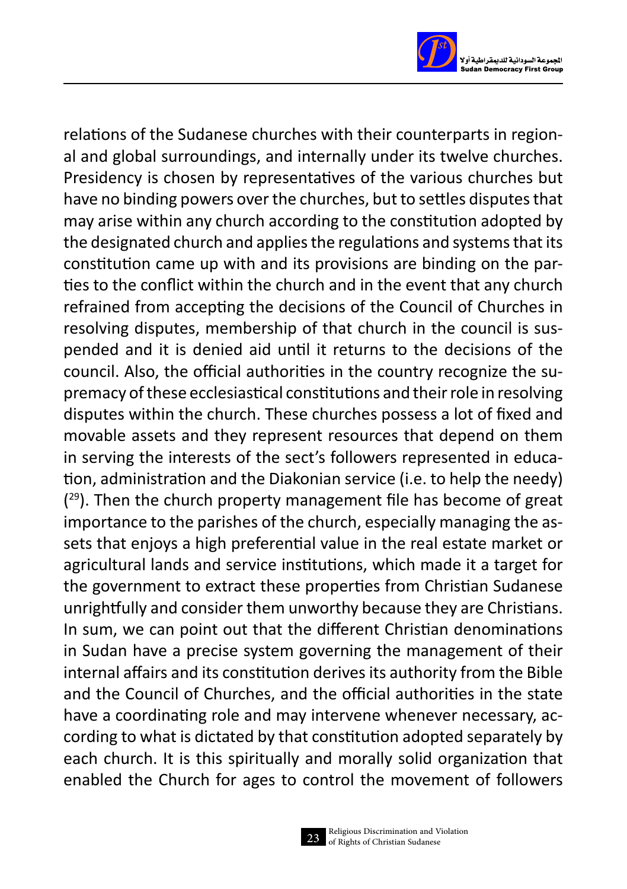

relations of the Sudanese churches with their counterparts in regional and global surroundings, and internally under its twelve churches. Presidency is chosen by representatives of the various churches but have no binding powers over the churches, but to settles disputes that may arise within any church according to the constitution adopted by the designated church and applies the regulations and systems that its constitution came up with and its provisions are binding on the parties to the conflict within the church and in the event that any church refrained from accepting the decisions of the Council of Churches in resolving disputes, membership of that church in the council is suspended and it is denied aid until it returns to the decisions of the council. Also, the official authorities in the country recognize the supremacy of these ecclesiastical constitutions and their role in resolving disputes within the church. These churches possess a lot of fixed and movable assets and they represent resources that depend on them in serving the interests of the sect's followers represented in education, administration and the Diakonian service (i.e. to help the needy)  $(29)$ . Then the church property management file has become of great importance to the parishes of the church, especially managing the assets that enjoys a high preferential value in the real estate market or agricultural lands and service institutions, which made it a target for the government to extract these properties from Christian Sudanese unrightfully and consider them unworthy because they are Christians. In sum, we can point out that the different Christian denominations in Sudan have a precise system governing the management of their internal affairs and its constitution derives its authority from the Bible and the Council of Churches, and the official authorities in the state have a coordinating role and may intervene whenever necessary, according to what is dictated by that constitution adopted separately by each church. It is this spiritually and morally solid organization that enabled the Church for ages to control the movement of followers

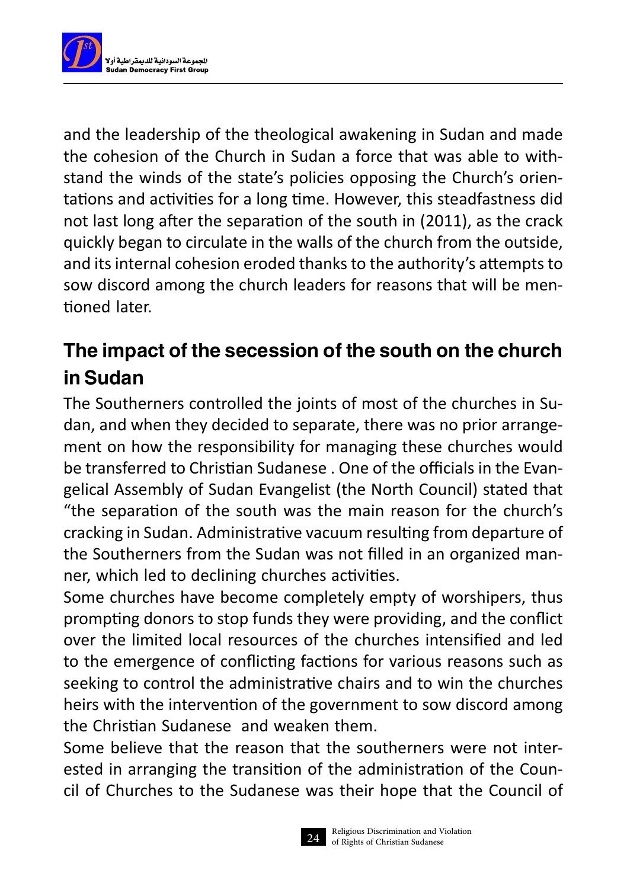

and the leadership of the theological awakening in Sudan and made the cohesion of the Church in Sudan a force that was able to withstand the winds of the state's policies opposing the Church's orientations and activities for a long time. However, this steadfastness did not last long after the separation of the south in (2011), as the crack quickly began to circulate in the walls of the church from the outside, and its internal cohesion eroded thanks to the authority's attempts to sow discord among the church leaders for reasons that will be mentioned later.

#### The impact of the secession of the south on the church in Sudan

The Southerners controlled the joints of most of the churches in Sudan, and when they decided to separate, there was no prior arrangement on how the responsibility for managing these churches would be transferred to Christian Sudanese . One of the officials in the Evangelical Assembly of Sudan Evangelist (the North Council) stated that "the separation of the south was the main reason for the church's cracking in Sudan. Administrative vacuum resulting from departure of the Southerners from the Sudan was not filled in an organized manner, which led to declining churches activities.

Some churches have become completely empty of worshipers, thus prompting donors to stop funds they were providing, and the conflict over the limited local resources of the churches intensified and led to the emergence of conflicting factions for various reasons such as seeking to control the administrative chairs and to win the churches heirs with the intervention of the government to sow discord among the Christian Sudanese and weaken them.

Some believe that the reason that the southerners were not interested in arranging the transition of the administration of the Council of Churches to the Sudanese was their hope that the Council of

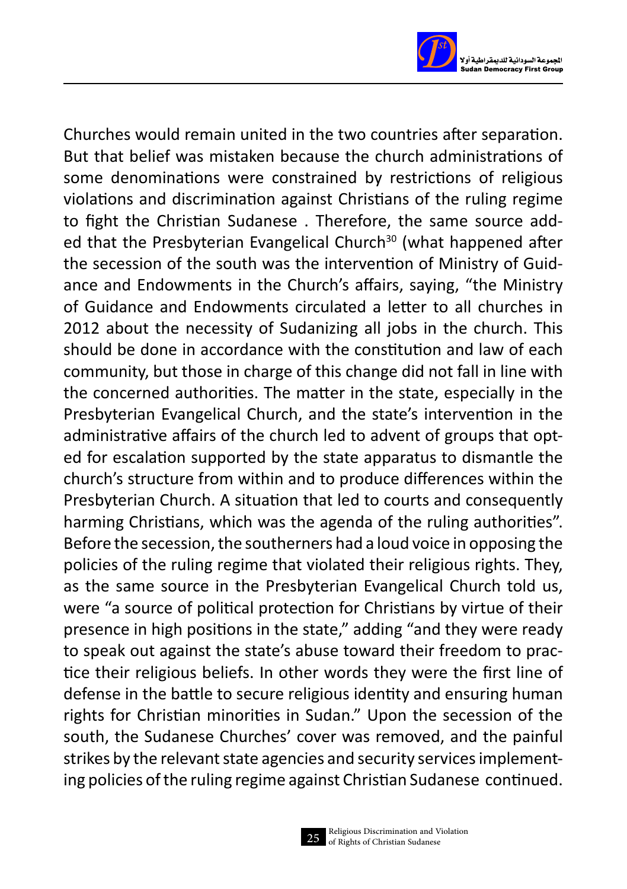

Churches would remain united in the two countries after separation. But that belief was mistaken because the church administrations of some denominations were constrained by restrictions of religious violations and discrimination against Christians of the ruling regime to fight the Christian Sudanese . Therefore, the same source added that the Presbyterian Evangelical Church<sup>30</sup> (what happened after the secession of the south was the intervention of Ministry of Guidance and Endowments in the Church's affairs, saying, "the Ministry of Guidance and Endowments circulated a letter to all churches in 2012 about the necessity of Sudanizing all jobs in the church. This should be done in accordance with the constitution and law of each community, but those in charge of this change did not fall in line with the concerned authorities. The matter in the state, especially in the Presbyterian Evangelical Church, and the state's intervention in the administrative affairs of the church led to advent of groups that opted for escalation supported by the state apparatus to dismantle the church's structure from within and to produce differences within the Presbyterian Church. A situation that led to courts and consequently harming Christians, which was the agenda of the ruling authorities". Before the secession, the southerners had a loud voice in opposing the policies of the ruling regime that violated their religious rights. They, as the same source in the Presbyterian Evangelical Church told us, were "a source of political protection for Christians by virtue of their presence in high positions in the state," adding "and they were ready to speak out against the state's abuse toward their freedom to practice their religious beliefs. In other words they were the first line of defense in the battle to secure religious identity and ensuring human rights for Christian minorities in Sudan." Upon the secession of the south, the Sudanese Churches' cover was removed, and the painful strikes by the relevant state agencies and security services implementing policies of the ruling regime against Christian Sudanese continued.

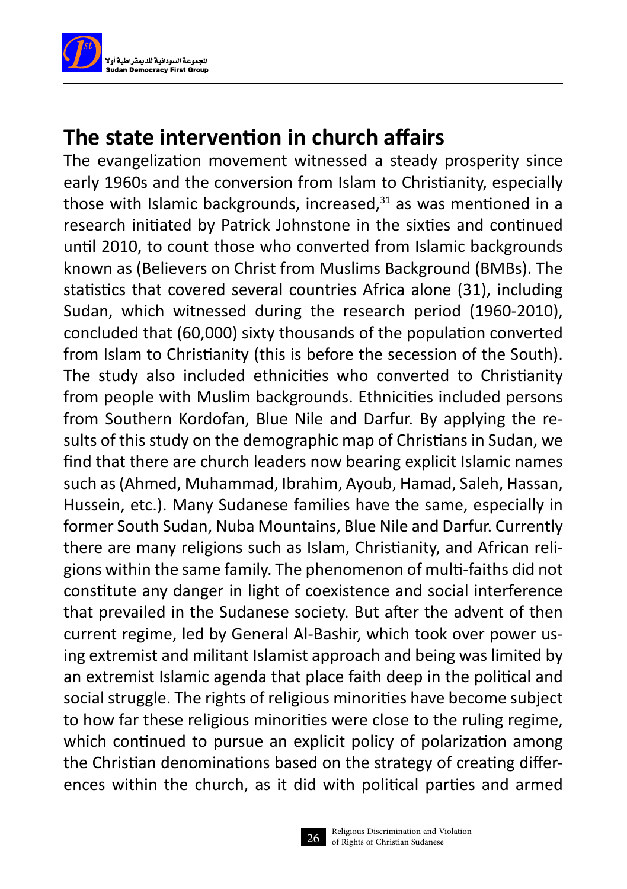

#### **The state intervention in church affairs**

The evangelization movement witnessed a steady prosperity since early 1960s and the conversion from Islam to Christianity, especially those with Islamic backgrounds, increased, $31$  as was mentioned in a research initiated by Patrick Johnstone in the sixties and continued until 2010, to count those who converted from Islamic backgrounds known as (Believers on Christ from Muslims Background (BMBs). The statistics that covered several countries Africa alone (31), including Sudan, which witnessed during the research period (1960-2010), concluded that (60,000) sixty thousands of the population converted from Islam to Christianity (this is before the secession of the South). The study also included ethnicities who converted to Christianity from people with Muslim backgrounds. Ethnicities included persons from Southern Kordofan, Blue Nile and Darfur. By applying the results of this study on the demographic map of Christians in Sudan, we find that there are church leaders now bearing explicit Islamic names such as (Ahmed, Muhammad, Ibrahim, Ayoub, Hamad, Saleh, Hassan, Hussein, etc.). Many Sudanese families have the same, especially in former South Sudan, Nuba Mountains, Blue Nile and Darfur. Currently there are many religions such as Islam, Christianity, and African religions within the same family. The phenomenon of multi-faiths did not constitute any danger in light of coexistence and social interference that prevailed in the Sudanese society. But after the advent of then current regime, led by General Al-Bashir, which took over power using extremist and militant Islamist approach and being was limited by an extremist Islamic agenda that place faith deep in the political and social struggle. The rights of religious minorities have become subject to how far these religious minorities were close to the ruling regime, which continued to pursue an explicit policy of polarization among the Christian denominations based on the strategy of creating differences within the church, as it did with political parties and armed

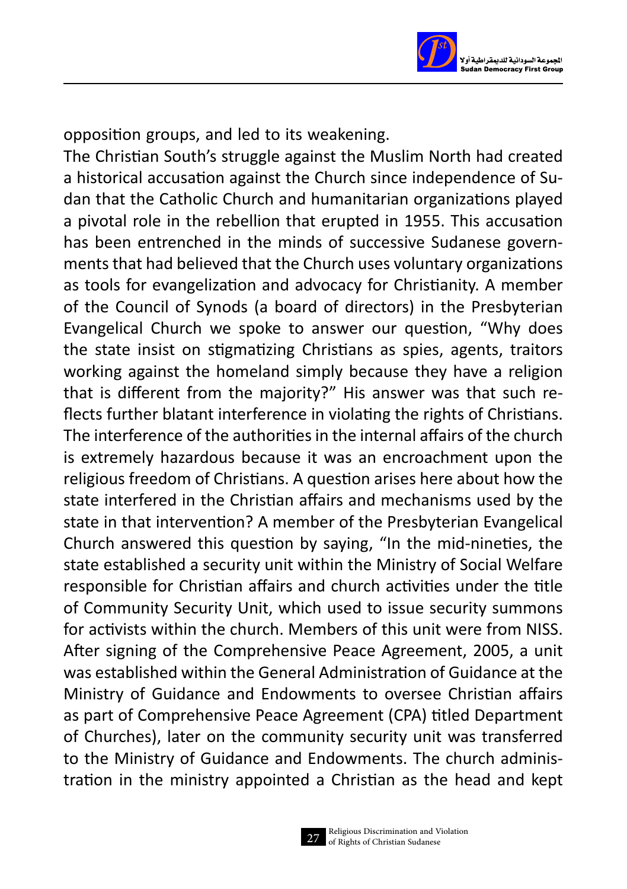

opposition groups, and led to its weakening.

The Christian South's struggle against the Muslim North had created a historical accusation against the Church since independence of Sudan that the Catholic Church and humanitarian organizations played a pivotal role in the rebellion that erupted in 1955. This accusation has been entrenched in the minds of successive Sudanese governments that had believed that the Church uses voluntary organizations as tools for evangelization and advocacy for Christianity. A member of the Council of Synods (a board of directors) in the Presbyterian Evangelical Church we spoke to answer our question, "Why does the state insist on stigmatizing Christians as spies, agents, traitors working against the homeland simply because they have a religion that is different from the majority?" His answer was that such reflects further blatant interference in violating the rights of Christians. The interference of the authorities in the internal affairs of the church is extremely hazardous because it was an encroachment upon the religious freedom of Christians. A question arises here about how the state interfered in the Christian affairs and mechanisms used by the state in that intervention? A member of the Presbyterian Evangelical Church answered this question by saying, "In the mid-nineties, the state established a security unit within the Ministry of Social Welfare responsible for Christian affairs and church activities under the title of Community Security Unit, which used to issue security summons for activists within the church. Members of this unit were from NISS. After signing of the Comprehensive Peace Agreement, 2005, a unit was established within the General Administration of Guidance at the Ministry of Guidance and Endowments to oversee Christian affairs as part of Comprehensive Peace Agreement (CPA) titled Department of Churches), later on the community security unit was transferred to the Ministry of Guidance and Endowments. The church administration in the ministry appointed a Christian as the head and kept

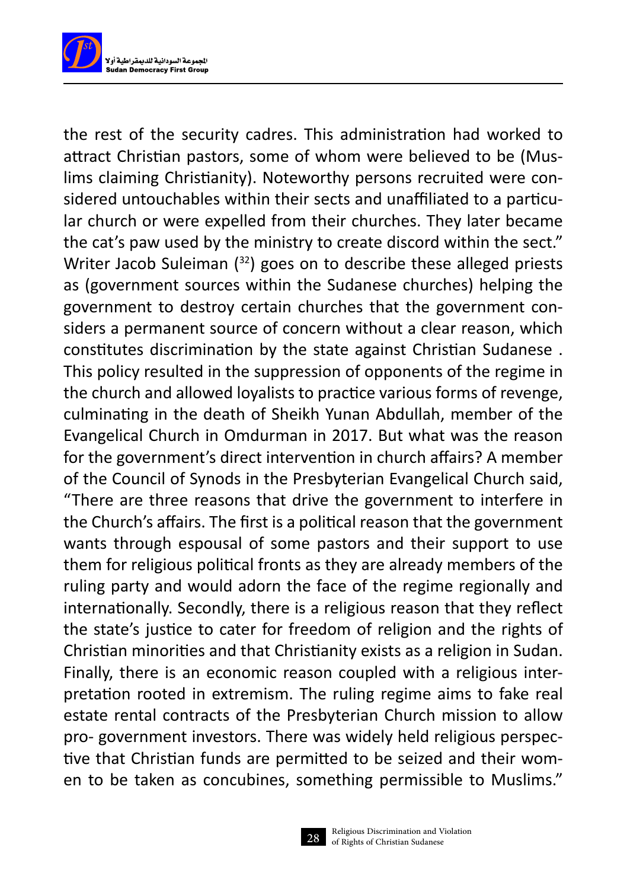

the rest of the security cadres. This administration had worked to attract Christian pastors, some of whom were believed to be (Muslims claiming Christianity). Noteworthy persons recruited were considered untouchables within their sects and unaffiliated to a particular church or were expelled from their churches. They later became the cat's paw used by the ministry to create discord within the sect." Writer Jacob Suleiman (<sup>32</sup>) goes on to describe these alleged priests as (government sources within the Sudanese churches) helping the government to destroy certain churches that the government considers a permanent source of concern without a clear reason, which constitutes discrimination by the state against Christian Sudanese . This policy resulted in the suppression of opponents of the regime in the church and allowed loyalists to practice various forms of revenge, culminating in the death of Sheikh Yunan Abdullah, member of the Evangelical Church in Omdurman in 2017. But what was the reason for the government's direct intervention in church affairs? A member of the Council of Synods in the Presbyterian Evangelical Church said, "There are three reasons that drive the government to interfere in the Church's affairs. The first is a political reason that the government wants through espousal of some pastors and their support to use them for religious political fronts as they are already members of the ruling party and would adorn the face of the regime regionally and internationally. Secondly, there is a religious reason that they reflect the state's justice to cater for freedom of religion and the rights of Christian minorities and that Christianity exists as a religion in Sudan. Finally, there is an economic reason coupled with a religious interpretation rooted in extremism. The ruling regime aims to fake real estate rental contracts of the Presbyterian Church mission to allow pro- government investors. There was widely held religious perspective that Christian funds are permitted to be seized and their women to be taken as concubines, something permissible to Muslims."

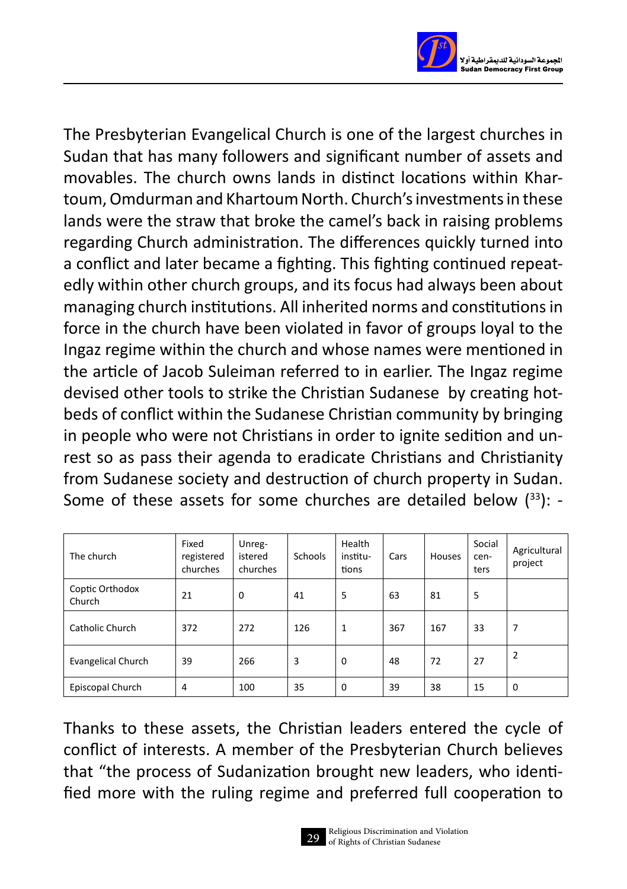

The Presbyterian Evangelical Church is one of the largest churches in Sudan that has many followers and significant number of assets and movables. The church owns lands in distinct locations within Khartoum, Omdurman and Khartoum North. Church's investments in these lands were the straw that broke the camel's back in raising problems regarding Church administration. The differences quickly turned into a conflict and later became a fighting. This fighting continued repeatedly within other church groups, and its focus had always been about managing church institutions. All inherited norms and constitutions in force in the church have been violated in favor of groups loyal to the Ingaz regime within the church and whose names were mentioned in the article of Jacob Suleiman referred to in earlier. The Ingaz regime devised other tools to strike the Christian Sudanese by creating hotbeds of conflict within the Sudanese Christian community by bringing in people who were not Christians in order to ignite sedition and unrest so as pass their agenda to eradicate Christians and Christianity from Sudanese society and destruction of church property in Sudan. Some of these assets for some churches are detailed below  $(^{33})$ : -

| The church                | Fixed<br>registered<br>churches | Unreg-<br>istered<br>churches | Schools | Health<br>institu-<br>tions | Cars | Houses | Social<br>cen-<br>ters | Agricultural<br>project |
|---------------------------|---------------------------------|-------------------------------|---------|-----------------------------|------|--------|------------------------|-------------------------|
| Coptic Orthodox<br>Church | 21                              | $\mathbf 0$                   | 41      | 5                           | 63   | 81     | 5                      |                         |
| Catholic Church           | 372                             | 272                           | 126     | 1                           | 367  | 167    | 33                     | 7                       |
| <b>Evangelical Church</b> | 39                              | 266                           | 3       | $\mathbf 0$                 | 48   | 72     | 27                     | 2                       |
| Episcopal Church          | $\overline{4}$                  | 100                           | 35      | $\mathbf 0$                 | 39   | 38     | 15                     | 0                       |

Thanks to these assets, the Christian leaders entered the cycle of conflict of interests. A member of the Presbyterian Church believes that "the process of Sudanization brought new leaders, who identified more with the ruling regime and preferred full cooperation to

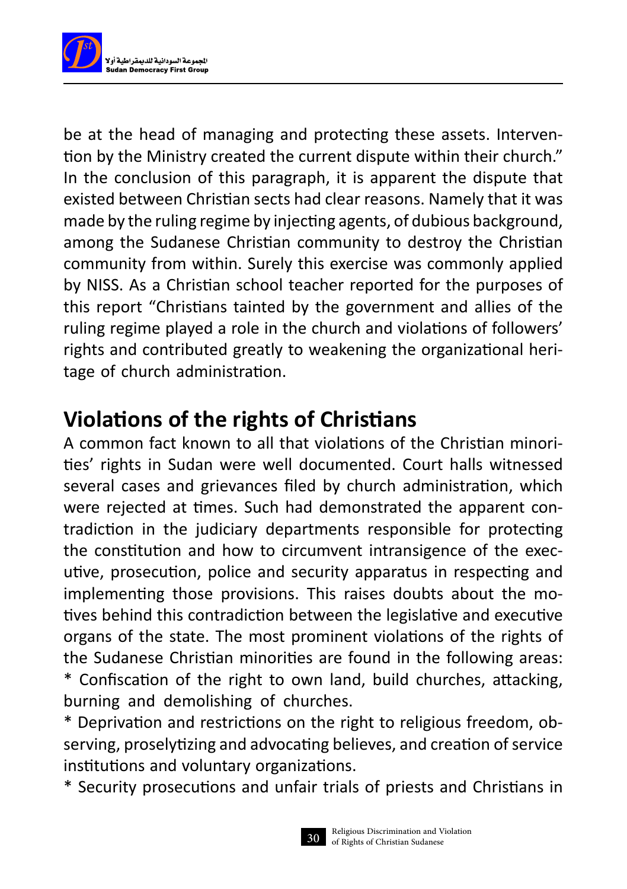

be at the head of managing and protecting these assets. Intervention by the Ministry created the current dispute within their church." In the conclusion of this paragraph, it is apparent the dispute that existed between Christian sects had clear reasons. Namely that it was made by the ruling regime by injecting agents, of dubious background, among the Sudanese Christian community to destroy the Christian community from within. Surely this exercise was commonly applied by NISS. As a Christian school teacher reported for the purposes of this report "Christians tainted by the government and allies of the ruling regime played a role in the church and violations of followers' rights and contributed greatly to weakening the organizational heritage of church administration.

#### **Violations of the rights of Christians**

A common fact known to all that violations of the Christian minorities' rights in Sudan were well documented. Court halls witnessed several cases and grievances filed by church administration, which were rejected at times. Such had demonstrated the apparent contradiction in the judiciary departments responsible for protecting the constitution and how to circumvent intransigence of the executive, prosecution, police and security apparatus in respecting and implementing those provisions. This raises doubts about the motives behind this contradiction between the legislative and executive organs of the state. The most prominent violations of the rights of the Sudanese Christian minorities are found in the following areas: \* Confiscation of the right to own land, build churches, attacking, burning and demolishing of churches.

\* Deprivation and restrictions on the right to religious freedom, observing, proselytizing and advocating believes, and creation of service institutions and voluntary organizations.

\* Security prosecutions and unfair trials of priests and Christians in

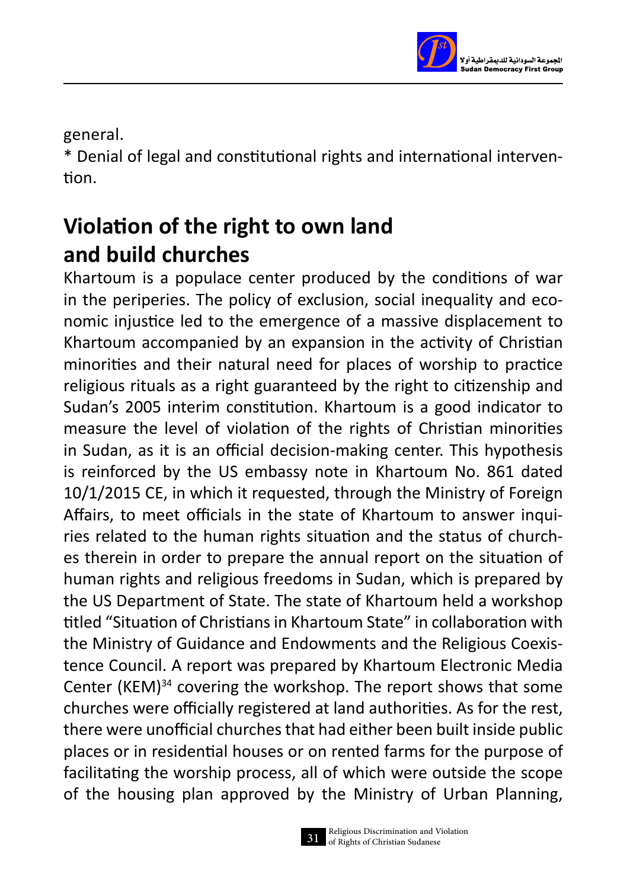

general.

\* Denial of legal and constitutional rights and international intervention.

## **Violation of the right to own land and build churches**

Khartoum is a populace center produced by the conditions of war in the periperies. The policy of exclusion, social inequality and economic injustice led to the emergence of a massive displacement to Khartoum accompanied by an expansion in the activity of Christian minorities and their natural need for places of worship to practice religious rituals as a right guaranteed by the right to citizenship and Sudan's 2005 interim constitution. Khartoum is a good indicator to measure the level of violation of the rights of Christian minorities in Sudan, as it is an official decision-making center. This hypothesis is reinforced by the US embassy note in Khartoum No. 861 dated 10/1/2015 CE, in which it requested, through the Ministry of Foreign Affairs, to meet officials in the state of Khartoum to answer inquiries related to the human rights situation and the status of churches therein in order to prepare the annual report on the situation of human rights and religious freedoms in Sudan, which is prepared by the US Department of State. The state of Khartoum held a workshop titled "Situation of Christians in Khartoum State" in collaboration with the Ministry of Guidance and Endowments and the Religious Coexistence Council. A report was prepared by Khartoum Electronic Media Center (KEM)<sup>34</sup> covering the workshop. The report shows that some churches were officially registered at land authorities. As for the rest, there were unofficial churches that had either been built inside public places or in residential houses or on rented farms for the purpose of facilitating the worship process, all of which were outside the scope of the housing plan approved by the Ministry of Urban Planning,

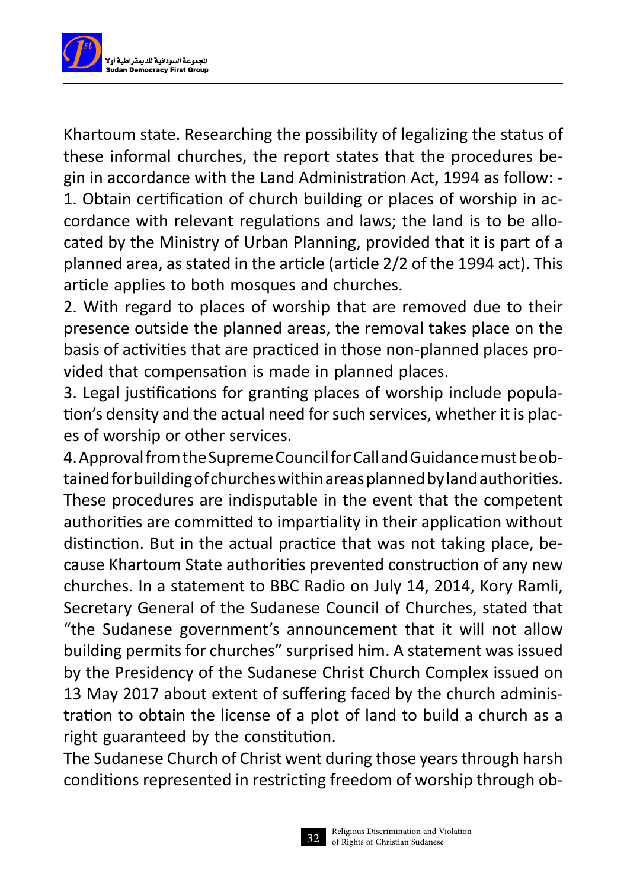

Khartoum state. Researching the possibility of legalizing the status of these informal churches, the report states that the procedures begin in accordance with the Land Administration Act, 1994 as follow: - 1. Obtain certification of church building or places of worship in accordance with relevant regulations and laws; the land is to be allocated by the Ministry of Urban Planning, provided that it is part of a planned area, as stated in the article (article 2/2 of the 1994 act). This article applies to both mosques and churches.

2. With regard to places of worship that are removed due to their presence outside the planned areas, the removal takes place on the basis of activities that are practiced in those non-planned places provided that compensation is made in planned places.

3. Legal justifications for granting places of worship include population's density and the actual need for such services, whether it is places of worship or other services.

4. Approval from the Supreme Council for Call and Guidance must be obtained for building of churches within areas planned by land authorities. These procedures are indisputable in the event that the competent authorities are committed to impartiality in their application without distinction. But in the actual practice that was not taking place, because Khartoum State authorities prevented construction of any new churches. In a statement to BBC Radio on July 14, 2014, Kory Ramli, Secretary General of the Sudanese Council of Churches, stated that "the Sudanese government's announcement that it will not allow building permits for churches" surprised him. A statement was issued by the Presidency of the Sudanese Christ Church Complex issued on 13 May 2017 about extent of suffering faced by the church administration to obtain the license of a plot of land to build a church as a right guaranteed by the constitution.

The Sudanese Church of Christ went during those years through harsh conditions represented in restricting freedom of worship through ob-

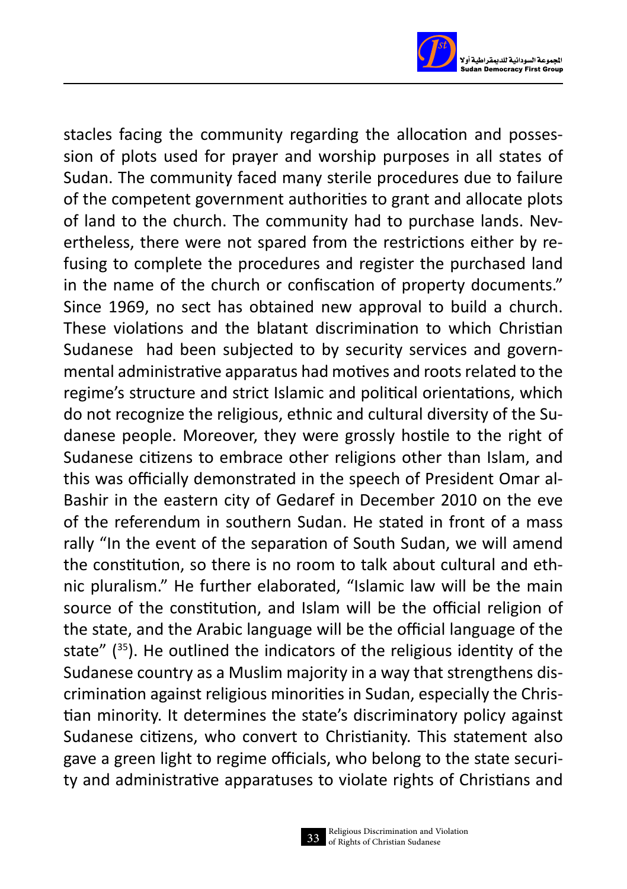

stacles facing the community regarding the allocation and possession of plots used for prayer and worship purposes in all states of Sudan. The community faced many sterile procedures due to failure of the competent government authorities to grant and allocate plots of land to the church. The community had to purchase lands. Nevertheless, there were not spared from the restrictions either by refusing to complete the procedures and register the purchased land in the name of the church or confiscation of property documents." Since 1969, no sect has obtained new approval to build a church. These violations and the blatant discrimination to which Christian Sudanese had been subjected to by security services and governmental administrative apparatus had motives and roots related to the regime's structure and strict Islamic and political orientations, which do not recognize the religious, ethnic and cultural diversity of the Sudanese people. Moreover, they were grossly hostile to the right of Sudanese citizens to embrace other religions other than Islam, and this was officially demonstrated in the speech of President Omar al-Bashir in the eastern city of Gedaref in December 2010 on the eve of the referendum in southern Sudan. He stated in front of a mass rally "In the event of the separation of South Sudan, we will amend the constitution, so there is no room to talk about cultural and ethnic pluralism." He further elaborated, "Islamic law will be the main source of the constitution, and Islam will be the official religion of the state, and the Arabic language will be the official language of the state"  $(^{35})$ . He outlined the indicators of the religious identity of the Sudanese country as a Muslim majority in a way that strengthens discrimination against religious minorities in Sudan, especially the Christian minority. It determines the state's discriminatory policy against Sudanese citizens, who convert to Christianity. This statement also gave a green light to regime officials, who belong to the state security and administrative apparatuses to violate rights of Christians and

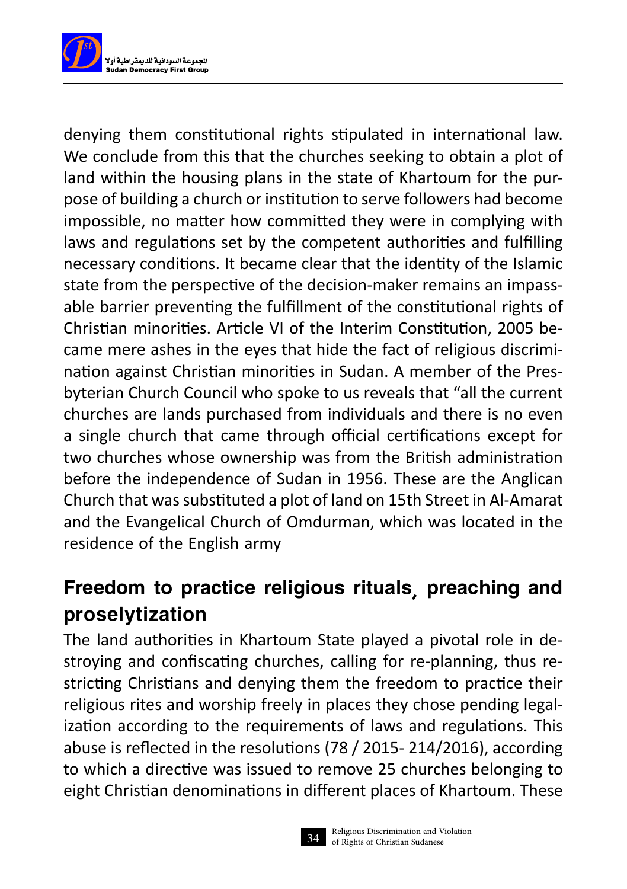

denying them constitutional rights stipulated in international law. We conclude from this that the churches seeking to obtain a plot of land within the housing plans in the state of Khartoum for the purpose of building a church or institution to serve followers had become impossible, no matter how committed they were in complying with laws and regulations set by the competent authorities and fulfilling necessary conditions. It became clear that the identity of the Islamic state from the perspective of the decision-maker remains an impassable barrier preventing the fulfillment of the constitutional rights of Christian minorities. Article VI of the Interim Constitution, 2005 became mere ashes in the eyes that hide the fact of religious discrimination against Christian minorities in Sudan. A member of the Presbyterian Church Council who spoke to us reveals that "all the current churches are lands purchased from individuals and there is no even a single church that came through official certifications except for two churches whose ownership was from the British administration before the independence of Sudan in 1956. These are the Anglican Church that was substituted a plot of land on 15th Street in Al-Amarat and the Evangelical Church of Omdurman, which was located in the residence of the English army

#### Freedom to practice religious rituals, preaching and proselytization

The land authorities in Khartoum State played a pivotal role in destroying and confiscating churches, calling for re-planning, thus restricting Christians and denying them the freedom to practice their religious rites and worship freely in places they chose pending legalization according to the requirements of laws and regulations. This abuse is reflected in the resolutions (78 / 2015- 214/2016), according to which a directive was issued to remove 25 churches belonging to eight Christian denominations in different places of Khartoum. These

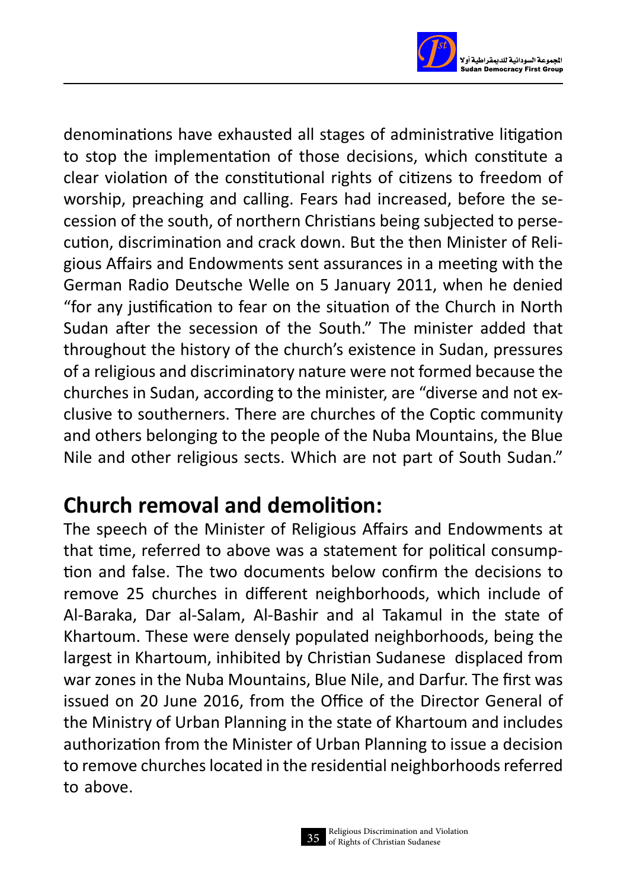

denominations have exhausted all stages of administrative litigation to stop the implementation of those decisions, which constitute a clear violation of the constitutional rights of citizens to freedom of worship, preaching and calling. Fears had increased, before the secession of the south, of northern Christians being subjected to persecution, discrimination and crack down. But the then Minister of Religious Affairs and Endowments sent assurances in a meeting with the German Radio Deutsche Welle on 5 January 2011, when he denied "for any justification to fear on the situation of the Church in North Sudan after the secession of the South." The minister added that throughout the history of the church's existence in Sudan, pressures of a religious and discriminatory nature were not formed because the churches in Sudan, according to the minister, are "diverse and not exclusive to southerners. There are churches of the Coptic community and others belonging to the people of the Nuba Mountains, the Blue Nile and other religious sects. Which are not part of South Sudan."

## **Church removal and demolition:**

The speech of the Minister of Religious Affairs and Endowments at that time, referred to above was a statement for political consumption and false. The two documents below confirm the decisions to remove 25 churches in different neighborhoods, which include of Al-Baraka, Dar al-Salam, Al-Bashir and al Takamul in the state of Khartoum. These were densely populated neighborhoods, being the largest in Khartoum, inhibited by Christian Sudanese displaced from war zones in the Nuba Mountains, Blue Nile, and Darfur. The first was issued on 20 June 2016, from the Office of the Director General of the Ministry of Urban Planning in the state of Khartoum and includes authorization from the Minister of Urban Planning to issue a decision to remove churches located in the residential neighborhoods referred to above.

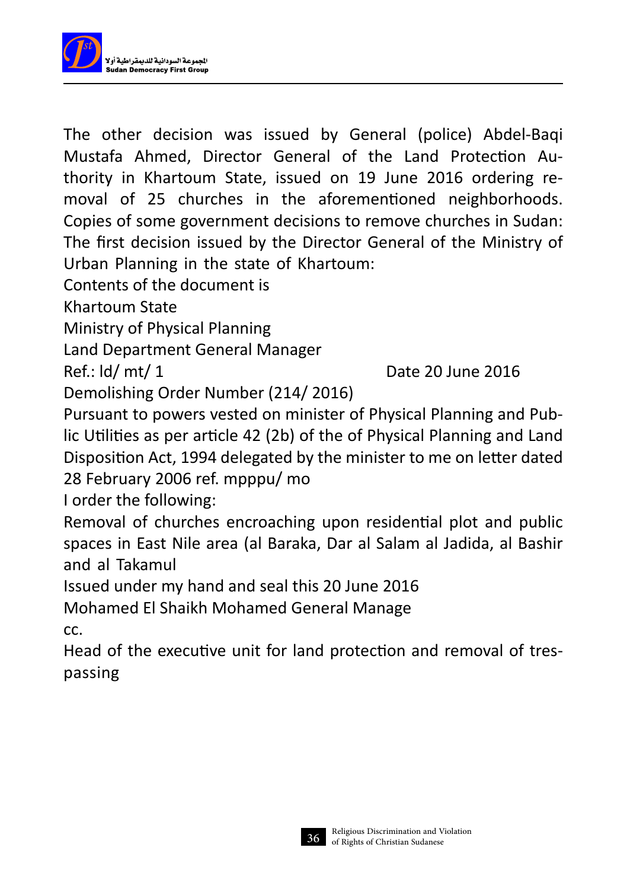

The other decision was issued by General (police) Abdel-Baqi Mustafa Ahmed, Director General of the Land Protection Authority in Khartoum State, issued on 19 June 2016 ordering removal of 25 churches in the aforementioned neighborhoods. Copies of some government decisions to remove churches in Sudan: The first decision issued by the Director General of the Ministry of Urban Planning in the state of Khartoum:

Contents of the document is

Khartoum State

Ministry of Physical Planning

Land Department General Manager

Ref.: ld/ mt/ 1 Date 20 June 2016

Demolishing Order Number (214/ 2016)

Pursuant to powers vested on minister of Physical Planning and Public Utilities as per article 42 (2b) of the of Physical Planning and Land Disposition Act, 1994 delegated by the minister to me on letter dated 28 February 2006 ref. mpppu/ mo

I order the following:

Removal of churches encroaching upon residential plot and public spaces in East Nile area (al Baraka, Dar al Salam al Jadida, al Bashir and al Takamul

Issued under my hand and seal this 20 June 2016

Mohamed El Shaikh Mohamed General Manage cc.

Head of the executive unit for land protection and removal of trespassing

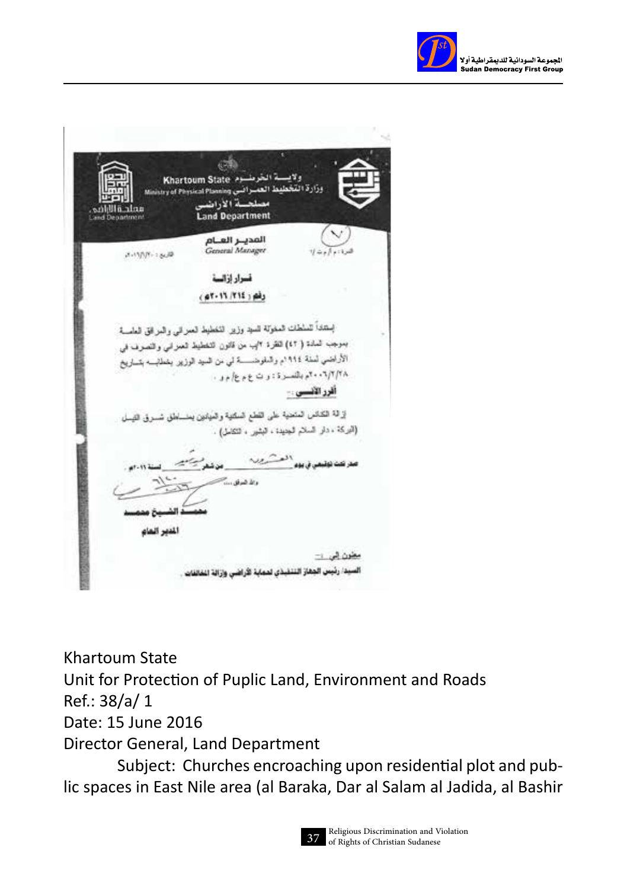

Khartoum State 2 ولا التخطيط العب stry of Physical Plan .<br>4 الأراضى antic attitive **Land Department ATTACHE** المدير العنام General Manager **BUSINESS** فسرار ازالسة راه ( ٢١٤ /٢١٤ - ٥٢٠ بستدأ تسلطك المغولة للسيد وزير التخطيط العمراني والمرافق العامسة بموجب المادة ( ٢) لقرة ٢ إب من قانون التخطيط العمراني والتصرف في الأراضي لسنة ١٩٤٤م والدلوضــــــــة لي من السيد الوزير يشملاب بتــــاريخ ۲۰۰۲/۲/۱۸ بالنسرة: رت ع م ع/ م و . أقرر الأنسس .-لِرَقَة الْكَانُسُ الْمُنْحِيَّةِ عَلَى النَّطْعِ الْسَلْتِيَةِ وَالْمَيْتُونَ يَعْلَسُكُنَّ مُسْرِقَ النِّسِل (الركة ، دار السلام الجديدة ، البشير ، التقامل) . العشرير والأضراق .... المصر الماد مغون في ٢٠ لصيدا رئيس الجفاز التنقبذي لمماية الأراضى وازالة انفائقات

Khartoum State Unit for Protection of Puplic Land, Environment and Roads Ref.: 38/a/ 1 Date: 15 June 2016 Director General, Land Department Subject: Churches encroaching upon residential plot and public spaces in East Nile area (al Baraka, Dar al Salam al Jadida, al Bashir

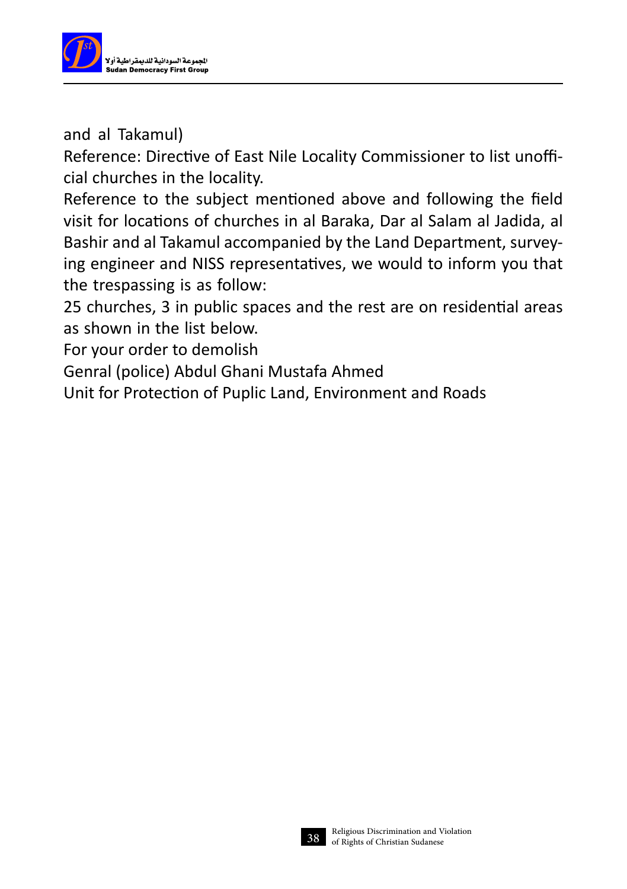

and al Takamul)

Reference: Directive of East Nile Locality Commissioner to list unofficial churches in the locality.

Reference to the subject mentioned above and following the field visit for locations of churches in al Baraka, Dar al Salam al Jadida, al Bashir and al Takamul accompanied by the Land Department, surveying engineer and NISS representatives, we would to inform you that the trespassing is as follow:

25 churches, 3 in public spaces and the rest are on residential areas as shown in the list below.

For your order to demolish

Genral (police) Abdul Ghani Mustafa Ahmed

Unit for Protection of Puplic Land, Environment and Roads

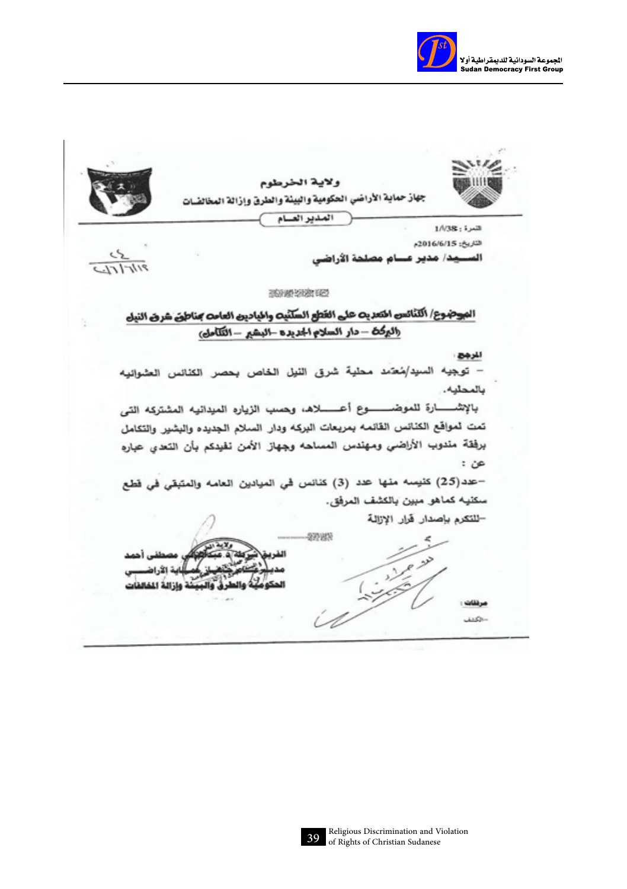

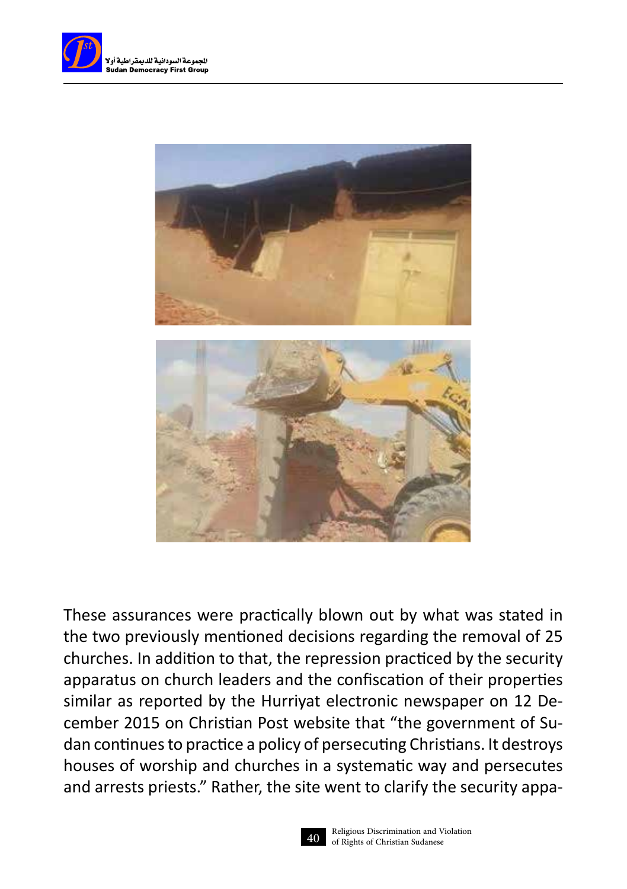



These assurances were practically blown out by what was stated in the two previously mentioned decisions regarding the removal of 25 churches. In addition to that, the repression practiced by the security apparatus on church leaders and the confiscation of their properties similar as reported by the Hurriyat electronic newspaper on 12 December 2015 on Christian Post website that "the government of Sudan continues to practice a policy of persecuting Christians. It destroys houses of worship and churches in a systematic way and persecutes and arrests priests." Rather, the site went to clarify the security appa-

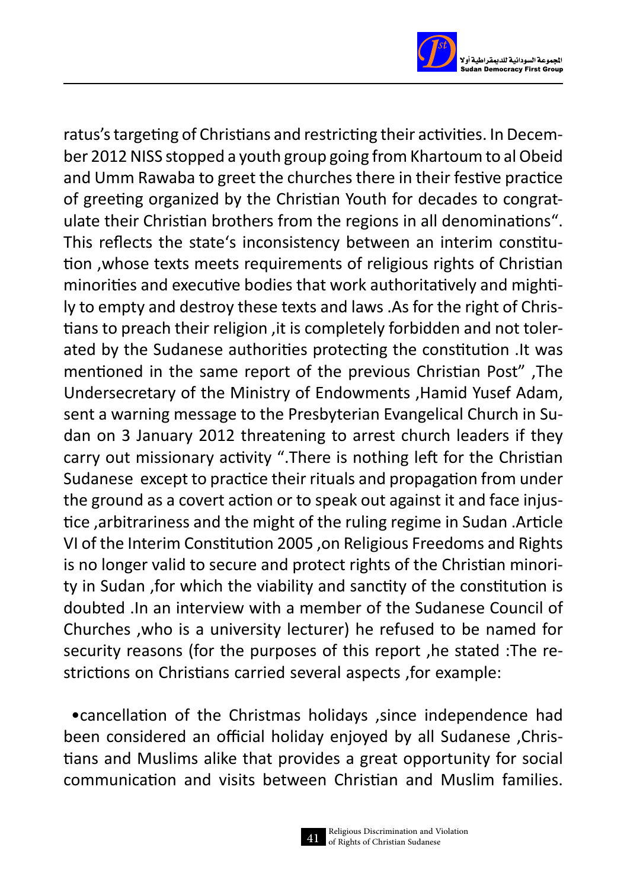

ratus's targeting of Christians and restricting their activities. In December 2012 NISS stopped a youth group going from Khartoum to al Obeid and Umm Rawaba to greet the churches there in their festive practice of greeting organized by the Christian Youth for decades to congratulate their Christian brothers from the regions in all denominations". This reflects the state's inconsistency between an interim constitution ,whose texts meets requirements of religious rights of Christian minorities and executive bodies that work authoritatively and mightily to empty and destroy these texts and laws .As for the right of Christians to preach their religion ,it is completely forbidden and not tolerated by the Sudanese authorities protecting the constitution .It was mentioned in the same report of the previous Christian Post" ,The Undersecretary of the Ministry of Endowments ,Hamid Yusef Adam, sent a warning message to the Presbyterian Evangelical Church in Sudan on 3 January 2012 threatening to arrest church leaders if they carry out missionary activity ".There is nothing left for the Christian Sudanese except to practice their rituals and propagation from under the ground as a covert action or to speak out against it and face injustice ,arbitrariness and the might of the ruling regime in Sudan .Article VI of the Interim Constitution 2005 ,on Religious Freedoms and Rights is no longer valid to secure and protect rights of the Christian minority in Sudan ,for which the viability and sanctity of the constitution is doubted .In an interview with a member of the Sudanese Council of Churches , who is a university lecturer) he refused to be named for security reasons (for the purposes of this report ,he stated :The restrictions on Christians carried several aspects ,for example:

 •cancellation of the Christmas holidays ,since independence had been considered an official holiday enjoyed by all Sudanese ,Christians and Muslims alike that provides a great opportunity for social communication and visits between Christian and Muslim families.

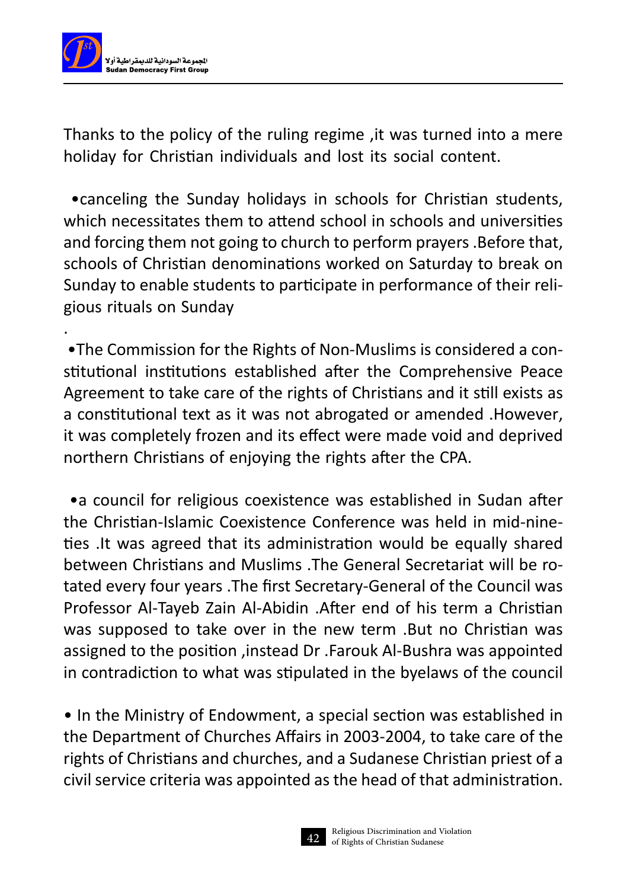

Thanks to the policy of the ruling regime ,it was turned into a mere holiday for Christian individuals and lost its social content.

 •canceling the Sunday holidays in schools for Christian students, which necessitates them to attend school in schools and universities and forcing them not going to church to perform prayers .Before that, schools of Christian denominations worked on Saturday to break on Sunday to enable students to participate in performance of their religious rituals on Sunday

 •The Commission for the Rights of Non-Muslims is considered a constitutional institutions established after the Comprehensive Peace Agreement to take care of the rights of Christians and it still exists as a constitutional text as it was not abrogated or amended .However, it was completely frozen and its effect were made void and deprived northern Christians of enjoying the rights after the CPA.

. A construction of the construction of the construction of the construction of the construction of the construction of the construction of the construction of the construction of the construction of the construction of th

 •a council for religious coexistence was established in Sudan after the Christian-Islamic Coexistence Conference was held in mid-nineties .It was agreed that its administration would be equally shared between Christians and Muslims .The General Secretariat will be rotated every four years .The first Secretary-General of the Council was Professor Al-Tayeb Zain Al-Abidin .After end of his term a Christian was supposed to take over in the new term .But no Christian was assigned to the position ,instead Dr .Farouk Al-Bushra was appointed in contradiction to what was stipulated in the byelaws of the council

• In the Ministry of Endowment, a special section was established in the Department of Churches Affairs in 2003-2004, to take care of the rights of Christians and churches, and a Sudanese Christian priest of a civil service criteria was appointed as the head of that administration.

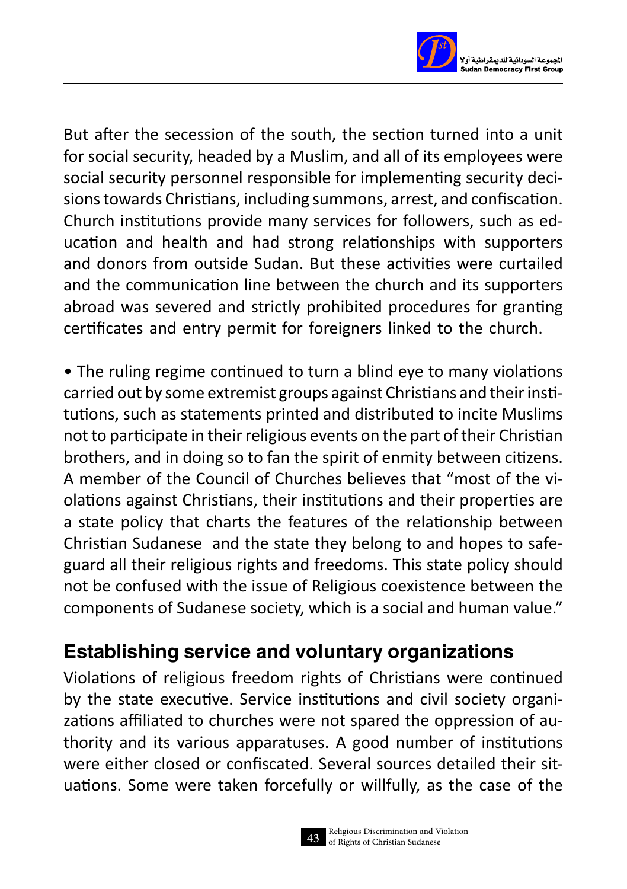

But after the secession of the south, the section turned into a unit for social security, headed by a Muslim, and all of its employees were social security personnel responsible for implementing security decisions towards Christians, including summons, arrest, and confiscation. Church institutions provide many services for followers, such as education and health and had strong relationships with supporters and donors from outside Sudan. But these activities were curtailed and the communication line between the church and its supporters abroad was severed and strictly prohibited procedures for granting certificates and entry permit for foreigners linked to the church.

• The ruling regime continued to turn a blind eye to many violations carried out by some extremist groups against Christians and their institutions, such as statements printed and distributed to incite Muslims not to participate in their religious events on the part of their Christian brothers, and in doing so to fan the spirit of enmity between citizens. A member of the Council of Churches believes that "most of the violations against Christians, their institutions and their properties are a state policy that charts the features of the relationship between Christian Sudanese and the state they belong to and hopes to safeguard all their religious rights and freedoms. This state policy should not be confused with the issue of Religious coexistence between the components of Sudanese society, which is a social and human value."

### Establishing service and voluntary organizations

Violations of religious freedom rights of Christians were continued by the state executive. Service institutions and civil society organizations affiliated to churches were not spared the oppression of authority and its various apparatuses. A good number of institutions were either closed or confiscated. Several sources detailed their situations. Some were taken forcefully or willfully, as the case of the

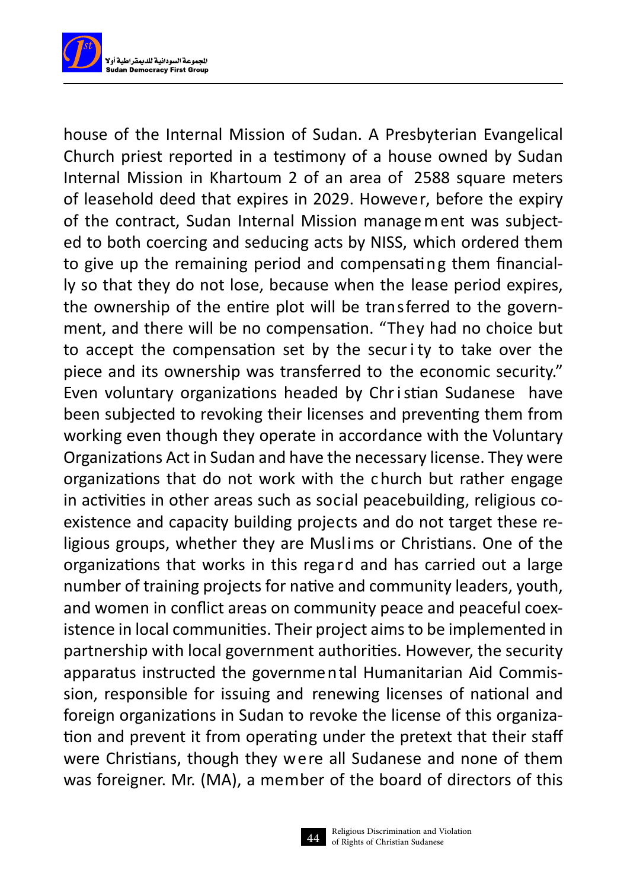

house of the Internal Mission of Sudan. A Presbyterian Evangelical Church priest reported in a testimony of a house owned by Sudan Internal Mission in Khartoum 2 of an area of 2588 square meters of leasehold deed that expires in 2029. However, before the expiry of the contract, Sudan Internal Mission manage m ent was subjected to both coercing and seducing acts by NISS, which ordered them to give up the remaining period and compensating them financially so that they do not lose, because when the lease period expires, the ownership of the entire plot will be transferred to the government, and there will be no compensation. "They had no choice but to accept the compensation set by the secur i ty to take over the piece and its ownership was transferred to the economic security." Even voluntary organizations headed by Chr i stian Sudanese have been subjected to revoking their licenses and preventing them from working even though they operate in accordance with the Voluntary Organizations Act in Sudan and have the necessary license. They were organizations that do not work with the c hurch but rather engage in activities in other areas such as social peacebuilding, religious coexistence and capacity building projects and do not target these religious groups, whether they are Muslims or Christians. One of the organizations that works in this regard and has carried out a large number of training projects for native and community leaders, youth, and women in conflict areas on community peace and peaceful coexistence in local communities. Their project aims to be implemented in partnership with local government authorities. However, the security apparatus instructed the governmental Humanitarian Aid Commission, responsible for issuing and renewing licenses of national and foreign organizations in Sudan to revoke the license of this organization and prevent it from operating under the pretext that their staff were Christians, though they were all Sudanese and none of them was foreigner. Mr. (MA), a member of the board of directors of this

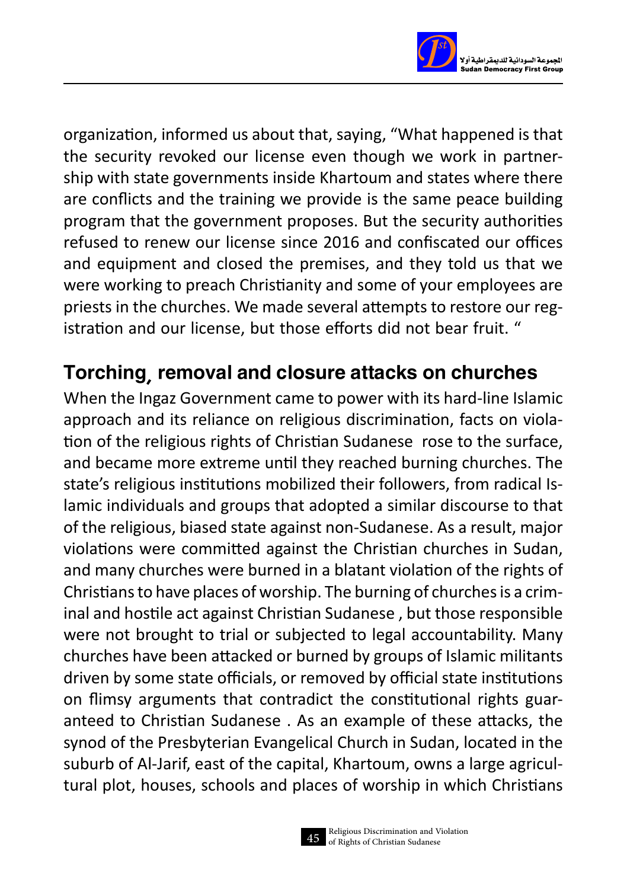

organization, informed us about that, saying, "What happened is that the security revoked our license even though we work in partnership with state governments inside Khartoum and states where there are conflicts and the training we provide is the same peace building program that the government proposes. But the security authorities refused to renew our license since 2016 and confiscated our offices and equipment and closed the premises, and they told us that we were working to preach Christianity and some of your employees are priests in the churches. We made several attempts to restore our registration and our license, but those efforts did not bear fruit. "

### Torching, removal and closure attacks on churches

When the Ingaz Government came to power with its hard-line Islamic approach and its reliance on religious discrimination, facts on violation of the religious rights of Christian Sudanese rose to the surface, and became more extreme until they reached burning churches. The state's religious institutions mobilized their followers, from radical Islamic individuals and groups that adopted a similar discourse to that of the religious, biased state against non-Sudanese. As a result, major violations were committed against the Christian churches in Sudan, and many churches were burned in a blatant violation of the rights of Christians to have places of worship. The burning of churches is a criminal and hostile act against Christian Sudanese , but those responsible were not brought to trial or subjected to legal accountability. Many churches have been attacked or burned by groups of Islamic militants driven by some state officials, or removed by official state institutions on flimsy arguments that contradict the constitutional rights guaranteed to Christian Sudanese . As an example of these attacks, the synod of the Presbyterian Evangelical Church in Sudan, located in the suburb of Al-Jarif, east of the capital, Khartoum, owns a large agricultural plot, houses, schools and places of worship in which Christians

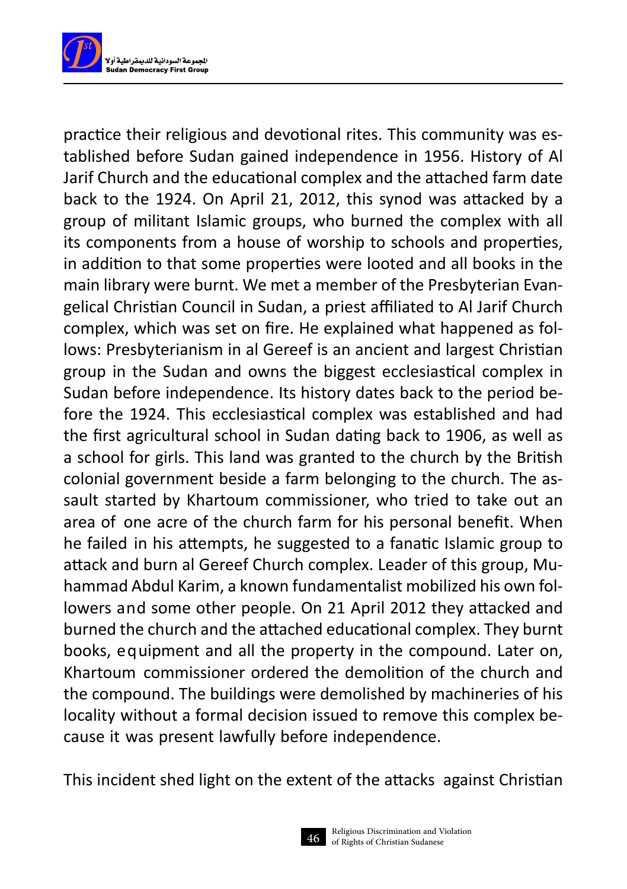

practice their religious and devotional rites. This community was established before Sudan gained independence in 1956. History of Al Jarif Church and the educational complex and the attached farm date back to the 1924. On April 21, 2012, this synod was attacked by a group of militant Islamic groups, who burned the complex with all its components from a house of worship to schools and properties, in addition to that some properties were looted and all books in the main library were burnt. We met a member of the Presbyterian Evangelical Christian Council in Sudan, a priest affiliated to Al Jarif Church complex, which was set on fire. He explained what happened as follows: Presbyterianism in al Gereef is an ancient and largest Christian group in the Sudan and owns the biggest ecclesiastical complex in Sudan before independence. Its history dates back to the period before the 1924. This ecclesiastical complex was established and had the first agricultural school in Sudan dating back to 1906, as well as a school for girls. This land was granted to the church by the British colonial government beside a farm belonging to the church. The assault started by Khartoum commissioner, who tried to take out an area of one acre of the church farm for his personal benefit. When he failed in his attempts, he suggested to a fanatic Islamic group to attack and burn al Gereef Church complex. Leader of this group, Muhammad Abdul Karim, a known fundamentalist mobilized his own followers and some other people. On 21 April 2012 they attacked and burned the church and the attached educational complex. They burnt books, equipment and all the property in the compound. Later on, Khartoum commissioner ordered the demolition of the church and the compound. The buildings were demolished by machineries of his locality without a formal decision issued to remove this complex because it was present lawfully before independence.

This incident shed light on the extent of the attacks against Christian

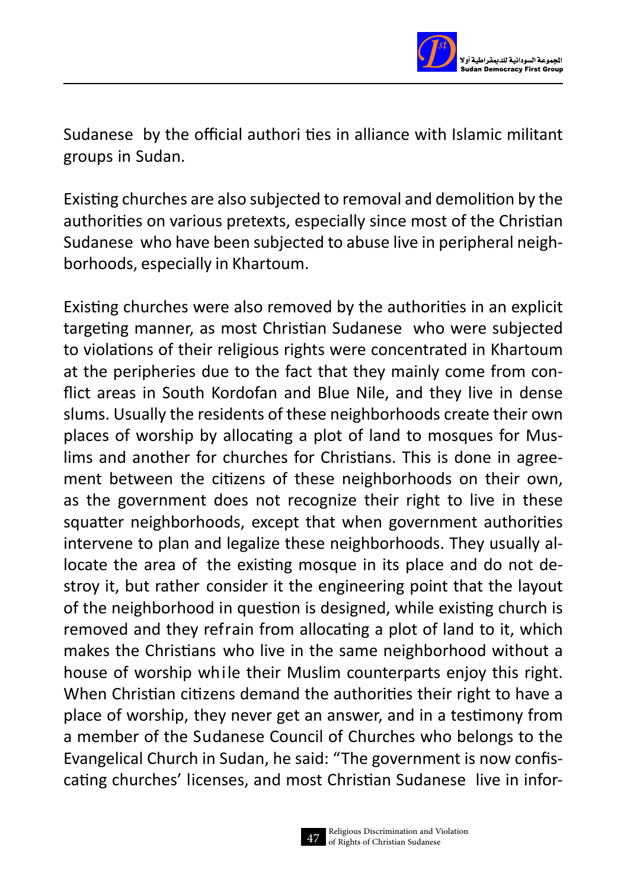

Sudanese by the official authori ties in alliance with Islamic militant groups in Sudan.

Existing churches are also subjected to removal and demolition by the authorities on various pretexts, especially since most of the Christian Sudanese who have been subjected to abuse live in peripheral neighborhoods, especially in Khartoum.

Existing churches were also removed by the authorities in an explicit targeting manner, as most Christian Sudanese who were subjected to violations of their religious rights were concentrated in Khartoum at the peripheries due to the fact that they mainly come from conflict areas in South Kordofan and Blue Nile, and they live in dense slums. Usually the residents of these neighborhoods create their own places of worship by allocating a plot of land to mosques for Muslims and another for churches for Christians. This is done in agreement between the citizens of these neighborhoods on their own, as the government does not recognize their right to live in these squatter neighborhoods, except that when government authorities intervene to plan and legalize these neighborhoods. They usually allocate the area of the existing mosque in its place and do not destroy it, but rather consider it the engineering point that the layout of the neighborhood in question is designed, while existing church is removed and they refrain from allocating a plot of land to it, which makes the Christians who live in the same neighborhood without a house of worship while their Muslim counterparts enjoy this right. When Christian citizens demand the authorities their right to have a place of worship, they never get an answer, and in a testimony from a member of the Sudanese Council of Churches who belongs to the Evangelical Church in Sudan, he said: "The government is now confiscating churches' licenses, and most Christian Sudanese live in infor-

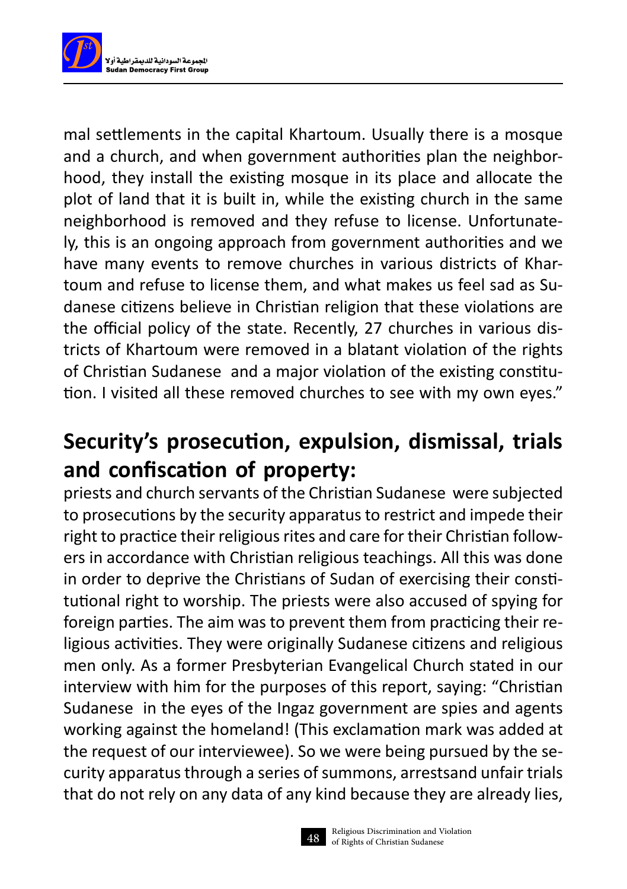

mal settlements in the capital Khartoum. Usually there is a mosque and a church, and when government authorities plan the neighborhood, they install the existing mosque in its place and allocate the plot of land that it is built in, while the existing church in the same neighborhood is removed and they refuse to license. Unfortunately, this is an ongoing approach from government authorities and we have many events to remove churches in various districts of Khartoum and refuse to license them, and what makes us feel sad as Sudanese citizens believe in Christian religion that these violations are the official policy of the state. Recently, 27 churches in various districts of Khartoum were removed in a blatant violation of the rights of Christian Sudanese and a major violation of the existing constitution. I visited all these removed churches to see with my own eyes."

## **Security's prosecution, expulsion, dismissal, trials and confiscation of property:**

priests and church servants of the Christian Sudanese were subjected to prosecutions by the security apparatus to restrict and impede their right to practice their religious rites and care for their Christian followers in accordance with Christian religious teachings. All this was done in order to deprive the Christians of Sudan of exercising their constitutional right to worship. The priests were also accused of spying for foreign parties. The aim was to prevent them from practicing their religious activities. They were originally Sudanese citizens and religious men only. As a former Presbyterian Evangelical Church stated in our interview with him for the purposes of this report, saying: "Christian Sudanese in the eyes of the Ingaz government are spies and agents working against the homeland! (This exclamation mark was added at the request of our interviewee). So we were being pursued by the security apparatus through a series of summons, arrestsand unfair trials that do not rely on any data of any kind because they are already lies,

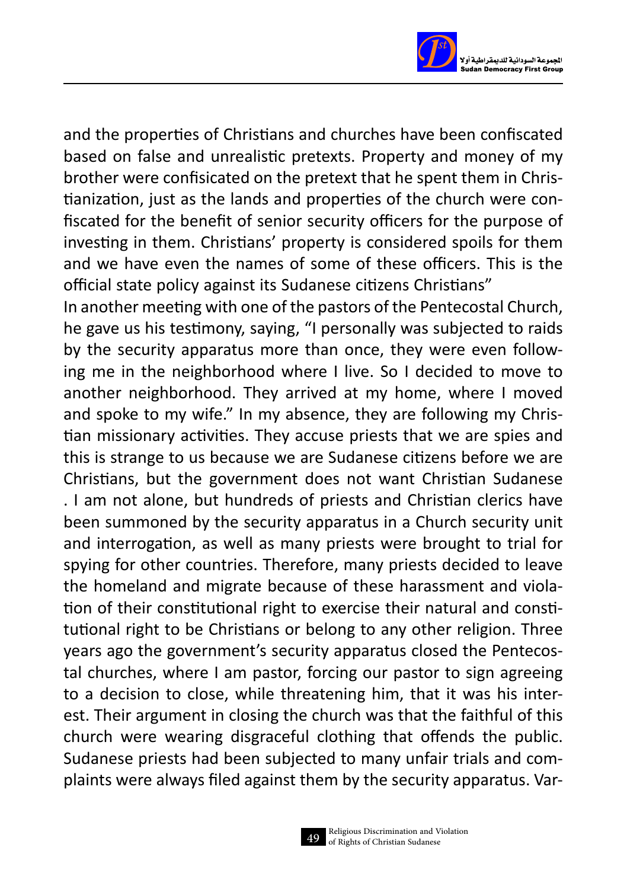

and the properties of Christians and churches have been confiscated based on false and unrealistic pretexts. Property and money of my brother were confisicated on the pretext that he spent them in Christianization, just as the lands and properties of the church were confiscated for the benefit of senior security officers for the purpose of investing in them. Christians' property is considered spoils for them and we have even the names of some of these officers. This is the official state policy against its Sudanese citizens Christians"

In another meeting with one of the pastors of the Pentecostal Church, he gave us his testimony, saying, "I personally was subjected to raids by the security apparatus more than once, they were even following me in the neighborhood where I live. So I decided to move to another neighborhood. They arrived at my home, where I moved and spoke to my wife." In my absence, they are following my Christian missionary activities. They accuse priests that we are spies and this is strange to us because we are Sudanese citizens before we are Christians, but the government does not want Christian Sudanese . I am not alone, but hundreds of priests and Christian clerics have been summoned by the security apparatus in a Church security unit and interrogation, as well as many priests were brought to trial for spying for other countries. Therefore, many priests decided to leave the homeland and migrate because of these harassment and violation of their constitutional right to exercise their natural and constitutional right to be Christians or belong to any other religion. Three years ago the government's security apparatus closed the Pentecostal churches, where I am pastor, forcing our pastor to sign agreeing to a decision to close, while threatening him, that it was his interest. Their argument in closing the church was that the faithful of this church were wearing disgraceful clothing that offends the public. Sudanese priests had been subjected to many unfair trials and complaints were always filed against them by the security apparatus. Var-

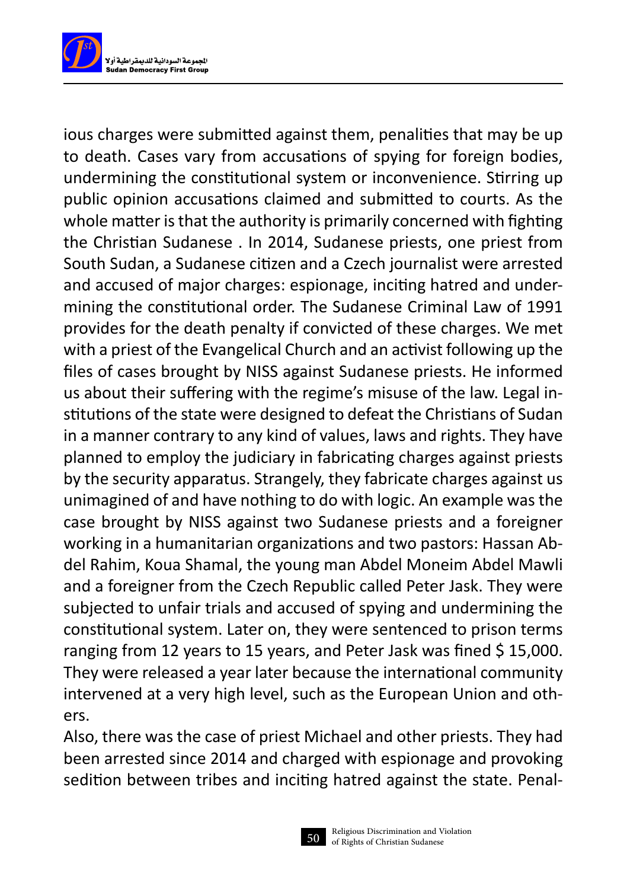

ious charges were submitted against them, penalities that may be up to death. Cases vary from accusations of spying for foreign bodies, undermining the constitutional system or inconvenience. Stirring up public opinion accusations claimed and submitted to courts. As the whole matter is that the authority is primarily concerned with fighting the Christian Sudanese . In 2014, Sudanese priests, one priest from South Sudan, a Sudanese citizen and a Czech journalist were arrested and accused of major charges: espionage, inciting hatred and undermining the constitutional order. The Sudanese Criminal Law of 1991 provides for the death penalty if convicted of these charges. We met with a priest of the Evangelical Church and an activist following up the files of cases brought by NISS against Sudanese priests. He informed us about their suffering with the regime's misuse of the law. Legal institutions of the state were designed to defeat the Christians of Sudan in a manner contrary to any kind of values, laws and rights. They have planned to employ the judiciary in fabricating charges against priests by the security apparatus. Strangely, they fabricate charges against us unimagined of and have nothing to do with logic. An example was the case brought by NISS against two Sudanese priests and a foreigner working in a humanitarian organizations and two pastors: Hassan Abdel Rahim, Koua Shamal, the young man Abdel Moneim Abdel Mawli and a foreigner from the Czech Republic called Peter Jask. They were subjected to unfair trials and accused of spying and undermining the constitutional system. Later on, they were sentenced to prison terms ranging from 12 years to 15 years, and Peter Jask was fined \$15,000. They were released a year later because the international community intervened at a very high level, such as the European Union and others.

Also, there was the case of priest Michael and other priests. They had been arrested since 2014 and charged with espionage and provoking sedition between tribes and inciting hatred against the state. Penal-

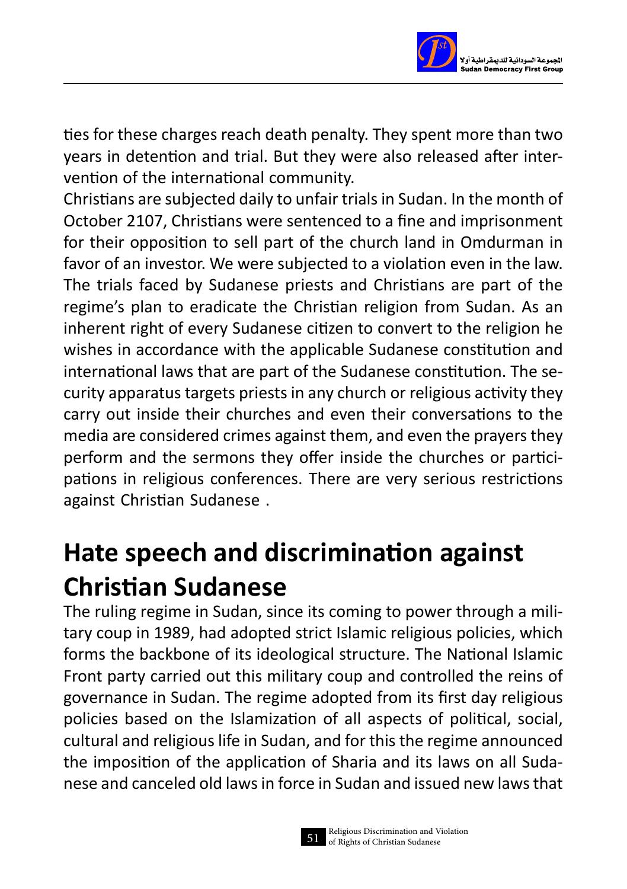

ties for these charges reach death penalty. They spent more than two years in detention and trial. But they were also released after intervention of the international community.

Christians are subjected daily to unfair trials in Sudan. In the month of October 2107, Christians were sentenced to a fine and imprisonment for their opposition to sell part of the church land in Omdurman in favor of an investor. We were subjected to a violation even in the law. The trials faced by Sudanese priests and Christians are part of the regime's plan to eradicate the Christian religion from Sudan. As an inherent right of every Sudanese citizen to convert to the religion he wishes in accordance with the applicable Sudanese constitution and international laws that are part of the Sudanese constitution. The security apparatus targets priests in any church or religious activity they carry out inside their churches and even their conversations to the media are considered crimes against them, and even the prayers they perform and the sermons they offer inside the churches or participations in religious conferences. There are very serious restrictions against Christian Sudanese .

# **Hate speech and discrimination against Christian Sudanese**

The ruling regime in Sudan, since its coming to power through a military coup in 1989, had adopted strict Islamic religious policies, which forms the backbone of its ideological structure. The National Islamic Front party carried out this military coup and controlled the reins of governance in Sudan. The regime adopted from its first day religious policies based on the Islamization of all aspects of political, social, cultural and religious life in Sudan, and for this the regime announced the imposition of the application of Sharia and its laws on all Sudanese and canceled old laws in force in Sudan and issued new laws that

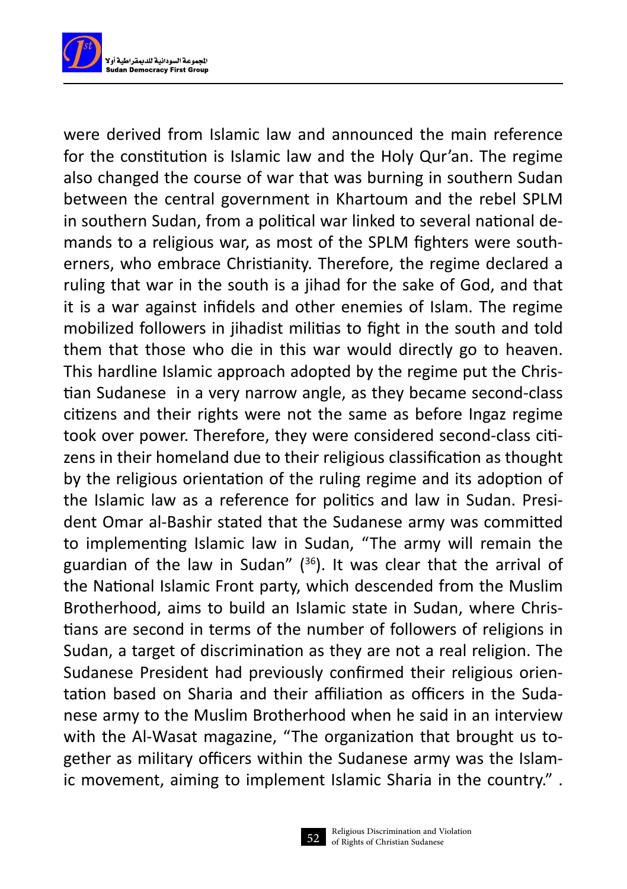

were derived from Islamic law and announced the main reference for the constitution is Islamic law and the Holy Qur'an. The regime also changed the course of war that was burning in southern Sudan between the central government in Khartoum and the rebel SPLM in southern Sudan, from a political war linked to several national demands to a religious war, as most of the SPLM fighters were southerners, who embrace Christianity. Therefore, the regime declared a ruling that war in the south is a jihad for the sake of God, and that it is a war against infidels and other enemies of Islam. The regime mobilized followers in jihadist militias to fight in the south and told them that those who die in this war would directly go to heaven. This hardline Islamic approach adopted by the regime put the Christian Sudanese in a very narrow angle, as they became second-class citizens and their rights were not the same as before Ingaz regime took over power. Therefore, they were considered second-class citizens in their homeland due to their religious classification as thought by the religious orientation of the ruling regime and its adoption of the Islamic law as a reference for politics and law in Sudan. President Omar al-Bashir stated that the Sudanese army was committed to implementing Islamic law in Sudan, "The army will remain the guardian of the law in Sudan"  $(36)$ . It was clear that the arrival of the National Islamic Front party, which descended from the Muslim Brotherhood, aims to build an Islamic state in Sudan, where Christians are second in terms of the number of followers of religions in Sudan, a target of discrimination as they are not a real religion. The Sudanese President had previously confirmed their religious orientation based on Sharia and their affiliation as officers in the Sudanese army to the Muslim Brotherhood when he said in an interview with the Al-Wasat magazine, "The organization that brought us together as military officers within the Sudanese army was the Islamic movement, aiming to implement Islamic Sharia in the country." .

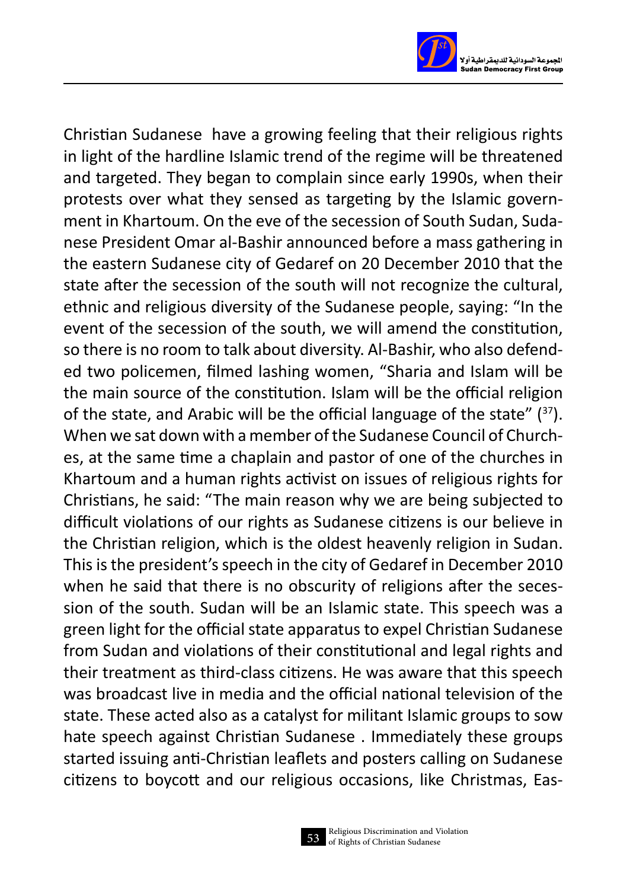

Christian Sudanese have a growing feeling that their religious rights in light of the hardline Islamic trend of the regime will be threatened and targeted. They began to complain since early 1990s, when their protests over what they sensed as targeting by the Islamic government in Khartoum. On the eve of the secession of South Sudan, Sudanese President Omar al-Bashir announced before a mass gathering in the eastern Sudanese city of Gedaref on 20 December 2010 that the state after the secession of the south will not recognize the cultural, ethnic and religious diversity of the Sudanese people, saying: "In the event of the secession of the south, we will amend the constitution, so there is no room to talk about diversity. Al-Bashir, who also defended two policemen, filmed lashing women, "Sharia and Islam will be the main source of the constitution. Islam will be the official religion of the state, and Arabic will be the official language of the state" (37). When we sat down with a member of the Sudanese Council of Churches, at the same time a chaplain and pastor of one of the churches in Khartoum and a human rights activist on issues of religious rights for Christians, he said: "The main reason why we are being subjected to difficult violations of our rights as Sudanese citizens is our believe in the Christian religion, which is the oldest heavenly religion in Sudan. This is the president's speech in the city of Gedaref in December 2010 when he said that there is no obscurity of religions after the secession of the south. Sudan will be an Islamic state. This speech was a green light for the official state apparatus to expel Christian Sudanese from Sudan and violations of their constitutional and legal rights and their treatment as third-class citizens. He was aware that this speech was broadcast live in media and the official national television of the state. These acted also as a catalyst for militant Islamic groups to sow hate speech against Christian Sudanese . Immediately these groups started issuing anti-Christian leaflets and posters calling on Sudanese citizens to boycott and our religious occasions, like Christmas, Eas-

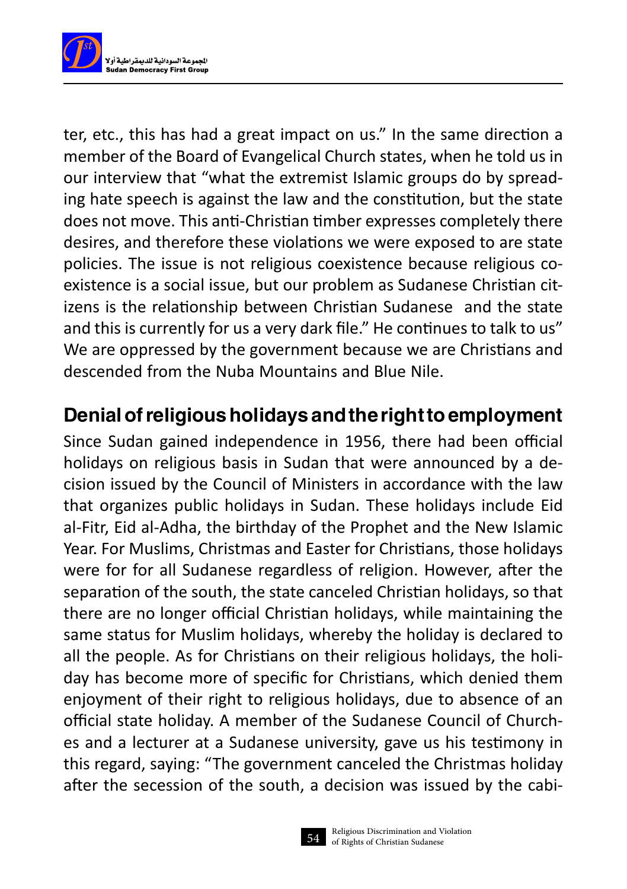

ter, etc., this has had a great impact on us." In the same direction a member of the Board of Evangelical Church states, when he told us in our interview that "what the extremist Islamic groups do by spreading hate speech is against the law and the constitution, but the state does not move. This anti-Christian timber expresses completely there desires, and therefore these violations we were exposed to are state policies. The issue is not religious coexistence because religious coexistence is a social issue, but our problem as Sudanese Christian citizens is the relationship between Christian Sudanese and the state and this is currently for us a very dark file." He continues to talk to us" We are oppressed by the government because we are Christians and descended from the Nuba Mountains and Blue Nile.

### Denial of religious holidays and the right to employment

Since Sudan gained independence in 1956, there had been official holidays on religious basis in Sudan that were announced by a decision issued by the Council of Ministers in accordance with the law that organizes public holidays in Sudan. These holidays include Eid al-Fitr, Eid al-Adha, the birthday of the Prophet and the New Islamic Year. For Muslims, Christmas and Easter for Christians, those holidays were for for all Sudanese regardless of religion. However, after the separation of the south, the state canceled Christian holidays, so that there are no longer official Christian holidays, while maintaining the same status for Muslim holidays, whereby the holiday is declared to all the people. As for Christians on their religious holidays, the holiday has become more of specific for Christians, which denied them enjoyment of their right to religious holidays, due to absence of an official state holiday. A member of the Sudanese Council of Churches and a lecturer at a Sudanese university, gave us his testimony in this regard, saying: "The government canceled the Christmas holiday after the secession of the south, a decision was issued by the cabi-

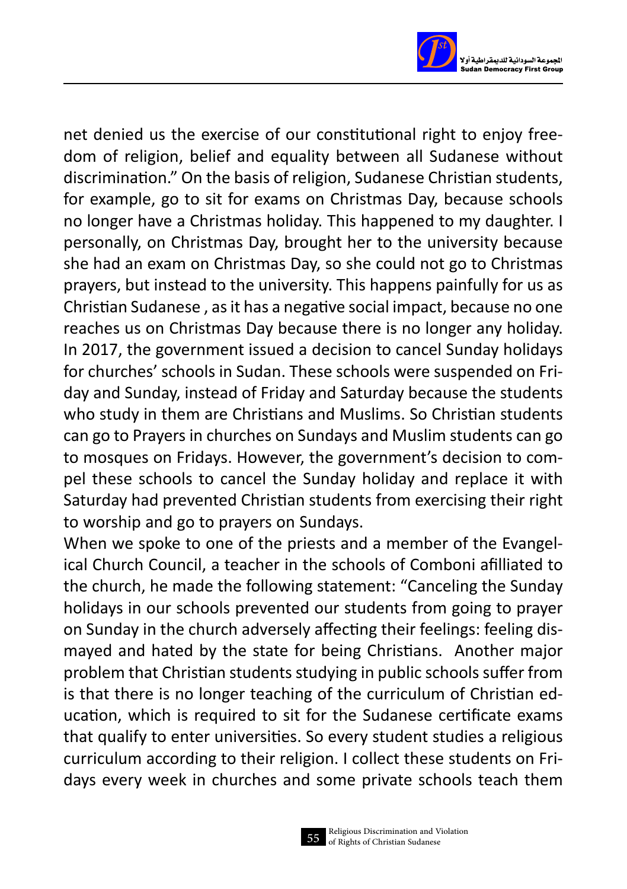

net denied us the exercise of our constitutional right to enjoy freedom of religion, belief and equality between all Sudanese without discrimination." On the basis of religion, Sudanese Christian students, for example, go to sit for exams on Christmas Day, because schools no longer have a Christmas holiday. This happened to my daughter. I personally, on Christmas Day, brought her to the university because she had an exam on Christmas Day, so she could not go to Christmas prayers, but instead to the university. This happens painfully for us as Christian Sudanese , as it has a negative social impact, because no one reaches us on Christmas Day because there is no longer any holiday. In 2017, the government issued a decision to cancel Sunday holidays for churches' schools in Sudan. These schools were suspended on Friday and Sunday, instead of Friday and Saturday because the students who study in them are Christians and Muslims. So Christian students can go to Prayers in churches on Sundays and Muslim students can go to mosques on Fridays. However, the government's decision to compel these schools to cancel the Sunday holiday and replace it with Saturday had prevented Christian students from exercising their right to worship and go to prayers on Sundays.

When we spoke to one of the priests and a member of the Evangelical Church Council, a teacher in the schools of Comboni afilliated to the church, he made the following statement: "Canceling the Sunday holidays in our schools prevented our students from going to prayer on Sunday in the church adversely affecting their feelings: feeling dismayed and hated by the state for being Christians. Another major problem that Christian students studying in public schools suffer from is that there is no longer teaching of the curriculum of Christian education, which is required to sit for the Sudanese certificate exams that qualify to enter universities. So every student studies a religious curriculum according to their religion. I collect these students on Fridays every week in churches and some private schools teach them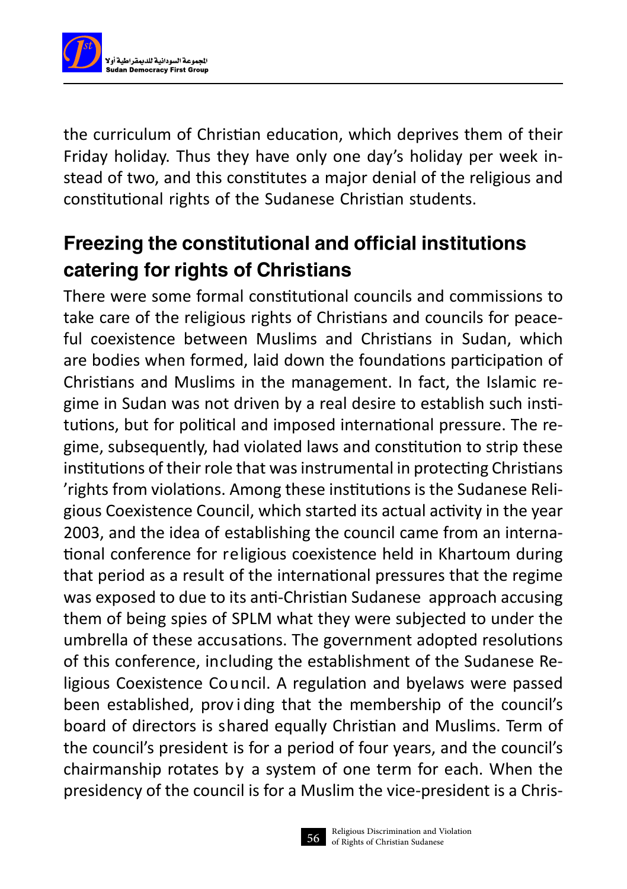

the curriculum of Christian education, which deprives them of their Friday holiday. Thus they have only one day's holiday per week instead of two, and this constitutes a major denial of the religious and constitutional rights of the Sudanese Christian students.

### Freezing the constitutional and official institutions catering for rights of Christians

There were some formal constitutional councils and commissions to take care of the religious rights of Christians and councils for peaceful coexistence between Muslims and Christians in Sudan, which are bodies when formed, laid down the foundations participation of Christians and Muslims in the management. In fact, the Islamic regime in Sudan was not driven by a real desire to establish such institutions, but for political and imposed international pressure. The regime, subsequently, had violated laws and constitution to strip these institutions of their role that was instrumental in protecting Christians 'rights from violations. Among these institutions is the Sudanese Religious Coexistence Council, which started its actual activity in the year 2003, and the idea of establishing the council came from an international conference for religious coexistence held in Khartoum during that period as a result of the international pressures that the regime was exposed to due to its anti-Christian Sudanese approach accusing them of being spies of SPLM what they were subjected to under the umbrella of these accusations. The government adopted resolutions of this conference, including the establishment of the Sudanese Religious Coexistence Council. A regulation and byelaws were passed been established, prov i ding that the membership of the council's board of directors is shared equally Christian and Muslims. Term of the council's president is for a period of four years, and the council's chairmanship rotates by a system of one term for each. When the presidency of the council is for a Muslim the vice-president is a Chris-

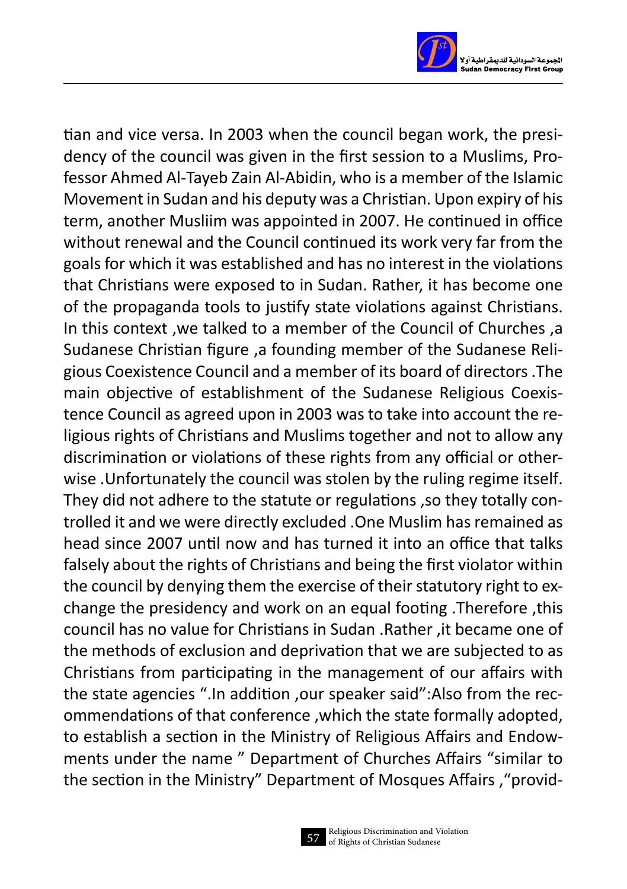

tian and vice versa. In 2003 when the council began work, the presidency of the council was given in the first session to a Muslims, Professor Ahmed Al-Tayeb Zain Al-Abidin, who is a member of the Islamic Movement in Sudan and his deputy was a Christian. Upon expiry of his term, another Musliim was appointed in 2007. He continued in office without renewal and the Council continued its work very far from the goals for which it was established and has no interest in the violations that Christians were exposed to in Sudan. Rather, it has become one of the propaganda tools to justify state violations against Christians. In this context ,we talked to a member of the Council of Churches ,a Sudanese Christian figure ,a founding member of the Sudanese Religious Coexistence Council and a member of its board of directors .The main objective of establishment of the Sudanese Religious Coexistence Council as agreed upon in 2003 was to take into account the religious rights of Christians and Muslims together and not to allow any discrimination or violations of these rights from any official or otherwise .Unfortunately the council was stolen by the ruling regime itself. They did not adhere to the statute or regulations ,so they totally controlled it and we were directly excluded . One Muslim has remained as head since 2007 until now and has turned it into an office that talks falsely about the rights of Christians and being the first violator within the council by denying them the exercise of their statutory right to exchange the presidency and work on an equal footing .Therefore ,this council has no value for Christians in Sudan .Rather ,it became one of the methods of exclusion and deprivation that we are subjected to as Christians from participating in the management of our affairs with the state agencies ".In addition ,our speaker said":Also from the recommendations of that conference ,which the state formally adopted, to establish a section in the Ministry of Religious Affairs and Endowments under the name " Department of Churches Affairs "similar to the section in the Ministry" Department of Mosques Affairs ,"provid-

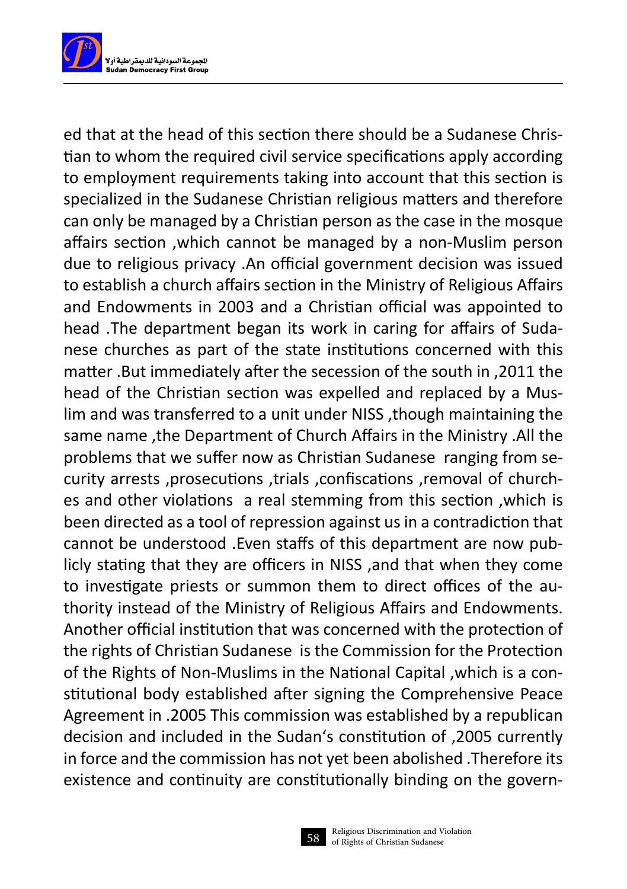

ed that at the head of this section there should be a Sudanese Christian to whom the required civil service specifications apply according to employment requirements taking into account that this section is specialized in the Sudanese Christian religious matters and therefore can only be managed by a Christian person as the case in the mosque affairs section ,which cannot be managed by a non-Muslim person due to religious privacy .An official government decision was issued to establish a church affairs section in the Ministry of Religious Affairs and Endowments in 2003 and a Christian official was appointed to head .The department began its work in caring for affairs of Sudanese churches as part of the state institutions concerned with this matter .But immediately after the secession of the south in ,2011 the head of the Christian section was expelled and replaced by a Muslim and was transferred to a unit under NISS ,though maintaining the same name ,the Department of Church Affairs in the Ministry .All the problems that we suffer now as Christian Sudanese ranging from security arrests ,prosecutions ,trials ,confiscations ,removal of churches and other violations a real stemming from this section ,which is been directed as a tool of repression against us in a contradiction that cannot be understood .Even staffs of this department are now publicly stating that they are officers in NISS ,and that when they come to investigate priests or summon them to direct offices of the authority instead of the Ministry of Religious Affairs and Endowments. Another official institution that was concerned with the protection of the rights of Christian Sudanese is the Commission for the Protection of the Rights of Non-Muslims in the National Capital ,which is a constitutional body established after signing the Comprehensive Peace Agreement in .2005 This commission was established by a republican decision and included in the Sudan's constitution of ,2005 currently in force and the commission has not yet been abolished .Therefore its existence and continuity are constitutionally binding on the govern-

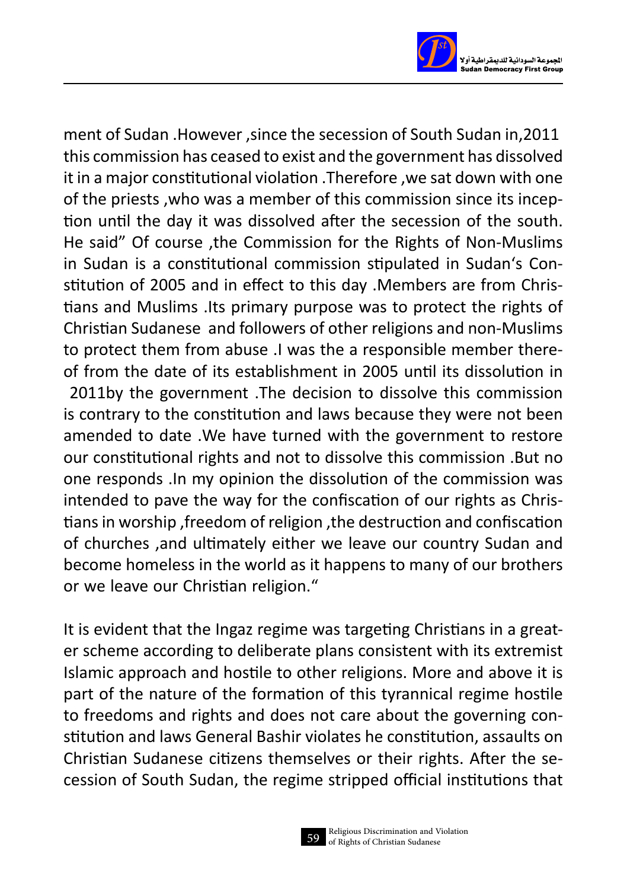

ment of Sudan .However ,since the secession of South Sudan in,2011 this commission has ceased to exist and the government has dissolved it in a major constitutional violation .Therefore ,we sat down with one of the priests ,who was a member of this commission since its inception until the day it was dissolved after the secession of the south. He said" Of course ,the Commission for the Rights of Non-Muslims in Sudan is a constitutional commission stipulated in Sudan's Constitution of 2005 and in effect to this day .Members are from Christians and Muslims .Its primary purpose was to protect the rights of Christian Sudanese and followers of other religions and non-Muslims to protect them from abuse .I was the a responsible member thereof from the date of its establishment in 2005 until its dissolution in 2011by the government .The decision to dissolve this commission is contrary to the constitution and laws because they were not been amended to date .We have turned with the government to restore our constitutional rights and not to dissolve this commission .But no one responds .In my opinion the dissolution of the commission was intended to pave the way for the confiscation of our rights as Christians in worship, freedom of religion, the destruction and confiscation of churches ,and ultimately either we leave our country Sudan and become homeless in the world as it happens to many of our brothers or we leave our Christian religion."

It is evident that the Ingaz regime was targeting Christians in a greater scheme according to deliberate plans consistent with its extremist Islamic approach and hostile to other religions. More and above it is part of the nature of the formation of this tyrannical regime hostile to freedoms and rights and does not care about the governing constitution and laws General Bashir violates he constitution, assaults on Christian Sudanese citizens themselves or their rights. After the secession of South Sudan, the regime stripped official institutions that

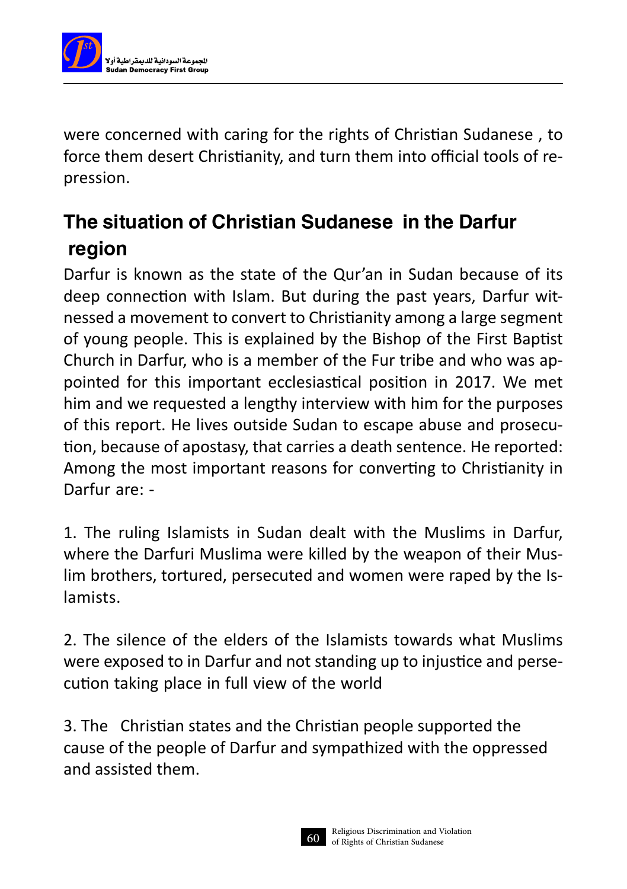

were concerned with caring for the rights of Christian Sudanese , to force them desert Christianity, and turn them into official tools of repression.

### The situation of Christian Sudanese in the Darfur region

Darfur is known as the state of the Qur'an in Sudan because of its deep connection with Islam. But during the past years, Darfur witnessed a movement to convert to Christianity among a large segment of young people. This is explained by the Bishop of the First Baptist Church in Darfur, who is a member of the Fur tribe and who was appointed for this important ecclesiastical position in 2017. We met him and we requested a lengthy interview with him for the purposes of this report. He lives outside Sudan to escape abuse and prosecution, because of apostasy, that carries a death sentence. He reported: Among the most important reasons for converting to Christianity in Darfur are: -

1. The ruling Islamists in Sudan dealt with the Muslims in Darfur, where the Darfuri Muslima were killed by the weapon of their Muslim brothers, tortured, persecuted and women were raped by the Islamists.

2. The silence of the elders of the Islamists towards what Muslims were exposed to in Darfur and not standing up to injustice and persecution taking place in full view of the world

3. The Christian states and the Christian people supported the cause of the people of Darfur and sympathized with the oppressed and assisted them.

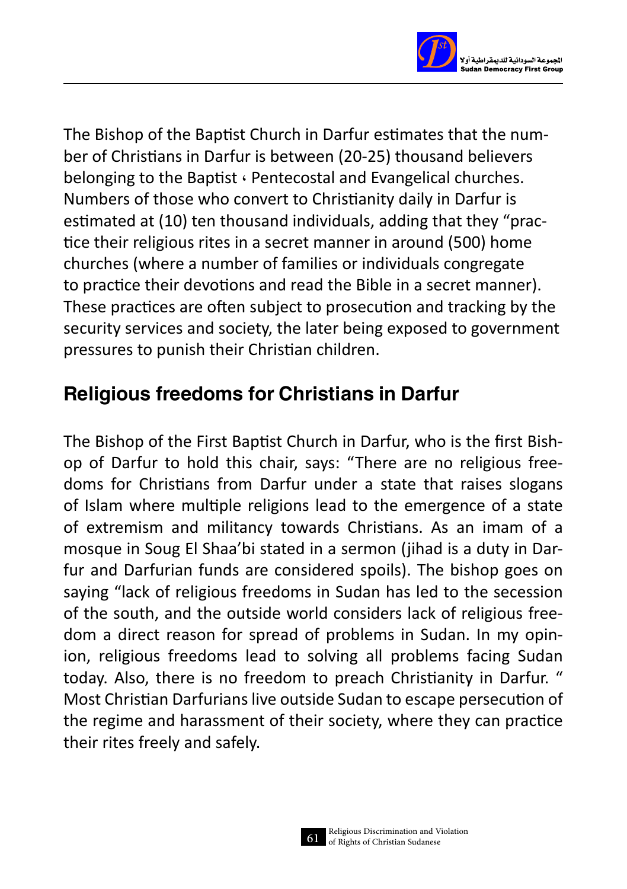

The Bishop of the Baptist Church in Darfur estimates that the number of Christians in Darfur is between (20-25) thousand believers belonging to the Baptist ٬ Pentecostal and Evangelical churches. Numbers of those who convert to Christianity daily in Darfur is estimated at (10) ten thousand individuals, adding that they "practice their religious rites in a secret manner in around (500) home churches (where a number of families or individuals congregate to practice their devotions and read the Bible in a secret manner). These practices are often subject to prosecution and tracking by the security services and society, the later being exposed to government pressures to punish their Christian children.

### Religious freedoms for Christians in Darfur

The Bishop of the First Baptist Church in Darfur, who is the first Bishop of Darfur to hold this chair, says: "There are no religious freedoms for Christians from Darfur under a state that raises slogans of Islam where multiple religions lead to the emergence of a state of extremism and militancy towards Christians. As an imam of a mosque in Soug El Shaa'bi stated in a sermon (jihad is a duty in Darfur and Darfurian funds are considered spoils). The bishop goes on saying "lack of religious freedoms in Sudan has led to the secession of the south, and the outside world considers lack of religious freedom a direct reason for spread of problems in Sudan. In my opinion, religious freedoms lead to solving all problems facing Sudan today. Also, there is no freedom to preach Christianity in Darfur. " Most Christian Darfurians live outside Sudan to escape persecution of the regime and harassment of their society, where they can practice their rites freely and safely.

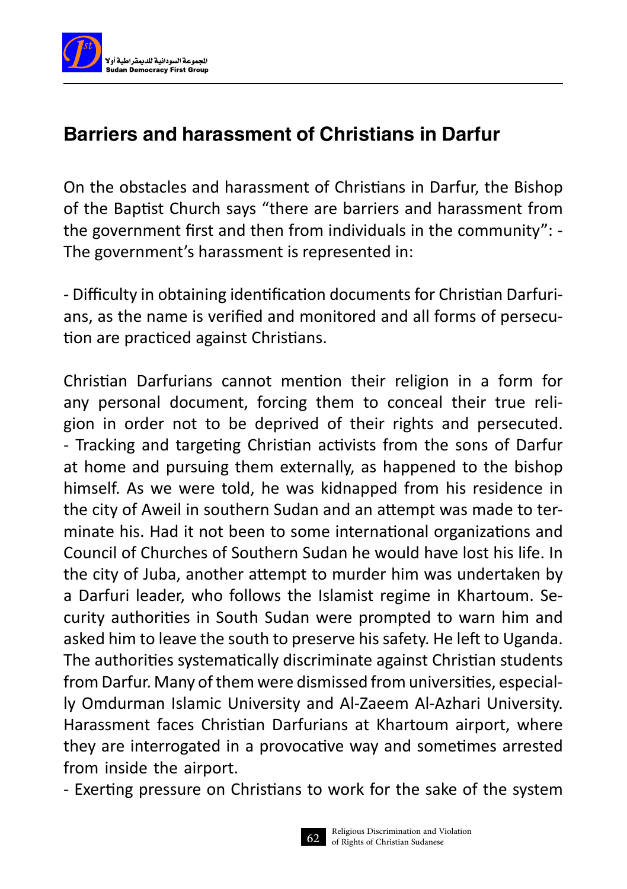

### Barriers and harassment of Christians in Darfur

On the obstacles and harassment of Christians in Darfur, the Bishop of the Baptist Church says "there are barriers and harassment from the government first and then from individuals in the community": - The government's harassment is represented in:

- Difficulty in obtaining identification documents for Christian Darfurians, as the name is verified and monitored and all forms of persecution are practiced against Christians.

Christian Darfurians cannot mention their religion in a form for any personal document, forcing them to conceal their true religion in order not to be deprived of their rights and persecuted. - Tracking and targeting Christian activists from the sons of Darfur at home and pursuing them externally, as happened to the bishop himself. As we were told, he was kidnapped from his residence in the city of Aweil in southern Sudan and an attempt was made to terminate his. Had it not been to some international organizations and Council of Churches of Southern Sudan he would have lost his life. In the city of Juba, another attempt to murder him was undertaken by a Darfuri leader, who follows the Islamist regime in Khartoum. Security authorities in South Sudan were prompted to warn him and asked him to leave the south to preserve his safety. He left to Uganda. The authorities systematically discriminate against Christian students from Darfur. Many of them were dismissed from universities, especially Omdurman Islamic University and Al-Zaeem Al-Azhari University. Harassment faces Christian Darfurians at Khartoum airport, where they are interrogated in a provocative way and sometimes arrested from inside the airport.

- Exerting pressure on Christians to work for the sake of the system

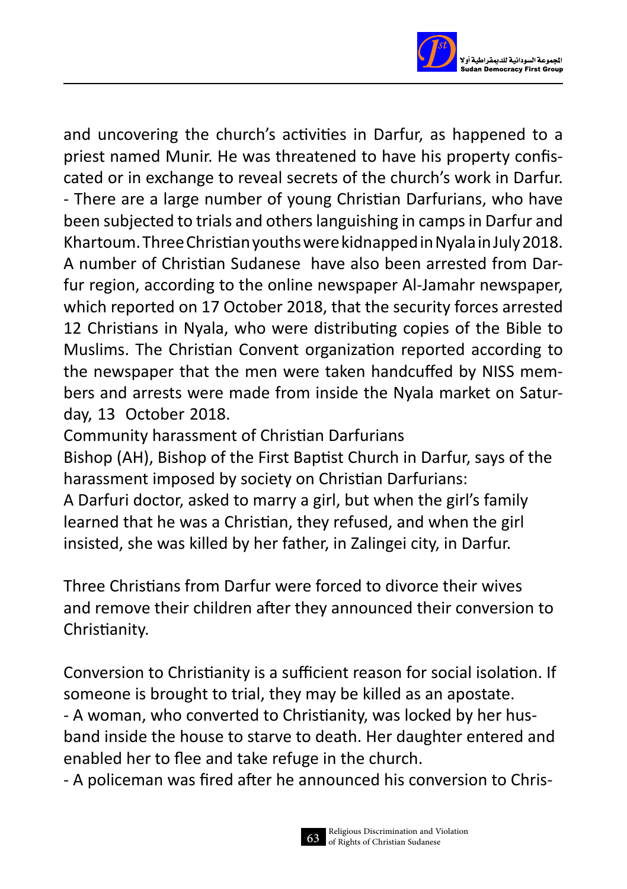

and uncovering the church's activities in Darfur, as happened to a priest named Munir. He was threatened to have his property confiscated or in exchange to reveal secrets of the church's work in Darfur. - There are a large number of young Christian Darfurians, who have been subjected to trials and others languishing in camps in Darfur and Khartoum. Three Christian youths were kidnapped in Nyala in July 2018. A number of Christian Sudanese have also been arrested from Darfur region, according to the online newspaper Al-Jamahr newspaper, which reported on 17 October 2018, that the security forces arrested 12 Christians in Nyala, who were distributing copies of the Bible to Muslims. The Christian Convent organization reported according to the newspaper that the men were taken handcuffed by NISS members and arrests were made from inside the Nyala market on Saturday, 13 October 2018.

Community harassment of Christian Darfurians

Bishop (AH), Bishop of the First Baptist Church in Darfur, says of the harassment imposed by society on Christian Darfurians:

A Darfuri doctor, asked to marry a girl, but when the girl's family learned that he was a Christian, they refused, and when the girl insisted, she was killed by her father, in Zalingei city, in Darfur.

Three Christians from Darfur were forced to divorce their wives and remove their children after they announced their conversion to Christianity.

Conversion to Christianity is a sufficient reason for social isolation. If someone is brought to trial, they may be killed as an apostate. - A woman, who converted to Christianity, was locked by her husband inside the house to starve to death. Her daughter entered and enabled her to flee and take refuge in the church.

- A policeman was fired after he announced his conversion to Chris-

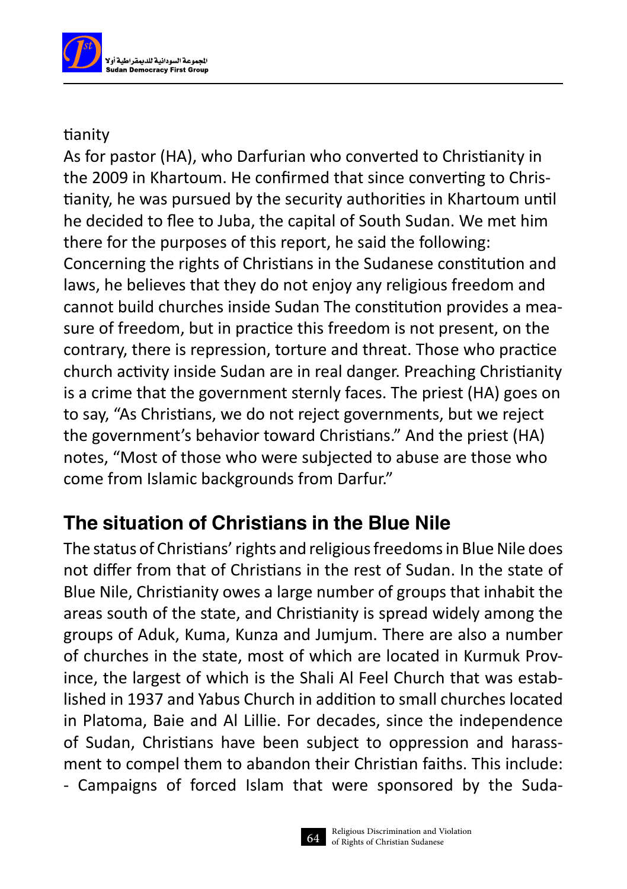

#### tianity

As for pastor (HA), who Darfurian who converted to Christianity in the 2009 in Khartoum. He confirmed that since converting to Christianity, he was pursued by the security authorities in Khartoum until he decided to flee to Juba, the capital of South Sudan. We met him there for the purposes of this report, he said the following: Concerning the rights of Christians in the Sudanese constitution and laws, he believes that they do not enjoy any religious freedom and cannot build churches inside Sudan The constitution provides a measure of freedom, but in practice this freedom is not present, on the contrary, there is repression, torture and threat. Those who practice church activity inside Sudan are in real danger. Preaching Christianity is a crime that the government sternly faces. The priest (HA) goes on to say, "As Christians, we do not reject governments, but we reject the government's behavior toward Christians." And the priest (HA) notes, "Most of those who were subjected to abuse are those who come from Islamic backgrounds from Darfur."

### The situation of Christians in the Blue Nile

The status of Christians' rights and religious freedoms in Blue Nile does not differ from that of Christians in the rest of Sudan. In the state of Blue Nile, Christianity owes a large number of groups that inhabit the areas south of the state, and Christianity is spread widely among the groups of Aduk, Kuma, Kunza and Jumjum. There are also a number of churches in the state, most of which are located in Kurmuk Province, the largest of which is the Shali Al Feel Church that was established in 1937 and Yabus Church in addition to small churches located in Platoma, Baie and Al Lillie. For decades, since the independence of Sudan, Christians have been subject to oppression and harassment to compel them to abandon their Christian faiths. This include: - Campaigns of forced Islam that were sponsored by the Suda-

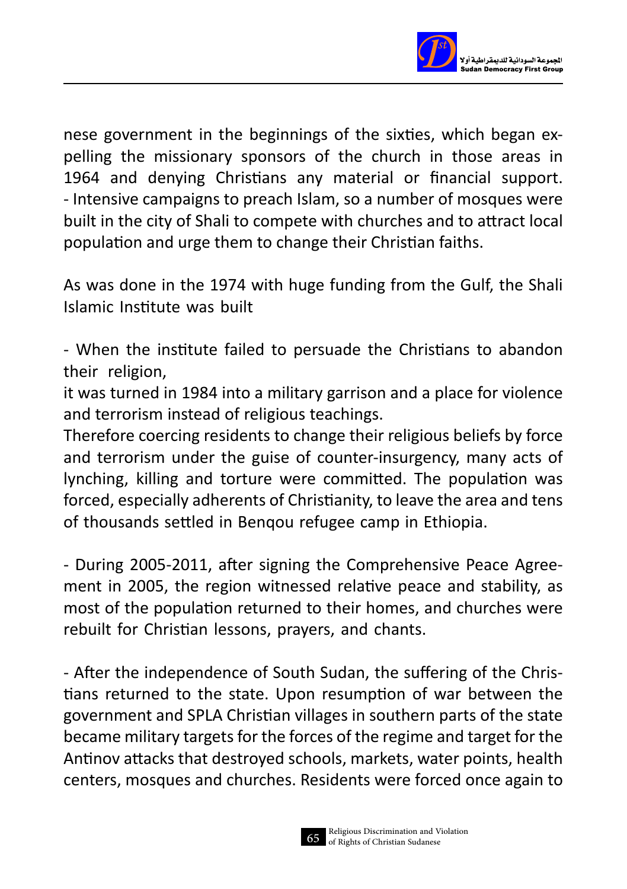

nese government in the beginnings of the sixties, which began expelling the missionary sponsors of the church in those areas in 1964 and denying Christians any material or financial support. - Intensive campaigns to preach Islam, so a number of mosques were built in the city of Shali to compete with churches and to attract local population and urge them to change their Christian faiths.

As was done in the 1974 with huge funding from the Gulf, the Shali Islamic Institute was built

- When the institute failed to persuade the Christians to abandon their religion,

it was turned in 1984 into a military garrison and a place for violence and terrorism instead of religious teachings.

Therefore coercing residents to change their religious beliefs by force and terrorism under the guise of counter-insurgency, many acts of lynching, killing and torture were committed. The population was forced, especially adherents of Christianity, to leave the area and tens of thousands settled in Benqou refugee camp in Ethiopia.

- During 2005-2011, after signing the Comprehensive Peace Agreement in 2005, the region witnessed relative peace and stability, as most of the population returned to their homes, and churches were rebuilt for Christian lessons, prayers, and chants.

- After the independence of South Sudan, the suffering of the Christians returned to the state. Upon resumption of war between the government and SPLA Christian villages in southern parts of the state became military targets for the forces of the regime and target for the Antinov attacks that destroyed schools, markets, water points, health centers, mosques and churches. Residents were forced once again to

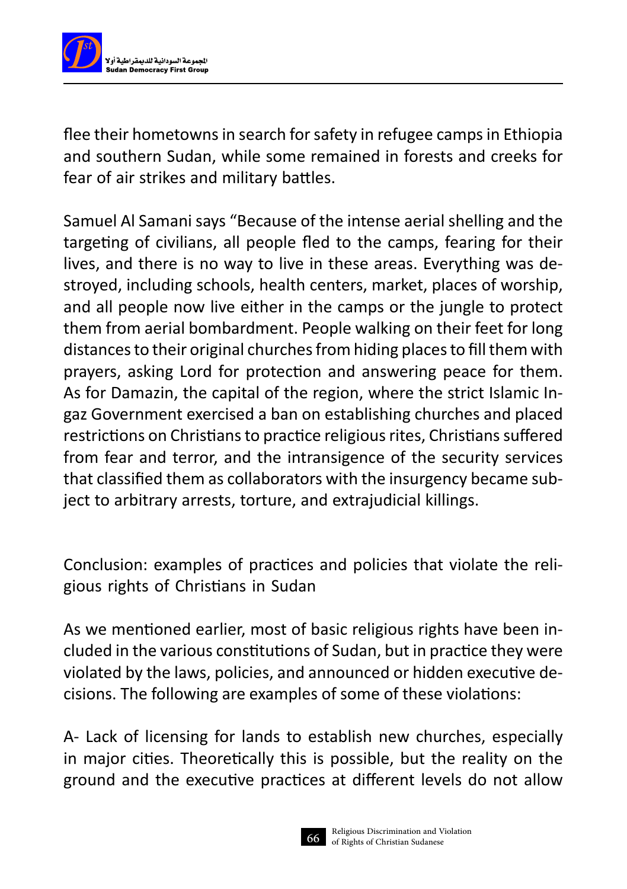

flee their hometowns in search for safety in refugee camps in Ethiopia and southern Sudan, while some remained in forests and creeks for fear of air strikes and military battles.

Samuel Al Samani says "Because of the intense aerial shelling and the targeting of civilians, all people fled to the camps, fearing for their lives, and there is no way to live in these areas. Everything was destroyed, including schools, health centers, market, places of worship, and all people now live either in the camps or the jungle to protect them from aerial bombardment. People walking on their feet for long distances to their original churches from hiding places to fill them with prayers, asking Lord for protection and answering peace for them. As for Damazin, the capital of the region, where the strict Islamic Ingaz Government exercised a ban on establishing churches and placed restrictions on Christians to practice religious rites, Christians suffered from fear and terror, and the intransigence of the security services that classified them as collaborators with the insurgency became subject to arbitrary arrests, torture, and extrajudicial killings.

Conclusion: examples of practices and policies that violate the religious rights of Christians in Sudan

As we mentioned earlier, most of basic religious rights have been included in the various constitutions of Sudan, but in practice they were violated by the laws, policies, and announced or hidden executive decisions. The following are examples of some of these violations:

A- Lack of licensing for lands to establish new churches, especially in major cities. Theoretically this is possible, but the reality on the ground and the executive practices at different levels do not allow

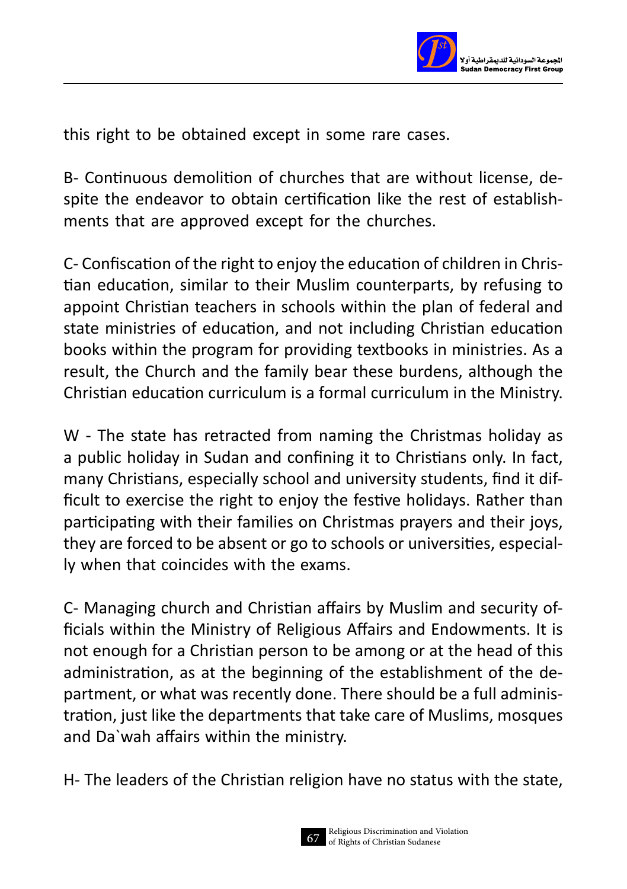

this right to be obtained except in some rare cases.

B- Continuous demolition of churches that are without license, despite the endeavor to obtain certification like the rest of establishments that are approved except for the churches.

C- Confiscation of the right to enjoy the education of children in Christian education, similar to their Muslim counterparts, by refusing to appoint Christian teachers in schools within the plan of federal and state ministries of education, and not including Christian education books within the program for providing textbooks in ministries. As a result, the Church and the family bear these burdens, although the Christian education curriculum is a formal curriculum in the Ministry.

W - The state has retracted from naming the Christmas holiday as a public holiday in Sudan and confining it to Christians only. In fact, many Christians, especially school and university students, find it difficult to exercise the right to enjoy the festive holidays. Rather than participating with their families on Christmas prayers and their joys, they are forced to be absent or go to schools or universities, especially when that coincides with the exams.

C- Managing church and Christian affairs by Muslim and security officials within the Ministry of Religious Affairs and Endowments. It is not enough for a Christian person to be among or at the head of this administration, as at the beginning of the establishment of the department, or what was recently done. There should be a full administration, just like the departments that take care of Muslims, mosques and Da`wah affairs within the ministry.

H- The leaders of the Christian religion have no status with the state,

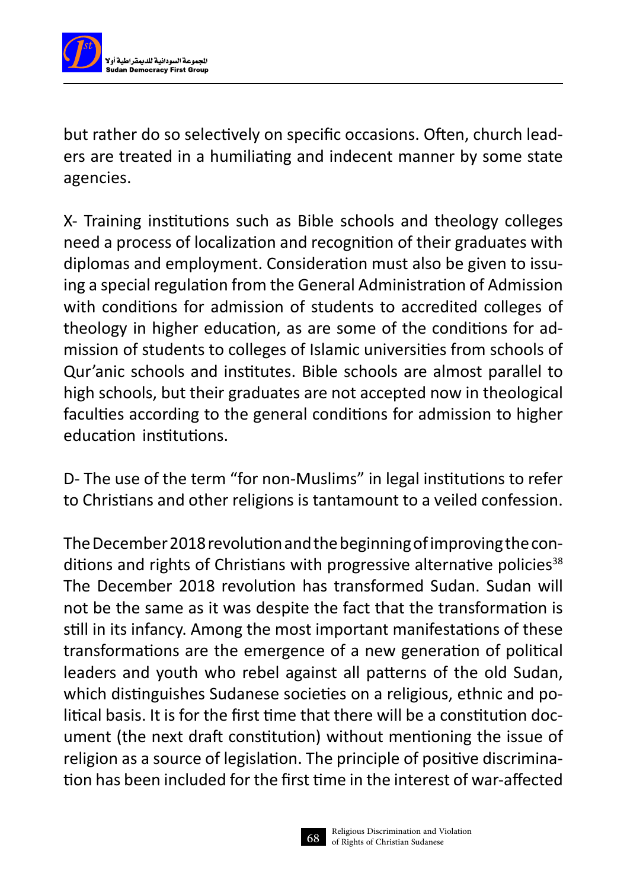

but rather do so selectively on specific occasions. Often, church leaders are treated in a humiliating and indecent manner by some state agencies.

X- Training institutions such as Bible schools and theology colleges need a process of localization and recognition of their graduates with diplomas and employment. Consideration must also be given to issuing a special regulation from the General Administration of Admission with conditions for admission of students to accredited colleges of theology in higher education, as are some of the conditions for admission of students to colleges of Islamic universities from schools of Qur'anic schools and institutes. Bible schools are almost parallel to high schools, but their graduates are not accepted now in theological faculties according to the general conditions for admission to higher education institutions.

D- The use of the term "for non-Muslims" in legal institutions to refer to Christians and other religions is tantamount to a veiled confession.

The December 2018 revolution and the beginning of improving the conditions and rights of Christians with progressive alternative policies $38$ The December 2018 revolution has transformed Sudan. Sudan will not be the same as it was despite the fact that the transformation is still in its infancy. Among the most important manifestations of these transformations are the emergence of a new generation of political leaders and youth who rebel against all patterns of the old Sudan, which distinguishes Sudanese societies on a religious, ethnic and political basis. It is for the first time that there will be a constitution document (the next draft constitution) without mentioning the issue of religion as a source of legislation. The principle of positive discrimination has been included for the first time in the interest of war-affected

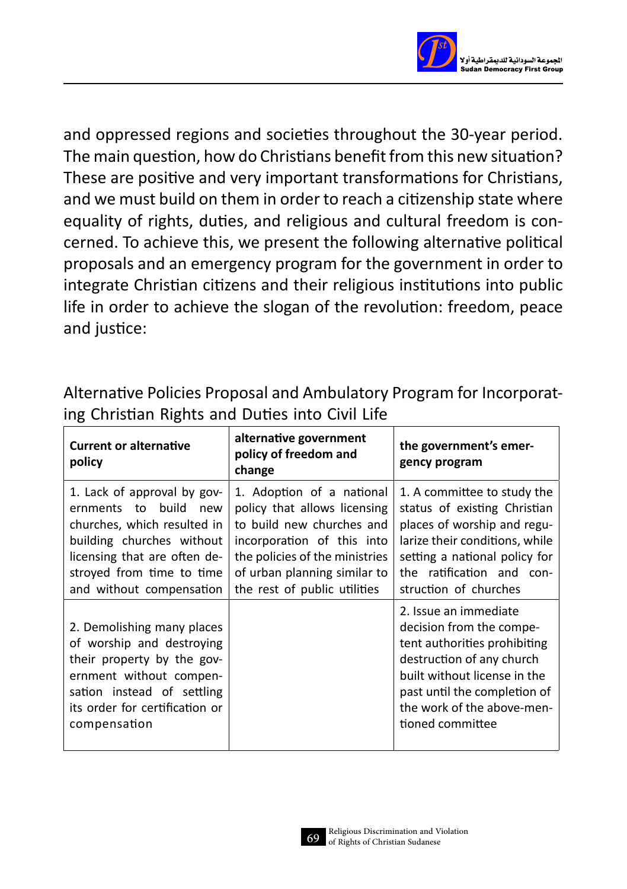

and oppressed regions and societies throughout the 30-year period. The main question, how do Christians benefit from this new situation? These are positive and very important transformations for Christians, and we must build on them in order to reach a citizenship state where equality of rights, duties, and religious and cultural freedom is concerned. To achieve this, we present the following alternative political proposals and an emergency program for the government in order to integrate Christian citizens and their religious institutions into public life in order to achieve the slogan of the revolution: freedom, peace and justice:

Alternative Policies Proposal and Ambulatory Program for Incorporating Christian Rights and Duties into Civil Life

| <b>Current or alternative</b><br>policy                                                                                                                                                                         | alternative government<br>policy of freedom and<br>change                                                                                                                                                              | the government's emer-<br>gency program                                                                                                                                                                                          |
|-----------------------------------------------------------------------------------------------------------------------------------------------------------------------------------------------------------------|------------------------------------------------------------------------------------------------------------------------------------------------------------------------------------------------------------------------|----------------------------------------------------------------------------------------------------------------------------------------------------------------------------------------------------------------------------------|
| 1. Lack of approval by gov-<br>build new<br>ernments<br>to<br>churches, which resulted in<br>building churches without<br>licensing that are often de-<br>stroyed from time to time<br>and without compensation | 1. Adoption of a national<br>policy that allows licensing<br>to build new churches and<br>incorporation of this into<br>the policies of the ministries<br>of urban planning similar to<br>the rest of public utilities | 1. A committee to study the<br>status of existing Christian<br>places of worship and regu-<br>larize their conditions, while<br>setting a national policy for<br>the ratification and con-<br>struction of churches              |
| 2. Demolishing many places<br>of worship and destroying<br>their property by the gov-<br>ernment without compen-<br>sation instead of settling<br>its order for certification or<br>compensation                |                                                                                                                                                                                                                        | 2. Issue an immediate<br>decision from the compe-<br>tent authorities prohibiting<br>destruction of any church<br>built without license in the<br>past until the completion of<br>the work of the above-men-<br>tioned committee |

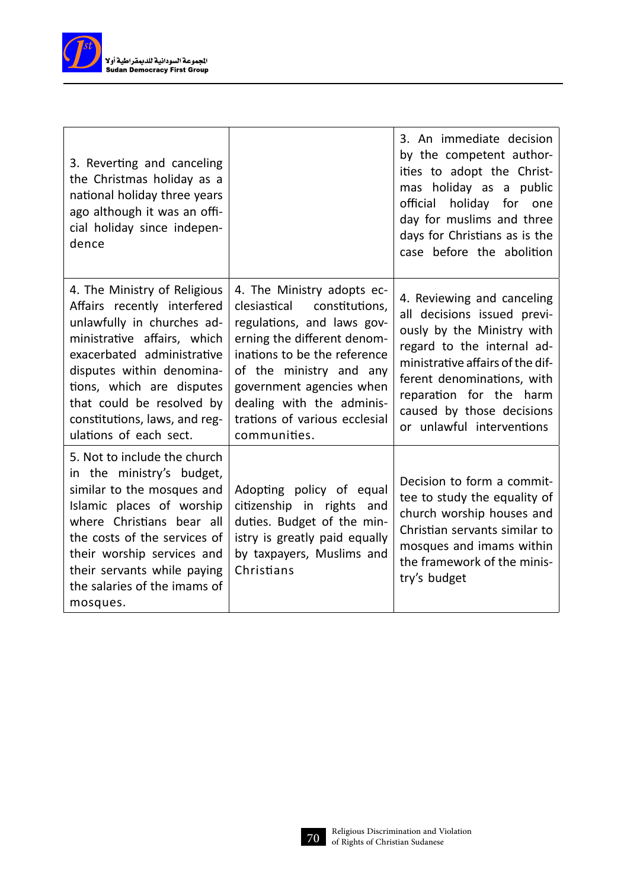

| 3. Reverting and canceling<br>the Christmas holiday as a<br>national holiday three years<br>ago although it was an offi-<br>cial holiday since indepen-<br>dence                                                                                                                                         |                                                                                                                                                                                                                                                                                                | 3. An immediate decision<br>by the competent author-<br>ities to adopt the Christ-<br>mas holiday as a public<br>official holiday for one<br>day for muslims and three<br>days for Christians as is the<br>case before the abolition                                         |
|----------------------------------------------------------------------------------------------------------------------------------------------------------------------------------------------------------------------------------------------------------------------------------------------------------|------------------------------------------------------------------------------------------------------------------------------------------------------------------------------------------------------------------------------------------------------------------------------------------------|------------------------------------------------------------------------------------------------------------------------------------------------------------------------------------------------------------------------------------------------------------------------------|
| 4. The Ministry of Religious<br>Affairs recently interfered<br>unlawfully in churches ad-<br>ministrative affairs, which<br>exacerbated administrative<br>disputes within denomina-<br>tions, which are disputes<br>that could be resolved by<br>constitutions, laws, and reg-<br>ulations of each sect. | 4. The Ministry adopts ec-<br>constitutions,<br>clesiastical<br>regulations, and laws gov-<br>erning the different denom-<br>inations to be the reference<br>of the ministry and any<br>government agencies when<br>dealing with the adminis-<br>trations of various ecclesial<br>communities. | 4. Reviewing and canceling<br>all decisions issued previ-<br>ously by the Ministry with<br>regard to the internal ad-<br>ministrative affairs of the dif-<br>ferent denominations, with<br>reparation for the harm<br>caused by those decisions<br>or unlawful interventions |
| 5. Not to include the church<br>in the ministry's budget,<br>similar to the mosques and<br>Islamic places of worship<br>where Christians bear all<br>the costs of the services of<br>their worship services and<br>their servants while paying<br>the salaries of the imams of<br>mosques.               | Adopting policy of equal<br>citizenship in rights and<br>duties. Budget of the min-<br>istry is greatly paid equally<br>by taxpayers, Muslims and<br>Christians                                                                                                                                | Decision to form a commit-<br>tee to study the equality of<br>church worship houses and<br>Christian servants similar to<br>mosques and imams within<br>the framework of the minis-<br>try's budget                                                                          |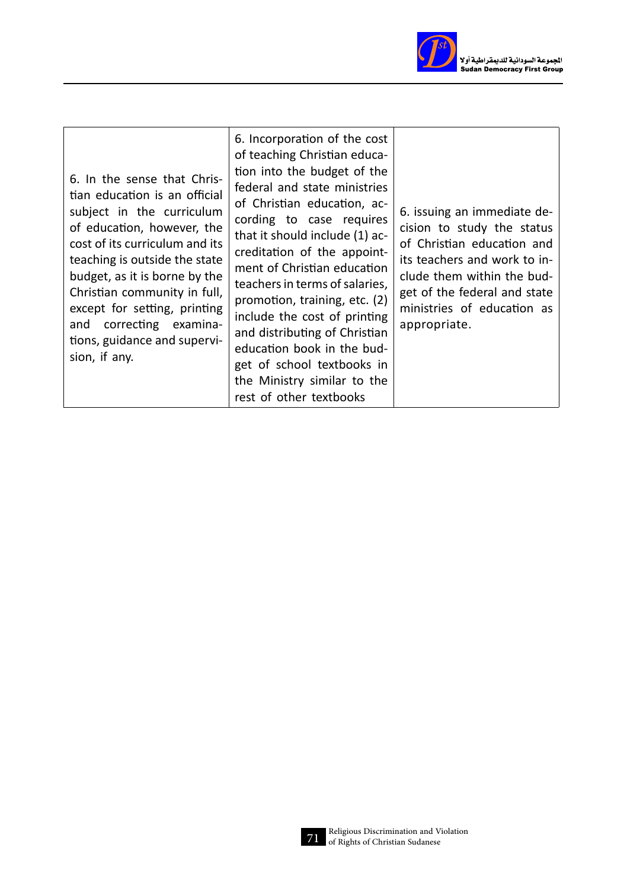

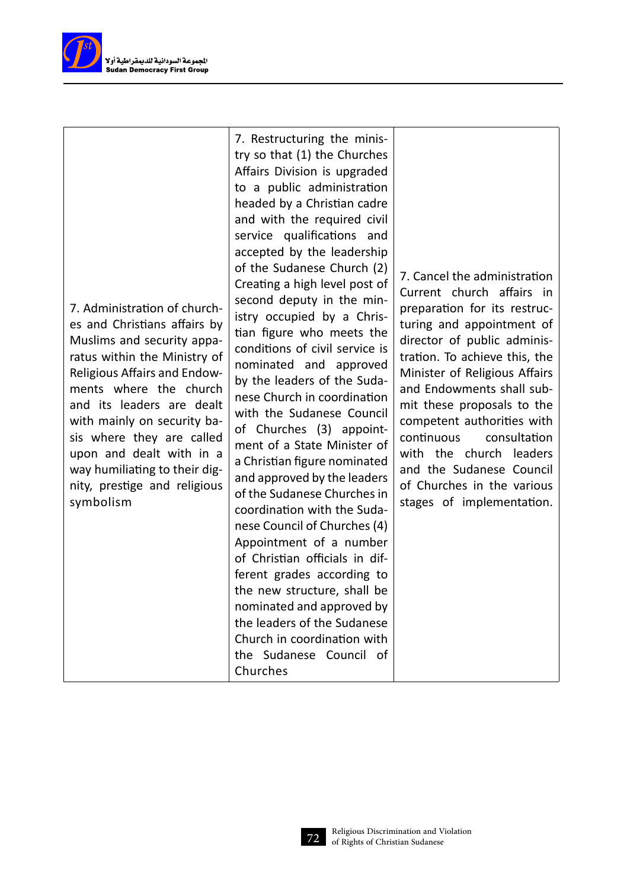

7. Administration of churches and Christians affairs by Muslims and security apparatus within the Ministry of Religious Affairs and Endowments where the church and its leaders are dealt with mainly on security basis where they are called upon and dealt with in a way humiliating to their dignity, prestige and religious symbolism

7. Restructuring the ministry so that (1) the Churches Affairs Division is upgraded to a public administration headed by a Christian cadre and with the required civil service qualifications and accepted by the leadership of the Sudanese Church (2) Creating a high level post of second deputy in the ministry occupied by a Christian figure who meets the conditions of civil service is nominated and approved by the leaders of the Sudanese Church in coordination with the Sudanese Council of Churches (3) appointment of a State Minister of a Christian figure nominated and approved by the leaders of the Sudanese Churches in coordination with the Sudanese Council of Churches (4) Appointment of a number of Christian officials in different grades according to the new structure, shall be nominated and approved by the leaders of the Sudanese Church in coordination with the Sudanese Council of Churches

7. Cancel the administration Current church affairs in preparation for its restructuring and appointment of director of public administration. To achieve this, the Minister of Religious Affairs and Endowments shall submit these proposals to the competent authorities with continuous consultation with the church leaders and the Sudanese Council of Churches in the various stages of implementation.

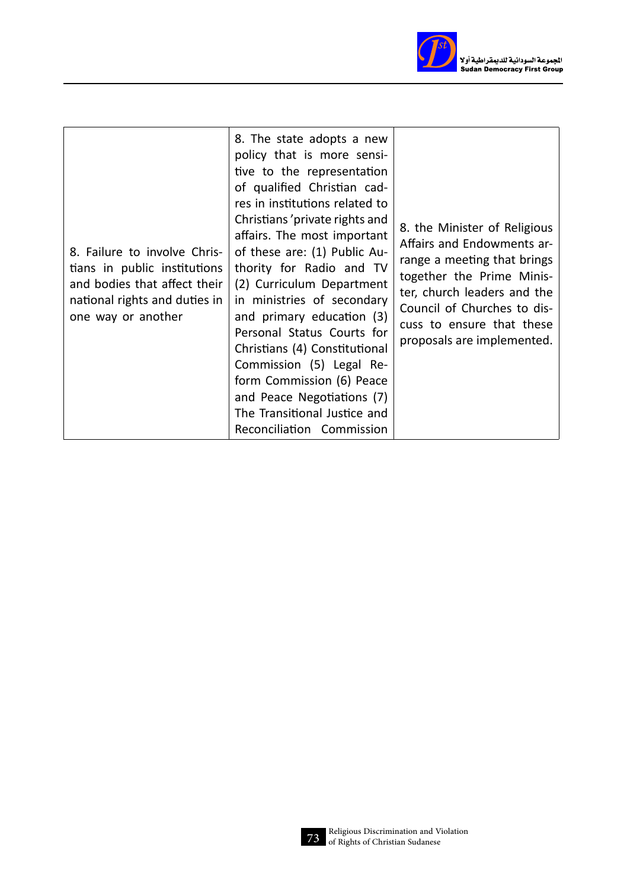

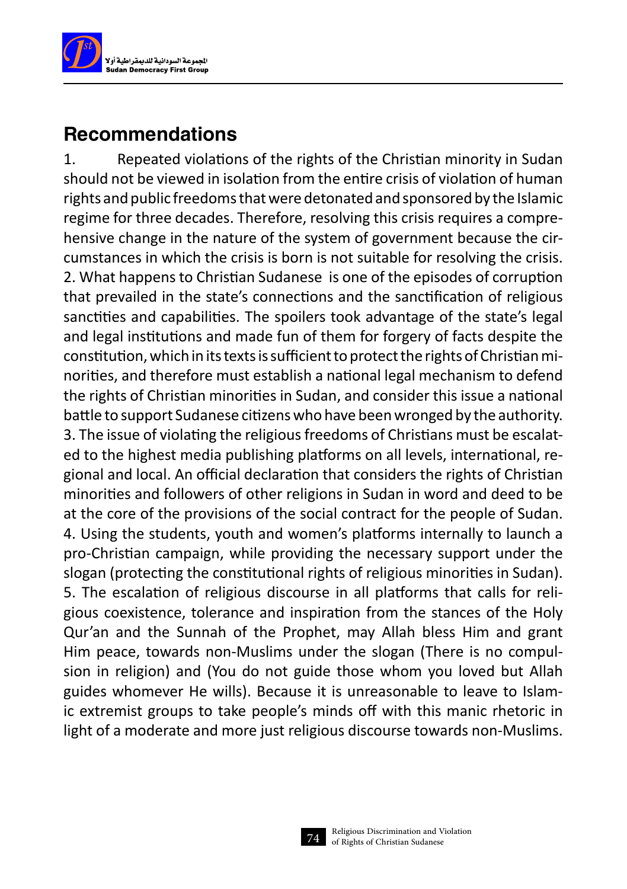

## Recommendations

1. Repeated violations of the rights of the Christian minority in Sudan should not be viewed in isolation from the entire crisis of violation of human rights and public freedoms that were detonated and sponsored by the Islamic regime for three decades. Therefore, resolving this crisis requires a comprehensive change in the nature of the system of government because the circumstances in which the crisis is born is not suitable for resolving the crisis. 2. What happens to Christian Sudanese is one of the episodes of corruption that prevailed in the state's connections and the sanctification of religious sanctities and capabilities. The spoilers took advantage of the state's legal and legal institutions and made fun of them for forgery of facts despite the constitution, which in its texts is sufficient to protect the rights of Christian minorities, and therefore must establish a national legal mechanism to defend the rights of Christian minorities in Sudan, and consider this issue a national battle to support Sudanese citizens who have been wronged by the authority. 3. The issue of violating the religious freedoms of Christians must be escalated to the highest media publishing platforms on all levels, international, regional and local. An official declaration that considers the rights of Christian minorities and followers of other religions in Sudan in word and deed to be at the core of the provisions of the social contract for the people of Sudan. 4. Using the students, youth and women's platforms internally to launch a pro-Christian campaign, while providing the necessary support under the slogan (protecting the constitutional rights of religious minorities in Sudan). 5. The escalation of religious discourse in all platforms that calls for religious coexistence, tolerance and inspiration from the stances of the Holy Qur'an and the Sunnah of the Prophet, may Allah bless Him and grant Him peace, towards non-Muslims under the slogan (There is no compulsion in religion) and (You do not guide those whom you loved but Allah guides whomever He wills). Because it is unreasonable to leave to Islamic extremist groups to take people's minds off with this manic rhetoric in light of a moderate and more just religious discourse towards non-Muslims.

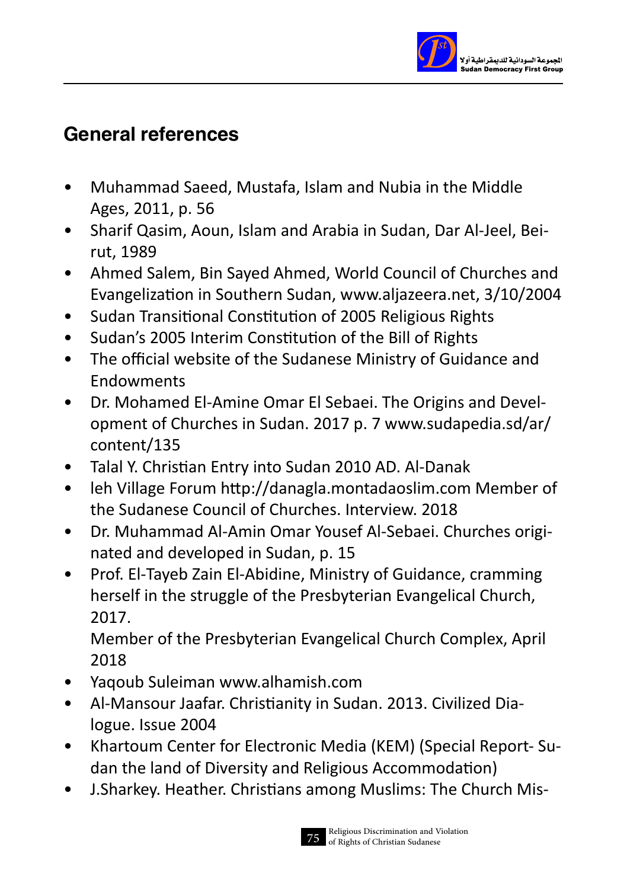

## General references

- Muhammad Saeed, Mustafa, Islam and Nubia in the Middle Ages, 2011, p. 56
- Sharif Qasim, Aoun, Islam and Arabia in Sudan, Dar Al-Jeel, Beirut, 1989
- Ahmed Salem, Bin Sayed Ahmed, World Council of Churches and Evangelization in Southern Sudan, www.aljazeera.net, 3/10/2004
- Sudan Transitional Constitution of 2005 Religious Rights
- Sudan's 2005 Interim Constitution of the Bill of Rights
- The official website of the Sudanese Ministry of Guidance and **Endowments**
- Dr. Mohamed El-Amine Omar El Sebaei. The Origins and Development of Churches in Sudan. 2017 p. 7 www.sudapedia.sd/ar/ content/135
- Talal Y. Christian Entry into Sudan 2010 AD. Al-Danak
- leh Village Forum http://danagla.montadaoslim.com Member of the Sudanese Council of Churches. Interview. 2018
- Dr. Muhammad Al-Amin Omar Yousef Al-Sebaei. Churches originated and developed in Sudan, p. 15
- Prof. El-Tayeb Zain El-Abidine, Ministry of Guidance, cramming herself in the struggle of the Presbyterian Evangelical Church, 2017.

Member of the Presbyterian Evangelical Church Complex, April 2018

- Yaqoub Suleiman www.alhamish.com
- Al-Mansour Jaafar. Christianity in Sudan. 2013. Civilized Dialogue. Issue 2004
- Khartoum Center for Electronic Media (KEM) (Special Report- Sudan the land of Diversity and Religious Accommodation)
- J.Sharkey. Heather. Christians among Muslims: The Church Mis-

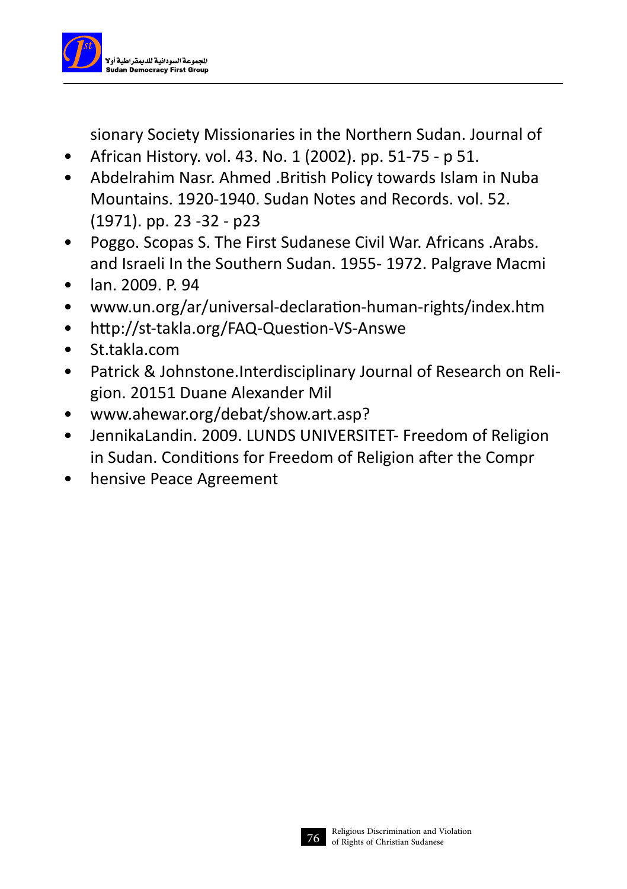

sionary Society Missionaries in the Northern Sudan. Journal of

- African History. vol. 43. No. 1 (2002). pp. 51-75 p 51.
- Abdelrahim Nasr. Ahmed .British Policy towards Islam in Nuba Mountains. 1920-1940. Sudan Notes and Records. vol. 52. (1971). pp. 23 -32 - p23
- Poggo. Scopas S. The First Sudanese Civil War. Africans .Arabs. and Israeli In the Southern Sudan. 1955- 1972. Palgrave Macmi
- lan. 2009. P. 94
- www.un.org/ar/universal-declaration-human-rights/index.htm
- http://st-takla.org/FAQ-Question-VS-Answe
- St.takla.com
- Patrick & Johnstone.Interdisciplinary Journal of Research on Religion. 20151 Duane Alexander Mil
- www.ahewar.org/debat/show.art.asp?
- JennikaLandin. 2009. LUNDS UNIVERSITET- Freedom of Religion in Sudan. Conditions for Freedom of Religion after the Compr
- hensive Peace Agreement

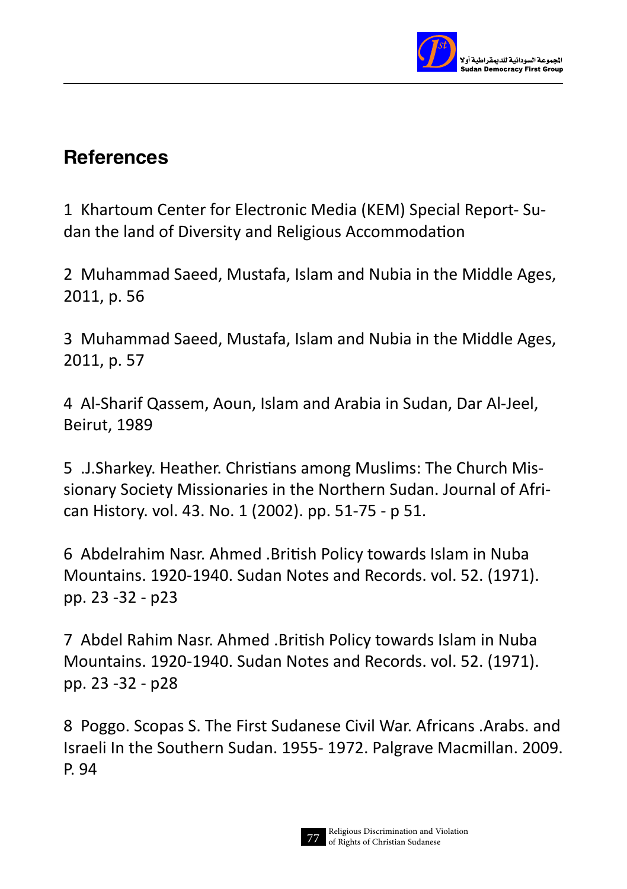

## **References**

1 Khartoum Center for Electronic Media (KEM) Special Report- Sudan the land of Diversity and Religious Accommodation

2 Muhammad Saeed, Mustafa, Islam and Nubia in the Middle Ages, 2011, p. 56

3 Muhammad Saeed, Mustafa, Islam and Nubia in the Middle Ages, 2011, p. 57

4 Al-Sharif Qassem, Aoun, Islam and Arabia in Sudan, Dar Al-Jeel, Beirut, 1989

5 .J.Sharkey. Heather. Christians among Muslims: The Church Missionary Society Missionaries in the Northern Sudan. Journal of African History. vol. 43. No. 1 (2002). pp. 51-75 - p 51.

6 Abdelrahim Nasr. Ahmed .British Policy towards Islam in Nuba Mountains. 1920-1940. Sudan Notes and Records. vol. 52. (1971). pp. 23 -32 - p23

7 Abdel Rahim Nasr. Ahmed .British Policy towards Islam in Nuba Mountains. 1920-1940. Sudan Notes and Records. vol. 52. (1971). pp. 23 -32 - p28

8 Poggo. Scopas S. The First Sudanese Civil War. Africans .Arabs. and Israeli In the Southern Sudan. 1955- 1972. Palgrave Macmillan. 2009. P. 94

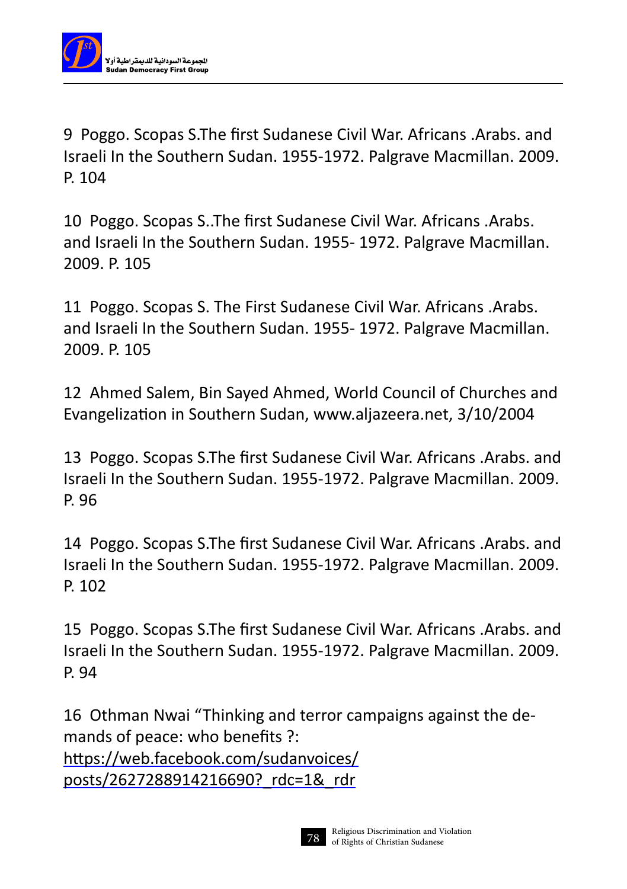

9 Poggo. Scopas S.The first Sudanese Civil War. Africans .Arabs. and Israeli In the Southern Sudan. 1955-1972. Palgrave Macmillan. 2009. P. 104

10 Poggo. Scopas S..The first Sudanese Civil War. Africans .Arabs. and Israeli In the Southern Sudan. 1955- 1972. Palgrave Macmillan. 2009. P. 105

11 Poggo. Scopas S. The First Sudanese Civil War. Africans .Arabs. and Israeli In the Southern Sudan. 1955- 1972. Palgrave Macmillan. 2009. P. 105

12 Ahmed Salem, Bin Sayed Ahmed, World Council of Churches and Evangelization in Southern Sudan, www.aljazeera.net, 3/10/2004

13 Poggo. Scopas S.The first Sudanese Civil War. Africans .Arabs. and Israeli In the Southern Sudan. 1955-1972. Palgrave Macmillan. 2009. P. 96

14 Poggo. Scopas S.The first Sudanese Civil War. Africans .Arabs. and Israeli In the Southern Sudan. 1955-1972. Palgrave Macmillan. 2009. P. 102

15 Poggo. Scopas S.The first Sudanese Civil War. Africans .Arabs. and Israeli In the Southern Sudan. 1955-1972. Palgrave Macmillan. 2009. P. 94

16 Othman Nwai "Thinking and terror campaigns against the demands of peace: who benefits ?: https://web.facebook.com/sudanvoices/ posts/2627288914216690? rdc=1& rdr

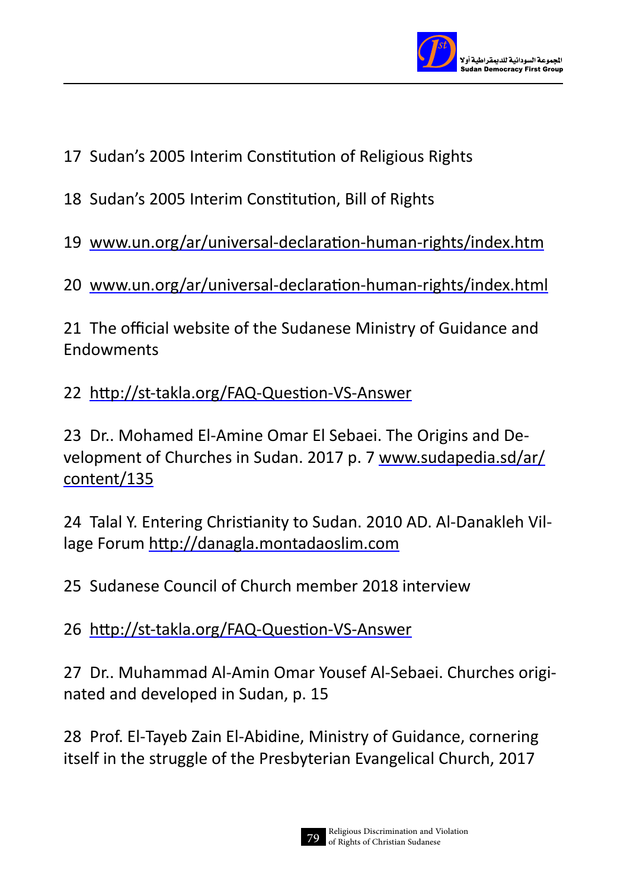

- 17 Sudan's 2005 Interim Constitution of Religious Rights
- 18 Sudan's 2005 Interim Constitution, Bill of Rights

19 www.un.org/ar/universal-declaration-human-rights/index.htm

20 www.un.org/ar/universal-declaration-human-rights/index.html

21 The official website of the Sudanese Ministry of Guidance and Endowments

22 http://st-takla.org/FAQ-Question-VS-Answer

23 Dr.. Mohamed El-Amine Omar El Sebaei. The Origins and Development of Churches in Sudan. 2017 p. 7 www.sudapedia.sd/ar/ content/135

24 Talal Y. Entering Christianity to Sudan. 2010 AD. Al-Danakleh Village Forum http://danagla.montadaoslim.com

25 Sudanese Council of Church member 2018 interview

26 http://st-takla.org/FAQ-Question-VS-Answer

27 Dr.. Muhammad Al-Amin Omar Yousef Al-Sebaei. Churches originated and developed in Sudan, p. 15

28 Prof. El-Tayeb Zain El-Abidine, Ministry of Guidance, cornering itself in the struggle of the Presbyterian Evangelical Church, 2017